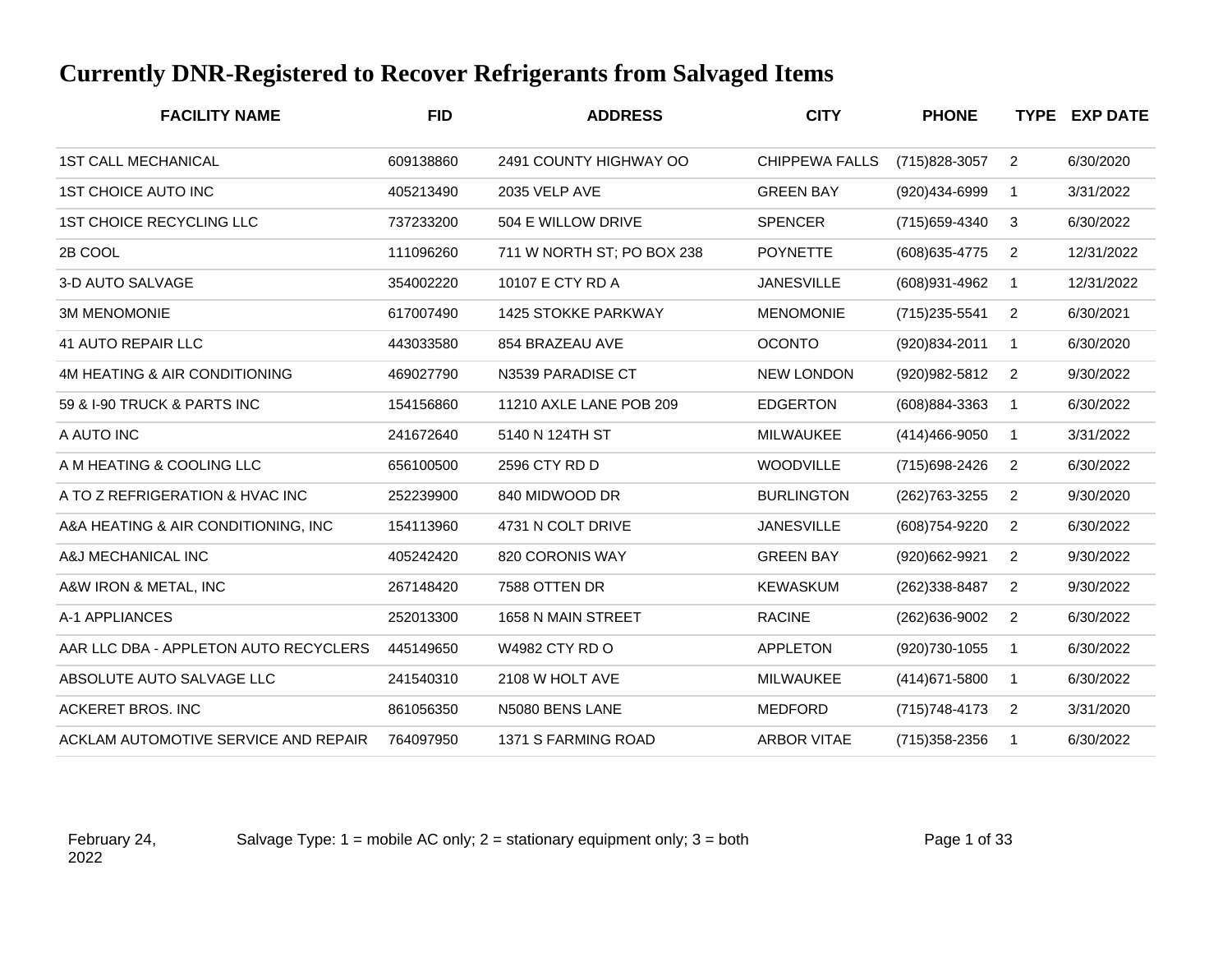## **Currently DNR-Registered to Recover Refrigerants from Salvaged Items**

| <b>FACILITY NAME</b>                  | <b>FID</b> | <b>ADDRESS</b>             | <b>CITY</b>           | <b>PHONE</b>      |                | <b>TYPE EXP DATE</b> |
|---------------------------------------|------------|----------------------------|-----------------------|-------------------|----------------|----------------------|
| <b>1ST CALL MECHANICAL</b>            | 609138860  | 2491 COUNTY HIGHWAY OO     | <b>CHIPPEWA FALLS</b> | (715) 828-3057    | $\overline{2}$ | 6/30/2020            |
| <b>1ST CHOICE AUTO INC</b>            | 405213490  | 2035 VELP AVE              | <b>GREEN BAY</b>      | (920)434-6999     | $\mathbf{1}$   | 3/31/2022            |
| 1ST CHOICE RECYCLING LLC              | 737233200  | 504 E WILLOW DRIVE         | <b>SPENCER</b>        | (715) 659-4340    | 3              | 6/30/2022            |
| 2B COOL                               | 111096260  | 711 W NORTH ST; PO BOX 238 | <b>POYNETTE</b>       | (608) 635-4775    | 2              | 12/31/2022           |
| 3-D AUTO SALVAGE                      | 354002220  | 10107 E CTY RD A           | <b>JANESVILLE</b>     | (608)931-4962     | $\mathbf 1$    | 12/31/2022           |
| <b>3M MENOMONIE</b>                   | 617007490  | <b>1425 STOKKE PARKWAY</b> | <b>MENOMONIE</b>      | (715) 235-5541    | $\overline{2}$ | 6/30/2021            |
| <b>41 AUTO REPAIR LLC</b>             | 443033580  | 854 BRAZEAU AVE            | <b>OCONTO</b>         | (920)834-2011     | $\mathbf{1}$   | 6/30/2020            |
| 4M HEATING & AIR CONDITIONING         | 469027790  | N3539 PARADISE CT          | <b>NEW LONDON</b>     | (920) 982-5812    | $\overline{2}$ | 9/30/2022            |
| 59 & I-90 TRUCK & PARTS INC           | 154156860  | 11210 AXLE LANE POB 209    | <b>EDGERTON</b>       | (608)884-3363     | $\mathbf 1$    | 6/30/2022            |
| A AUTO INC                            | 241672640  | 5140 N 124TH ST            | MILWAUKEE             | $(414)466 - 9050$ | 1              | 3/31/2022            |
| A M HEATING & COOLING LLC             | 656100500  | 2596 CTY RD D              | <b>WOODVILLE</b>      | (715) 698-2426    | 2              | 6/30/2022            |
| A TO Z REFRIGERATION & HVAC INC       | 252239900  | 840 MIDWOOD DR             | <b>BURLINGTON</b>     | (262)763-3255     | $\overline{2}$ | 9/30/2020            |
| A&A HEATING & AIR CONDITIONING, INC   | 154113960  | 4731 N COLT DRIVE          | <b>JANESVILLE</b>     | (608)754-9220     | $\overline{2}$ | 6/30/2022            |
| A&J MECHANICAL INC                    | 405242420  | 820 CORONIS WAY            | <b>GREEN BAY</b>      | (920)662-9921     | $\overline{2}$ | 9/30/2022            |
| A&W IRON & METAL, INC                 | 267148420  | 7588 OTTEN DR              | <b>KEWASKUM</b>       | (262) 338-8487    | 2              | 9/30/2022            |
| A-1 APPLIANCES                        | 252013300  | 1658 N MAIN STREET         | <b>RACINE</b>         | (262)636-9002     | 2              | 6/30/2022            |
| AAR LLC DBA - APPLETON AUTO RECYCLERS | 445149650  | <b>W4982 CTY RD O</b>      | <b>APPLETON</b>       | (920) 730-1055    | $\mathbf{1}$   | 6/30/2022            |
| ABSOLUTE AUTO SALVAGE LLC             | 241540310  | 2108 W HOLT AVE            | <b>MILWAUKEE</b>      | (414) 671-5800    | $\mathbf{1}$   | 6/30/2022            |
| <b>ACKERET BROS. INC</b>              | 861056350  | N5080 BENS LANE            | MEDFORD               | (715) 748-4173    | 2              | 3/31/2020            |
| ACKLAM AUTOMOTIVE SERVICE AND REPAIR  | 764097950  | 1371 S FARMING ROAD        | <b>ARBOR VITAE</b>    | (715) 358-2356    | $\overline{1}$ | 6/30/2022            |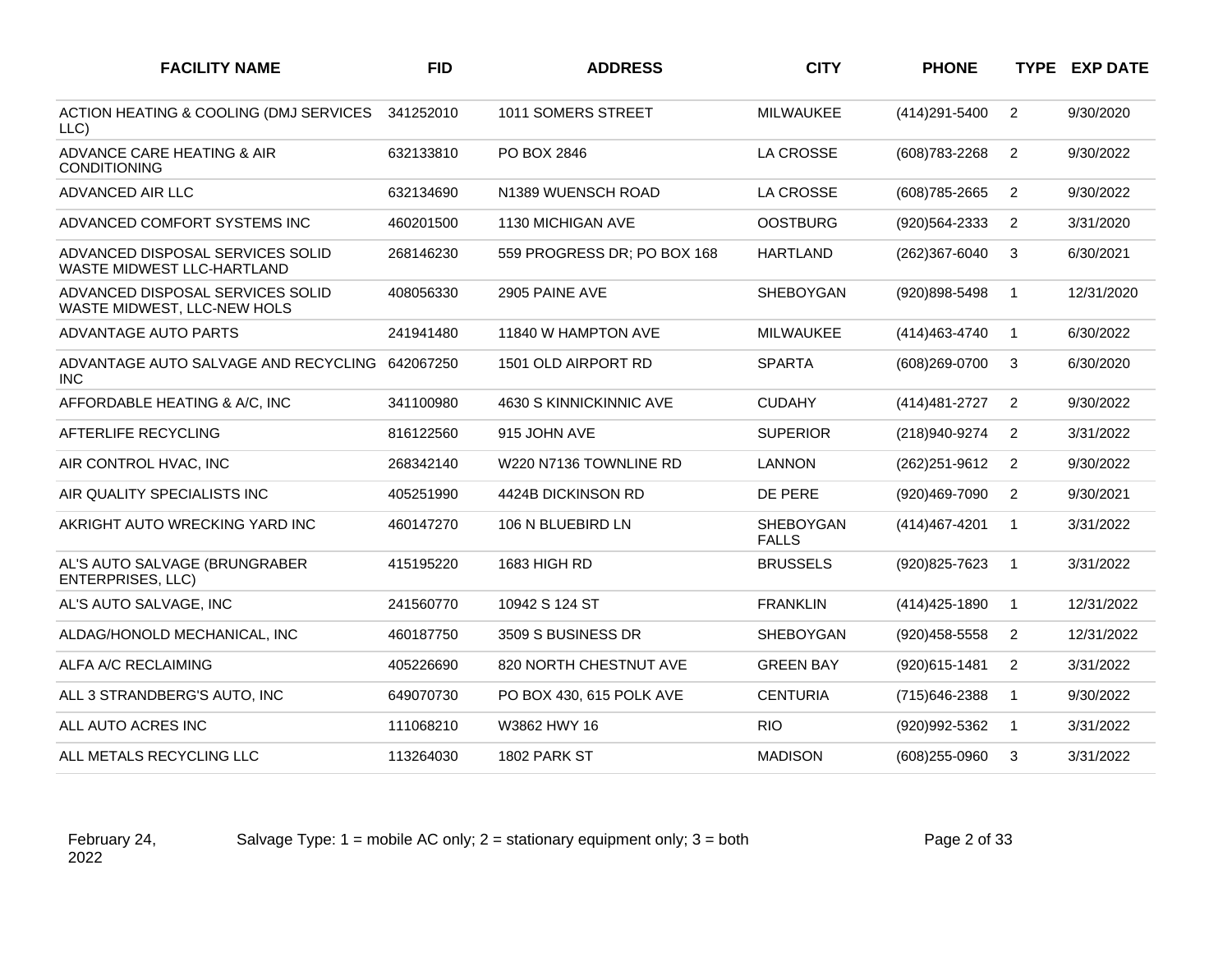| <b>FACILITY NAME</b>                                            | <b>FID</b> | <b>ADDRESS</b>              | <b>CITY</b>               | <b>PHONE</b>   |                | <b>TYPE EXP DATE</b> |
|-----------------------------------------------------------------|------------|-----------------------------|---------------------------|----------------|----------------|----------------------|
| ACTION HEATING & COOLING (DMJ SERVICES<br>LLC)                  | 341252010  | 1011 SOMERS STREET          | MILWAUKEE                 | (414) 291-5400 | $\overline{2}$ | 9/30/2020            |
| ADVANCE CARE HEATING & AIR<br><b>CONDITIONING</b>               | 632133810  | PO BOX 2846                 | <b>LA CROSSE</b>          | (608) 783-2268 | $\overline{2}$ | 9/30/2022            |
| ADVANCED AIR LLC                                                | 632134690  | N1389 WUENSCH ROAD          | <b>LA CROSSE</b>          | (608) 785-2665 | $\overline{2}$ | 9/30/2022            |
| ADVANCED COMFORT SYSTEMS INC                                    | 460201500  | 1130 MICHIGAN AVE           | <b>OOSTBURG</b>           | (920)564-2333  | $\overline{2}$ | 3/31/2020            |
| ADVANCED DISPOSAL SERVICES SOLID<br>WASTE MIDWEST LLC-HARTLAND  | 268146230  | 559 PROGRESS DR; PO BOX 168 | <b>HARTLAND</b>           | (262)367-6040  | 3              | 6/30/2021            |
| ADVANCED DISPOSAL SERVICES SOLID<br>WASTE MIDWEST, LLC-NEW HOLS | 408056330  | 2905 PAINE AVE              | SHEBOYGAN                 | (920)898-5498  | $\mathbf{1}$   | 12/31/2020           |
| ADVANTAGE AUTO PARTS                                            | 241941480  | 11840 W HAMPTON AVE         | <b>MILWAUKEE</b>          | (414) 463-4740 | $\mathbf{1}$   | 6/30/2022            |
| ADVANTAGE AUTO SALVAGE AND RECYCLING 642067250<br><b>INC</b>    |            | 1501 OLD AIRPORT RD         | <b>SPARTA</b>             | (608)269-0700  | 3              | 6/30/2020            |
| AFFORDABLE HEATING & A/C, INC                                   | 341100980  | 4630 S KINNICKINNIC AVE     | <b>CUDAHY</b>             | (414) 481-2727 | 2              | 9/30/2022            |
| AFTERLIFE RECYCLING                                             | 816122560  | 915 JOHN AVE                | <b>SUPERIOR</b>           | (218)940-9274  | 2              | 3/31/2022            |
| AIR CONTROL HVAC, INC                                           | 268342140  | W220 N7136 TOWNLINE RD      | <b>LANNON</b>             | (262) 251-9612 | $\overline{2}$ | 9/30/2022            |
| AIR QUALITY SPECIALISTS INC                                     | 405251990  | 4424B DICKINSON RD          | DE PERE                   | (920)469-7090  | 2              | 9/30/2021            |
| AKRIGHT AUTO WRECKING YARD INC                                  | 460147270  | 106 N BLUEBIRD LN           | SHEBOYGAN<br><b>FALLS</b> | (414) 467-4201 | $\mathbf{1}$   | 3/31/2022            |
| AL'S AUTO SALVAGE (BRUNGRABER<br><b>ENTERPRISES, LLC)</b>       | 415195220  | 1683 HIGH RD                | <b>BRUSSELS</b>           | (920) 825-7623 | $\overline{1}$ | 3/31/2022            |
| AL'S AUTO SALVAGE, INC                                          | 241560770  | 10942 S 124 ST              | <b>FRANKLIN</b>           | (414) 425-1890 | $\mathbf{1}$   | 12/31/2022           |
| ALDAG/HONOLD MECHANICAL, INC                                    | 460187750  | 3509 S BUSINESS DR          | <b>SHEBOYGAN</b>          | (920)458-5558  | $\overline{2}$ | 12/31/2022           |
| ALFA A/C RECLAIMING                                             | 405226690  | 820 NORTH CHESTNUT AVE      | <b>GREEN BAY</b>          | (920)615-1481  | $\overline{2}$ | 3/31/2022            |
| ALL 3 STRANDBERG'S AUTO, INC                                    | 649070730  | PO BOX 430, 615 POLK AVE    | <b>CENTURIA</b>           | (715) 646-2388 | $\mathbf{1}$   | 9/30/2022            |
| ALL AUTO ACRES INC                                              | 111068210  | W3862 HWY 16                | <b>RIO</b>                | (920)992-5362  | $\mathbf{1}$   | 3/31/2022            |
| ALL METALS RECYCLING LLC                                        | 113264030  | 1802 PARK ST                | <b>MADISON</b>            | (608) 255-0960 | 3              | 3/31/2022            |

Salvage Type:  $1 =$  mobile AC only;  $2 =$  stationary equipment only;  $3 =$  both Page 2 of 33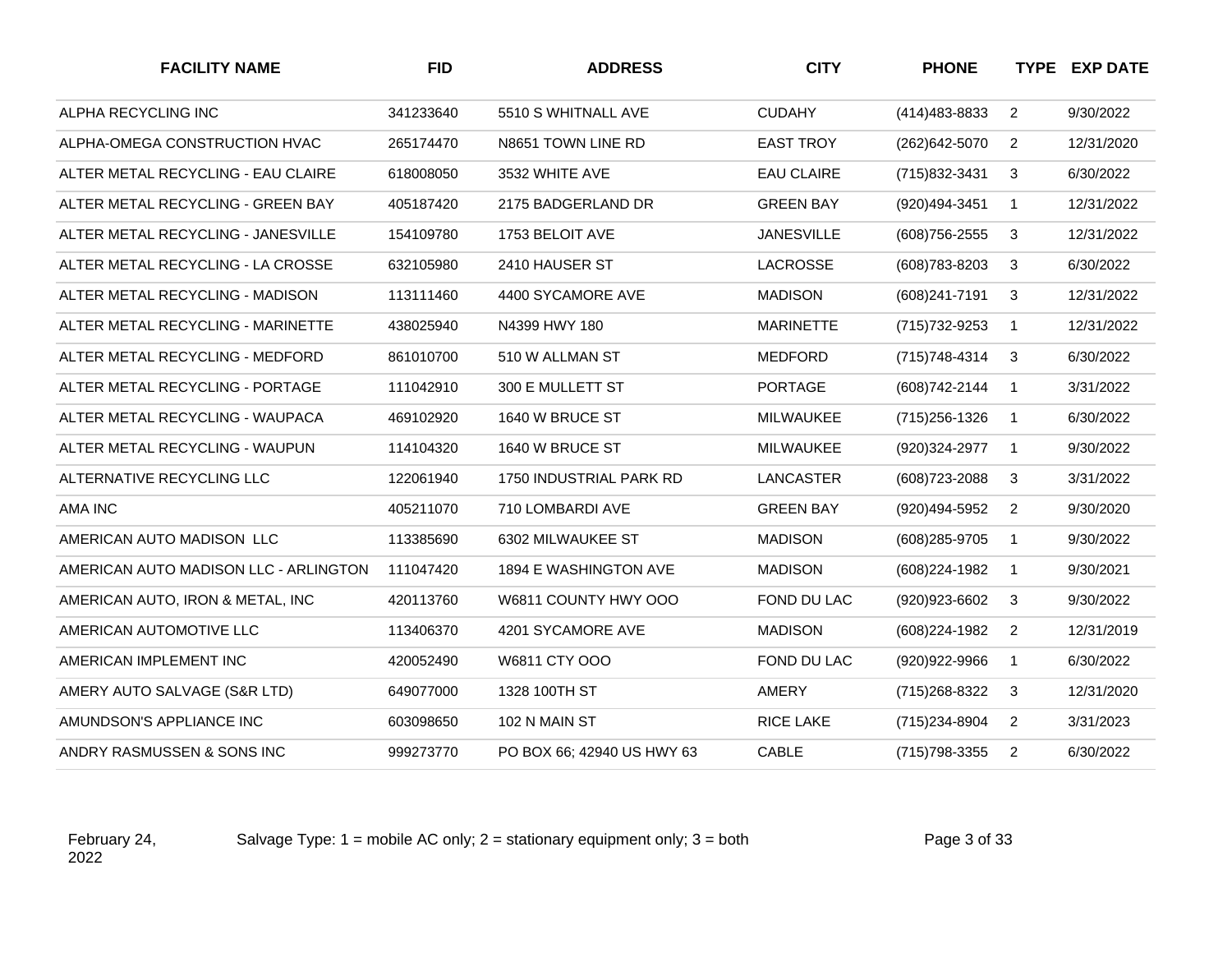| <b>FACILITY NAME</b>                  | <b>FID</b> | <b>ADDRESS</b>             | <b>CITY</b>       | <b>PHONE</b>     |                | <b>TYPE EXP DATE</b> |
|---------------------------------------|------------|----------------------------|-------------------|------------------|----------------|----------------------|
| ALPHA RECYCLING INC                   | 341233640  | 5510 S WHITNALL AVE        | <b>CUDAHY</b>     | (414) 483 - 8833 | $\overline{2}$ | 9/30/2022            |
| ALPHA-OMEGA CONSTRUCTION HVAC         | 265174470  | N8651 TOWN LINE RD         | <b>EAST TROY</b>  | (262) 642-5070   | $\overline{2}$ | 12/31/2020           |
| ALTER METAL RECYCLING - EAU CLAIRE    | 618008050  | 3532 WHITE AVE             | <b>EAU CLAIRE</b> | (715)832-3431    | 3              | 6/30/2022            |
| ALTER METAL RECYCLING - GREEN BAY     | 405187420  | 2175 BADGERLAND DR         | <b>GREEN BAY</b>  | (920)494-3451    | $\mathbf{1}$   | 12/31/2022           |
| ALTER METAL RECYCLING - JANESVILLE    | 154109780  | 1753 BELOIT AVE            | <b>JANESVILLE</b> | (608) 756-2555   | 3              | 12/31/2022           |
| ALTER METAL RECYCLING - LA CROSSE     | 632105980  | 2410 HAUSER ST             | LACROSSE          | (608) 783-8203   | 3              | 6/30/2022            |
| ALTER METAL RECYCLING - MADISON       | 113111460  | 4400 SYCAMORE AVE          | <b>MADISON</b>    | (608) 241-7191   | 3              | 12/31/2022           |
| ALTER METAL RECYCLING - MARINETTE     | 438025940  | N4399 HWY 180              | <b>MARINETTE</b>  | (715) 732-9253   | $\mathbf{1}$   | 12/31/2022           |
| ALTER METAL RECYCLING - MEDFORD       | 861010700  | 510 W ALLMAN ST            | <b>MEDFORD</b>    | (715) 748-4314   | 3              | 6/30/2022            |
| ALTER METAL RECYCLING - PORTAGE       | 111042910  | 300 E MULLETT ST           | <b>PORTAGE</b>    | (608) 742-2144   | $\overline{1}$ | 3/31/2022            |
| ALTER METAL RECYCLING - WAUPACA       | 469102920  | 1640 W BRUCE ST            | MILWAUKEE         | (715) 256-1326   | $\overline{1}$ | 6/30/2022            |
| ALTER METAL RECYCLING - WAUPUN        | 114104320  | 1640 W BRUCE ST            | MILWAUKEE         | (920)324-2977    | $\mathbf{1}$   | 9/30/2022            |
| ALTERNATIVE RECYCLING LLC             | 122061940  | 1750 INDUSTRIAL PARK RD    | LANCASTER         | (608) 723-2088   | 3              | 3/31/2022            |
| AMA INC                               | 405211070  | 710 LOMBARDI AVE           | <b>GREEN BAY</b>  | (920)494-5952    | $\overline{2}$ | 9/30/2020            |
| AMERICAN AUTO MADISON LLC             | 113385690  | 6302 MILWAUKEE ST          | <b>MADISON</b>    | (608) 285-9705   | $\overline{1}$ | 9/30/2022            |
| AMERICAN AUTO MADISON LLC - ARLINGTON | 111047420  | 1894 E WASHINGTON AVE      | <b>MADISON</b>    | (608) 224-1982   | $\mathbf{1}$   | 9/30/2021            |
| AMERICAN AUTO, IRON & METAL, INC      | 420113760  | W6811 COUNTY HWY OOO       | FOND DU LAC       | (920) 923-6602   | 3              | 9/30/2022            |
| AMERICAN AUTOMOTIVE LLC               | 113406370  | 4201 SYCAMORE AVE          | <b>MADISON</b>    | (608) 224-1982   | $\overline{2}$ | 12/31/2019           |
| AMERICAN IMPLEMENT INC                | 420052490  | W6811 CTY OOO              | FOND DU LAC       | (920)922-9966    | $\mathbf{1}$   | 6/30/2022            |
| AMERY AUTO SALVAGE (S&R LTD)          | 649077000  | 1328 100TH ST              | AMERY             | (715) 268-8322   | 3              | 12/31/2020           |
| AMUNDSON'S APPLIANCE INC              | 603098650  | 102 N MAIN ST              | RICE LAKE         | (715) 234-8904   | $\overline{2}$ | 3/31/2023            |
| ANDRY RASMUSSEN & SONS INC            | 999273770  | PO BOX 66; 42940 US HWY 63 | CABLE             | (715) 798-3355   | $\overline{2}$ | 6/30/2022            |

Salvage Type:  $1 =$  mobile AC only;  $2 =$  stationary equipment only;  $3 =$  both Page 3 of 33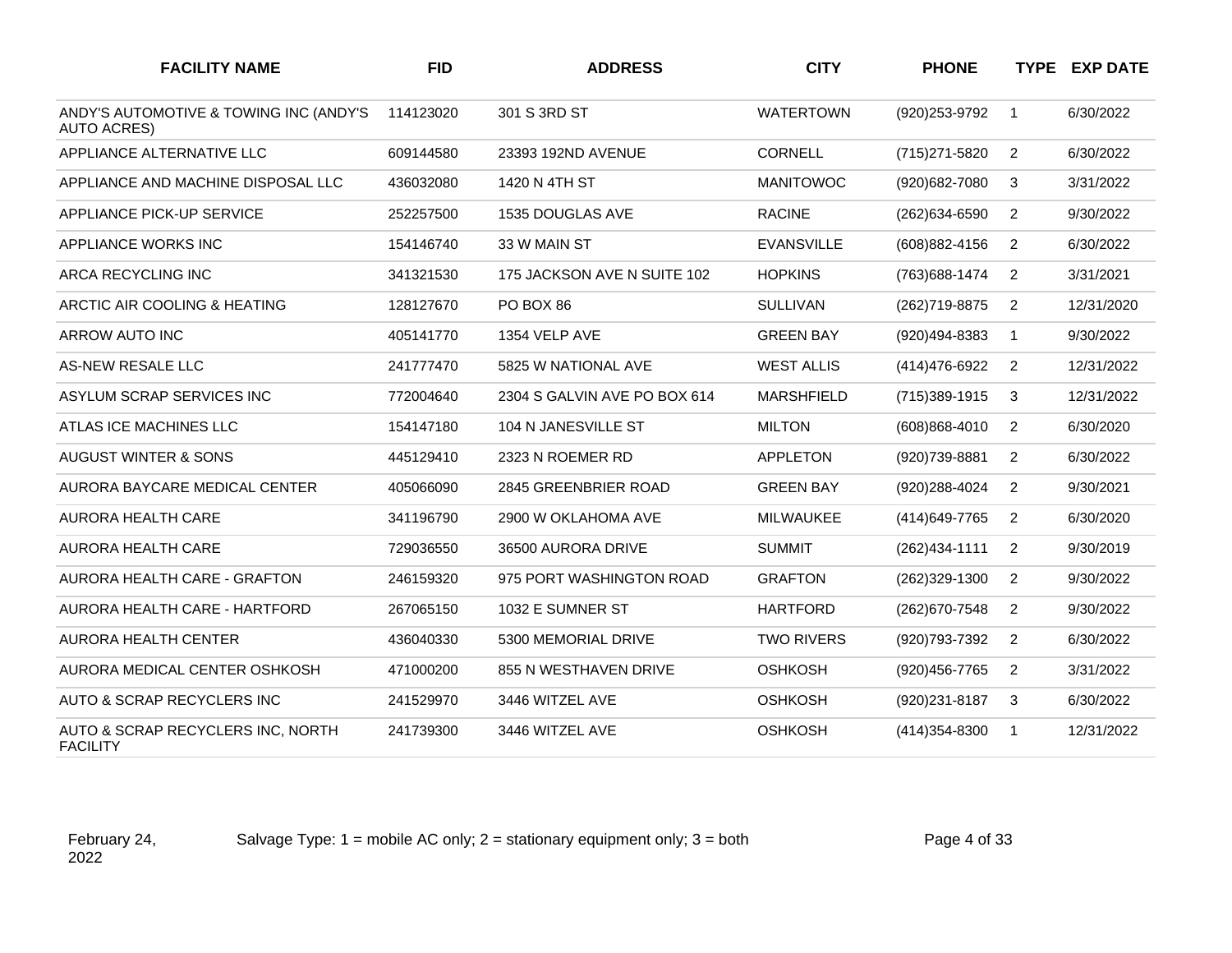| <b>FACILITY NAME</b>                                         | <b>FID</b> | <b>ADDRESS</b>               | <b>CITY</b>       | <b>PHONE</b>      |                | <b>TYPE EXP DATE</b> |
|--------------------------------------------------------------|------------|------------------------------|-------------------|-------------------|----------------|----------------------|
| ANDY'S AUTOMOTIVE & TOWING INC (ANDY'S<br><b>AUTO ACRES)</b> | 114123020  | 301 S 3RD ST                 | <b>WATERTOWN</b>  | (920) 253-9792    | $\mathbf{1}$   | 6/30/2022            |
| APPLIANCE ALTERNATIVE LLC                                    | 609144580  | 23393 192ND AVENUE           | <b>CORNELL</b>    | (715) 271-5820    | $\overline{2}$ | 6/30/2022            |
| APPLIANCE AND MACHINE DISPOSAL LLC                           | 436032080  | 1420 N 4TH ST                | <b>MANITOWOC</b>  | (920) 682-7080    | 3              | 3/31/2022            |
| APPLIANCE PICK-UP SERVICE                                    | 252257500  | 1535 DOUGLAS AVE             | <b>RACINE</b>     | (262)634-6590     | $\overline{2}$ | 9/30/2022            |
| APPLIANCE WORKS INC                                          | 154146740  | 33 W MAIN ST                 | <b>EVANSVILLE</b> | (608) 882-4156    | $\overline{2}$ | 6/30/2022            |
| ARCA RECYCLING INC                                           | 341321530  | 175 JACKSON AVE N SUITE 102  | <b>HOPKINS</b>    | (763) 688-1474    | 2              | 3/31/2021            |
| ARCTIC AIR COOLING & HEATING                                 | 128127670  | PO BOX 86                    | <b>SULLIVAN</b>   | (262) 719-8875    | $\overline{2}$ | 12/31/2020           |
| <b>ARROW AUTO INC</b>                                        | 405141770  | 1354 VELP AVE                | <b>GREEN BAY</b>  | (920)494-8383     | $\mathbf{1}$   | 9/30/2022            |
| AS-NEW RESALE LLC                                            | 241777470  | 5825 W NATIONAL AVE          | <b>WEST ALLIS</b> | (414) 476-6922    | $\overline{2}$ | 12/31/2022           |
| ASYLUM SCRAP SERVICES INC                                    | 772004640  | 2304 S GALVIN AVE PO BOX 614 | <b>MARSHFIELD</b> | (715) 389-1915    | 3              | 12/31/2022           |
| ATLAS ICE MACHINES LLC                                       | 154147180  | 104 N JANESVILLE ST          | <b>MILTON</b>     | $(608)868 - 4010$ | 2              | 6/30/2020            |
| AUGUST WINTER & SONS                                         | 445129410  | 2323 N ROEMER RD             | <b>APPLETON</b>   | (920) 739-8881    | $\overline{2}$ | 6/30/2022            |
| AURORA BAYCARE MEDICAL CENTER                                | 405066090  | 2845 GREENBRIER ROAD         | <b>GREEN BAY</b>  | (920)288-4024     | $\overline{2}$ | 9/30/2021            |
| <b>AURORA HEALTH CARE</b>                                    | 341196790  | 2900 W OKLAHOMA AVE          | <b>MILWAUKEE</b>  | (414) 649-7765    | 2              | 6/30/2020            |
| <b>AURORA HEALTH CARE</b>                                    | 729036550  | 36500 AURORA DRIVE           | <b>SUMMIT</b>     | $(262)434 - 1111$ | $\overline{2}$ | 9/30/2019            |
| AURORA HEALTH CARE - GRAFTON                                 | 246159320  | 975 PORT WASHINGTON ROAD     | <b>GRAFTON</b>    | (262)329-1300     | 2              | 9/30/2022            |
| AURORA HEALTH CARE - HARTFORD                                | 267065150  | 1032 E SUMNER ST             | <b>HARTFORD</b>   | (262) 670-7548    | $\overline{2}$ | 9/30/2022            |
| AURORA HEALTH CENTER                                         | 436040330  | 5300 MEMORIAL DRIVE          | <b>TWO RIVERS</b> | (920) 793-7392    | $\overline{2}$ | 6/30/2022            |
| AURORA MEDICAL CENTER OSHKOSH                                | 471000200  | <b>855 N WESTHAVEN DRIVE</b> | <b>OSHKOSH</b>    | (920) 456-7765    | $\overline{2}$ | 3/31/2022            |
| AUTO & SCRAP RECYCLERS INC                                   | 241529970  | 3446 WITZEL AVE              | <b>OSHKOSH</b>    | (920) 231-8187    | 3              | 6/30/2022            |
| AUTO & SCRAP RECYCLERS INC, NORTH<br><b>FACILITY</b>         | 241739300  | 3446 WITZEL AVE              | <b>OSHKOSH</b>    | $(414)354 - 8300$ | $\mathbf{1}$   | 12/31/2022           |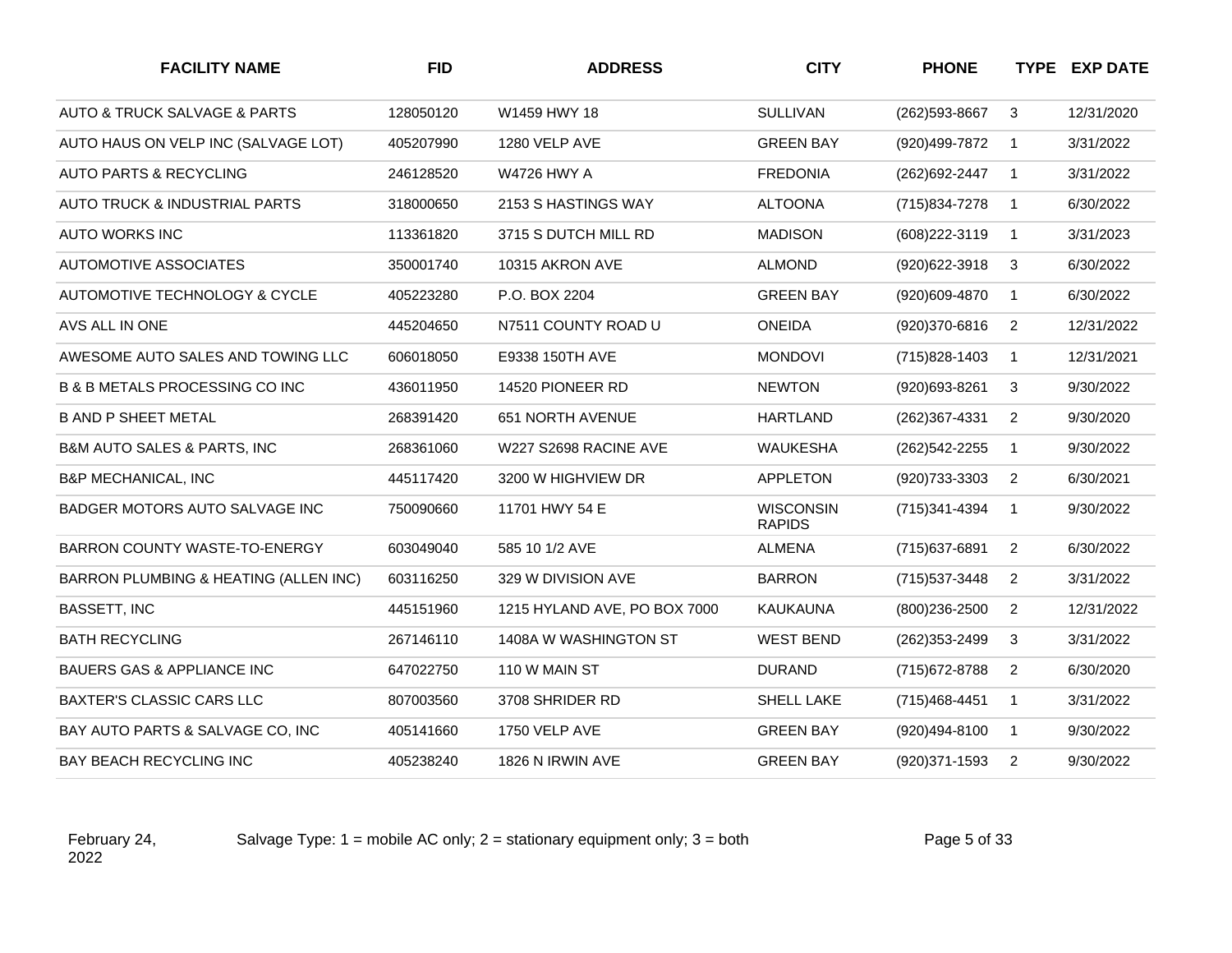| <b>FACILITY NAME</b>                       | <b>FID</b> | <b>ADDRESS</b>               | <b>CITY</b>                       | <b>PHONE</b>      |                | <b>TYPE EXP DATE</b> |
|--------------------------------------------|------------|------------------------------|-----------------------------------|-------------------|----------------|----------------------|
| AUTO & TRUCK SALVAGE & PARTS               | 128050120  | W1459 HWY 18                 | <b>SULLIVAN</b>                   | (262) 593-8667    | 3              | 12/31/2020           |
| AUTO HAUS ON VELP INC (SALVAGE LOT)        | 405207990  | 1280 VELP AVE                | <b>GREEN BAY</b>                  | (920)499-7872     | $\overline{1}$ | 3/31/2022            |
| AUTO PARTS & RECYCLING                     | 246128520  | <b>W4726 HWY A</b>           | <b>FREDONIA</b>                   | (262) 692-2447    | $\mathbf{1}$   | 3/31/2022            |
| AUTO TRUCK & INDUSTRIAL PARTS              | 318000650  | 2153 S HASTINGS WAY          | <b>ALTOONA</b>                    | (715) 834-7278    | $\mathbf{1}$   | 6/30/2022            |
| <b>AUTO WORKS INC</b>                      | 113361820  | 3715 S DUTCH MILL RD         | <b>MADISON</b>                    | (608) 222-3119    | $\mathbf{1}$   | 3/31/2023            |
| <b>AUTOMOTIVE ASSOCIATES</b>               | 350001740  | 10315 AKRON AVE              | <b>ALMOND</b>                     | (920)622-3918     | 3              | 6/30/2022            |
| AUTOMOTIVE TECHNOLOGY & CYCLE              | 405223280  | P.O. BOX 2204                | <b>GREEN BAY</b>                  | (920)609-4870     | $\mathbf{1}$   | 6/30/2022            |
| AVS ALL IN ONE                             | 445204650  | N7511 COUNTY ROAD U          | <b>ONEIDA</b>                     | (920)370-6816     | 2              | 12/31/2022           |
| AWESOME AUTO SALES AND TOWING LLC          | 606018050  | E9338 150TH AVE              | <b>MONDOVI</b>                    | (715) 828-1403    | $\mathbf{1}$   | 12/31/2021           |
| <b>B &amp; B METALS PROCESSING CO INC</b>  | 436011950  | 14520 PIONEER RD             | <b>NEWTON</b>                     | (920)693-8261     | 3              | 9/30/2022            |
| <b>B AND P SHEET METAL</b>                 | 268391420  | <b>651 NORTH AVENUE</b>      | <b>HARTLAND</b>                   | (262)367-4331     | $\overline{2}$ | 9/30/2020            |
| <b>B&amp;M AUTO SALES &amp; PARTS, INC</b> | 268361060  | W227 S2698 RACINE AVE        | <b>WAUKESHA</b>                   | (262) 542-2255    | $\mathbf{1}$   | 9/30/2022            |
| <b>B&amp;P MECHANICAL, INC</b>             | 445117420  | 3200 W HIGHVIEW DR           | <b>APPLETON</b>                   | (920) 733-3303    | $\overline{2}$ | 6/30/2021            |
| BADGER MOTORS AUTO SALVAGE INC             | 750090660  | 11701 HWY 54 E               | <b>WISCONSIN</b><br><b>RAPIDS</b> | (715)341-4394     | $\mathbf{1}$   | 9/30/2022            |
| BARRON COUNTY WASTE-TO-ENERGY              | 603049040  | 585 10 1/2 AVE               | <b>ALMENA</b>                     | (715) 637-6891    | 2              | 6/30/2022            |
| BARRON PLUMBING & HEATING (ALLEN INC)      | 603116250  | 329 W DIVISION AVE           | <b>BARRON</b>                     | (715) 537-3448    | $\overline{2}$ | 3/31/2022            |
| <b>BASSETT, INC</b>                        | 445151960  | 1215 HYLAND AVE, PO BOX 7000 | <b>KAUKAUNA</b>                   | $(800)236 - 2500$ | 2              | 12/31/2022           |
| <b>BATH RECYCLING</b>                      | 267146110  | 1408A W WASHINGTON ST        | <b>WEST BEND</b>                  | (262) 353-2499    | 3              | 3/31/2022            |
| <b>BAUERS GAS &amp; APPLIANCE INC</b>      | 647022750  | 110 W MAIN ST                | <b>DURAND</b>                     | (715) 672-8788    | 2              | 6/30/2020            |
| <b>BAXTER'S CLASSIC CARS LLC</b>           | 807003560  | 3708 SHRIDER RD              | SHELL LAKE                        | (715) 468-4451    | $\mathbf{1}$   | 3/31/2022            |
| BAY AUTO PARTS & SALVAGE CO, INC           | 405141660  | 1750 VELP AVE                | <b>GREEN BAY</b>                  | (920)494-8100     | $\mathbf{1}$   | 9/30/2022            |
| BAY BEACH RECYCLING INC                    | 405238240  | 1826 N IRWIN AVE             | <b>GREEN BAY</b>                  | (920)371-1593     | $\overline{2}$ | 9/30/2022            |

Salvage Type:  $1 =$  mobile AC only;  $2 =$  stationary equipment only;  $3 =$  both Page 5 of 33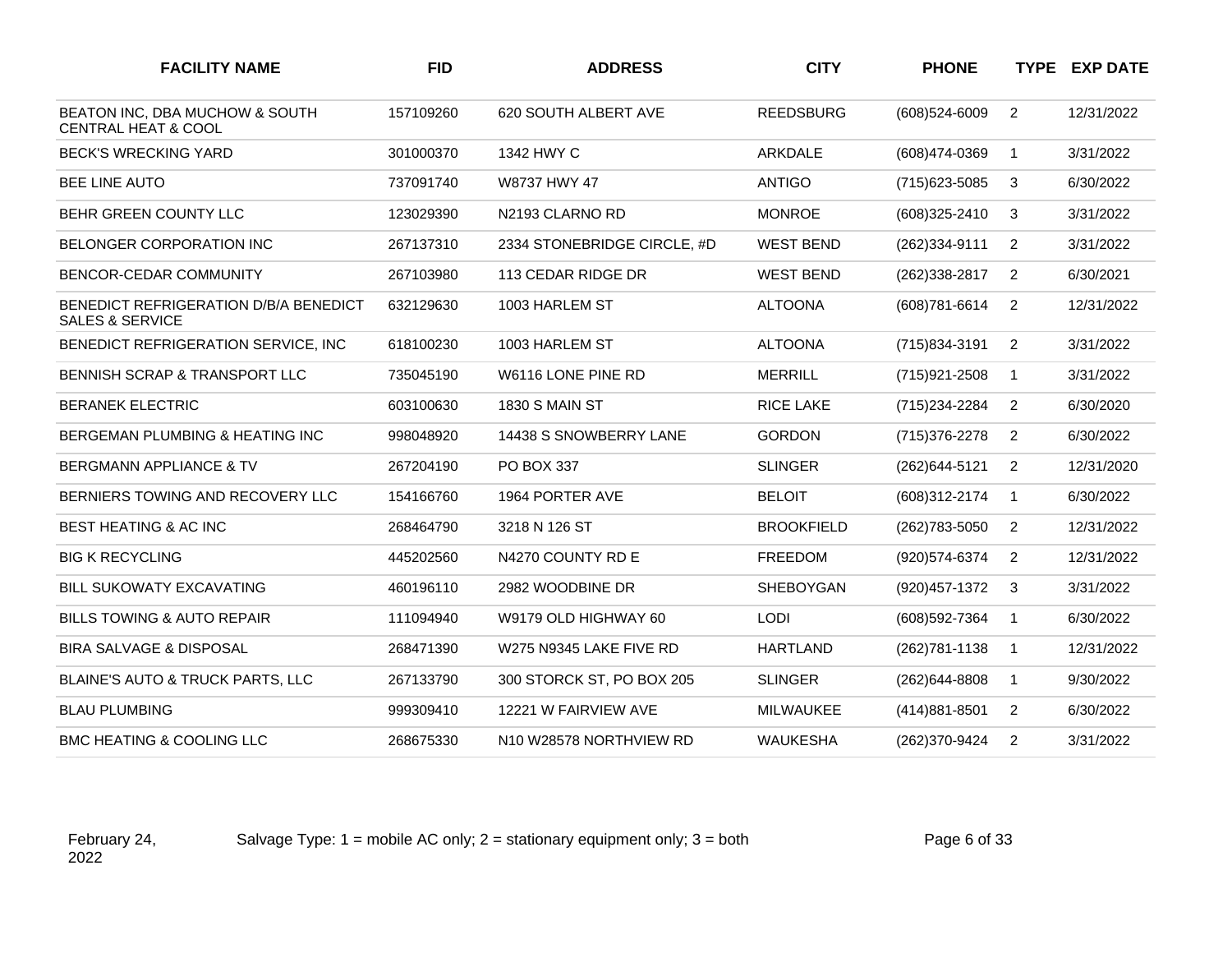| <b>FACILITY NAME</b>                                                | <b>FID</b> | <b>ADDRESS</b>              | <b>CITY</b>       | <b>PHONE</b>      |                | <b>TYPE EXP DATE</b> |
|---------------------------------------------------------------------|------------|-----------------------------|-------------------|-------------------|----------------|----------------------|
| BEATON INC, DBA MUCHOW & SOUTH<br><b>CENTRAL HEAT &amp; COOL</b>    | 157109260  | 620 SOUTH ALBERT AVE        | <b>REEDSBURG</b>  | $(608)524 - 6009$ | $\overline{2}$ | 12/31/2022           |
| <b>BECK'S WRECKING YARD</b>                                         | 301000370  | 1342 HWY C                  | ARKDALE           | (608)474-0369     | $\mathbf 1$    | 3/31/2022            |
| BEE LINE AUTO                                                       | 737091740  | W8737 HWY 47                | <b>ANTIGO</b>     | (715) 623-5085    | 3              | 6/30/2022            |
| BEHR GREEN COUNTY LLC                                               | 123029390  | N2193 CLARNO RD             | <b>MONROE</b>     | (608)325-2410     | 3              | 3/31/2022            |
| <b>BELONGER CORPORATION INC</b>                                     | 267137310  | 2334 STONEBRIDGE CIRCLE, #D | <b>WEST BEND</b>  | (262)334-9111     | $\overline{2}$ | 3/31/2022            |
| <b>BENCOR-CEDAR COMMUNITY</b>                                       | 267103980  | 113 CEDAR RIDGE DR          | <b>WEST BEND</b>  | (262)338-2817     | $\overline{2}$ | 6/30/2021            |
| BENEDICT REFRIGERATION D/B/A BENEDICT<br><b>SALES &amp; SERVICE</b> | 632129630  | 1003 HARLEM ST              | <b>ALTOONA</b>    | $(608)781 - 6614$ | 2              | 12/31/2022           |
| BENEDICT REFRIGERATION SERVICE, INC                                 | 618100230  | 1003 HARLEM ST              | <b>ALTOONA</b>    | (715) 834-3191    | $\overline{2}$ | 3/31/2022            |
| <b>BENNISH SCRAP &amp; TRANSPORT LLC</b>                            | 735045190  | W6116 LONE PINE RD          | <b>MERRILL</b>    | $(715)921 - 2508$ | $\mathbf{1}$   | 3/31/2022            |
| <b>BERANEK ELECTRIC</b>                                             | 603100630  | <b>1830 S MAIN ST</b>       | <b>RICE LAKE</b>  | (715) 234-2284    | $\overline{2}$ | 6/30/2020            |
| BERGEMAN PLUMBING & HEATING INC                                     | 998048920  | 14438 S SNOWBERRY LANE      | <b>GORDON</b>     | (715) 376-2278    | 2              | 6/30/2022            |
| <b>BERGMANN APPLIANCE &amp; TV</b>                                  | 267204190  | PO BOX 337                  | <b>SLINGER</b>    | (262) 644-5121    | $\overline{2}$ | 12/31/2020           |
| BERNIERS TOWING AND RECOVERY LLC                                    | 154166760  | 1964 PORTER AVE             | <b>BELOIT</b>     | (608)312-2174     | $\mathbf{1}$   | 6/30/2022            |
| BEST HEATING & AC INC                                               | 268464790  | 3218 N 126 ST               | <b>BROOKFIELD</b> | (262) 783-5050    | $\overline{2}$ | 12/31/2022           |
| <b>BIG K RECYCLING</b>                                              | 445202560  | N4270 COUNTY RD E           | <b>FREEDOM</b>    | (920) 574-6374    | $\overline{2}$ | 12/31/2022           |
| <b>BILL SUKOWATY EXCAVATING</b>                                     | 460196110  | 2982 WOODBINE DR            | <b>SHEBOYGAN</b>  | (920) 457-1372    | 3              | 3/31/2022            |
| <b>BILLS TOWING &amp; AUTO REPAIR</b>                               | 111094940  | W9179 OLD HIGHWAY 60        | <b>LODI</b>       | (608) 592-7364    | $\mathbf{1}$   | 6/30/2022            |
| <b>BIRA SALVAGE &amp; DISPOSAL</b>                                  | 268471390  | W275 N9345 LAKE FIVE RD     | <b>HARTLAND</b>   | (262) 781-1138    | $\mathbf{1}$   | 12/31/2022           |
| BLAINE'S AUTO & TRUCK PARTS, LLC                                    | 267133790  | 300 STORCK ST, PO BOX 205   | <b>SLINGER</b>    | (262)644-8808     | $\mathbf{1}$   | 9/30/2022            |
| <b>BLAU PLUMBING</b>                                                | 999309410  | 12221 W FAIRVIEW AVE        | <b>MILWAUKEE</b>  | (414) 881-8501    | 2              | 6/30/2022            |
| BMC HEATING & COOLING LLC                                           | 268675330  | N10 W28578 NORTHVIEW RD     | <b>WAUKESHA</b>   | (262)370-9424     | $\overline{2}$ | 3/31/2022            |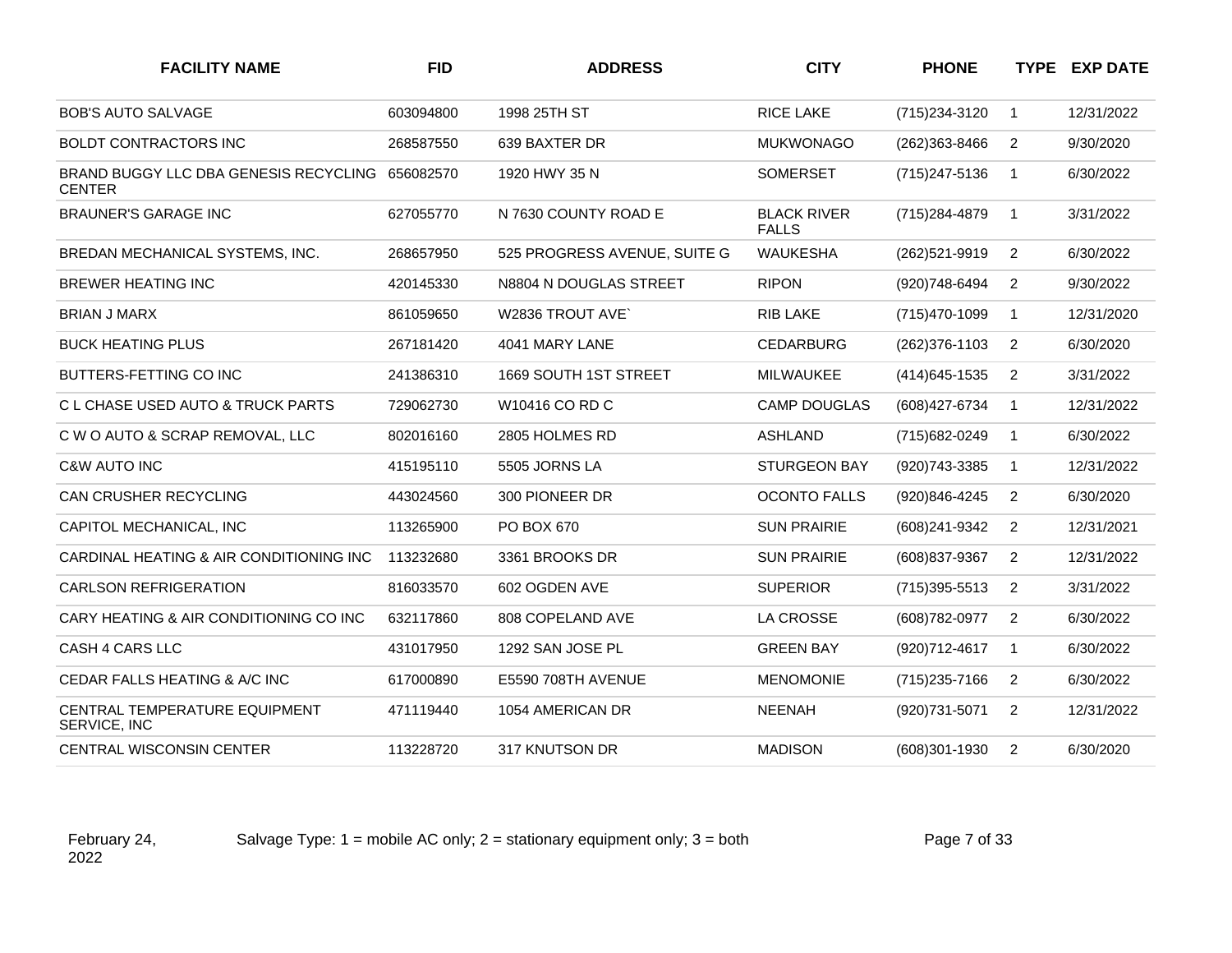| <b>FACILITY NAME</b>                                             | <b>FID</b> | <b>ADDRESS</b>               | <b>CITY</b>                        | <b>PHONE</b>      |                | <b>TYPE EXP DATE</b> |
|------------------------------------------------------------------|------------|------------------------------|------------------------------------|-------------------|----------------|----------------------|
| <b>BOB'S AUTO SALVAGE</b>                                        | 603094800  | 1998 25TH ST                 | <b>RICE LAKE</b>                   | (715) 234-3120    | $\mathbf{1}$   | 12/31/2022           |
| <b>BOLDT CONTRACTORS INC</b>                                     | 268587550  | 639 BAXTER DR                | <b>MUKWONAGO</b>                   | (262)363-8466     | 2              | 9/30/2020            |
| BRAND BUGGY LLC DBA GENESIS RECYCLING 656082570<br><b>CENTER</b> |            | 1920 HWY 35 N                | <b>SOMERSET</b>                    | (715) 247-5136    | $\mathbf{1}$   | 6/30/2022            |
| <b>BRAUNER'S GARAGE INC</b>                                      | 627055770  | N 7630 COUNTY ROAD E         | <b>BLACK RIVER</b><br><b>FALLS</b> | (715) 284-4879    | $\mathbf{1}$   | 3/31/2022            |
| BREDAN MECHANICAL SYSTEMS, INC.                                  | 268657950  | 525 PROGRESS AVENUE, SUITE G | <b>WAUKESHA</b>                    | (262)521-9919     | $\overline{2}$ | 6/30/2022            |
| BREWER HEATING INC                                               | 420145330  | N8804 N DOUGLAS STREET       | <b>RIPON</b>                       | (920)748-6494     | 2              | 9/30/2022            |
| <b>BRIAN J MARX</b>                                              | 861059650  | W2836 TROUT AVE              | <b>RIB LAKE</b>                    | (715) 470-1099    | $\mathbf{1}$   | 12/31/2020           |
| <b>BUCK HEATING PLUS</b>                                         | 267181420  | 4041 MARY LANE               | <b>CEDARBURG</b>                   | (262) 376-1103    | 2              | 6/30/2020            |
| BUTTERS-FETTING CO INC                                           | 241386310  | 1669 SOUTH 1ST STREET        | <b>MILWAUKEE</b>                   | (414) 645-1535    | $\overline{2}$ | 3/31/2022            |
| C L CHASE USED AUTO & TRUCK PARTS                                | 729062730  | W10416 CO RD C               | <b>CAMP DOUGLAS</b>                | (608) 427-6734    | $\mathbf{1}$   | 12/31/2022           |
| C W O AUTO & SCRAP REMOVAL, LLC                                  | 802016160  | 2805 HOLMES RD               | <b>ASHLAND</b>                     | (715) 682-0249    | $\mathbf{1}$   | 6/30/2022            |
| <b>C&amp;W AUTO INC</b>                                          | 415195110  | 5505 JORNS LA                | <b>STURGEON BAY</b>                | (920) 743-3385    | $\mathbf{1}$   | 12/31/2022           |
| CAN CRUSHER RECYCLING                                            | 443024560  | 300 PIONEER DR               | <b>OCONTO FALLS</b>                | (920)846-4245     | 2              | 6/30/2020            |
| CAPITOL MECHANICAL, INC                                          | 113265900  | PO BOX 670                   | <b>SUN PRAIRIE</b>                 | (608)241-9342     | $\overline{2}$ | 12/31/2021           |
| CARDINAL HEATING & AIR CONDITIONING INC                          | 113232680  | 3361 BROOKS DR               | <b>SUN PRAIRIE</b>                 | (608) 837-9367    | 2              | 12/31/2022           |
| <b>CARLSON REFRIGERATION</b>                                     | 816033570  | 602 OGDEN AVE                | <b>SUPERIOR</b>                    | $(715)395 - 5513$ | 2              | 3/31/2022            |
| CARY HEATING & AIR CONDITIONING CO INC                           | 632117860  | 808 COPELAND AVE             | LA CROSSE                          | (608) 782-0977    | 2              | 6/30/2022            |
| CASH 4 CARS LLC                                                  | 431017950  | 1292 SAN JOSE PL             | <b>GREEN BAY</b>                   | (920) 712-4617    | $\mathbf{1}$   | 6/30/2022            |
| CEDAR FALLS HEATING & A/C INC                                    | 617000890  | E5590 708TH AVENUE           | <b>MENOMONIE</b>                   | (715) 235-7166    | 2              | 6/30/2022            |
| CENTRAL TEMPERATURE EQUIPMENT<br>SERVICE, INC                    | 471119440  | 1054 AMERICAN DR             | <b>NEENAH</b>                      | (920) 731-5071    | $\overline{2}$ | 12/31/2022           |
| <b>CENTRAL WISCONSIN CENTER</b>                                  | 113228720  | 317 KNUTSON DR               | <b>MADISON</b>                     | (608)301-1930     | 2              | 6/30/2020            |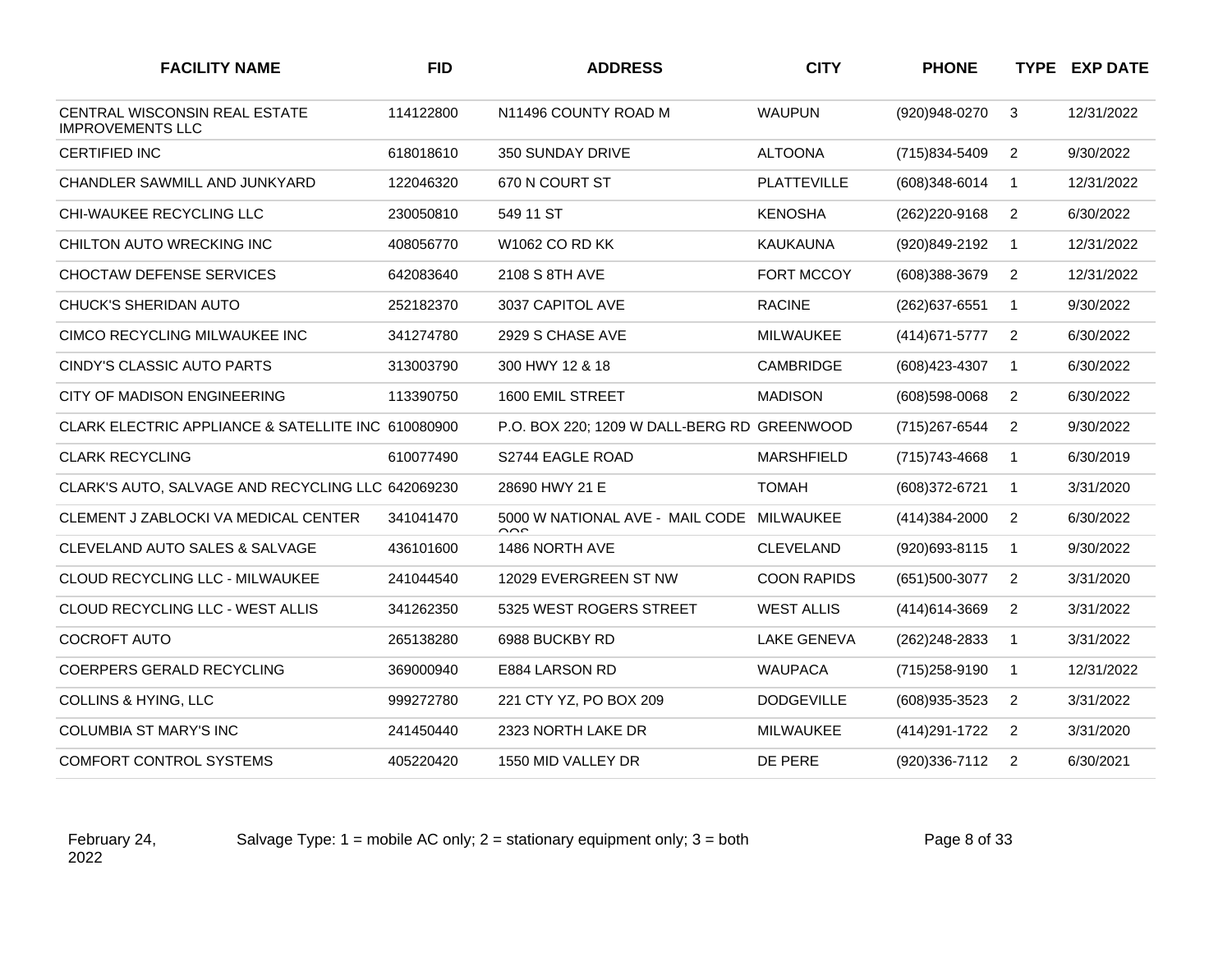| <b>FACILITY NAME</b>                                            | <b>FID</b> | <b>ADDRESS</b>                                      | <b>CITY</b>        | <b>PHONE</b>      |                | <b>TYPE EXP DATE</b> |
|-----------------------------------------------------------------|------------|-----------------------------------------------------|--------------------|-------------------|----------------|----------------------|
| <b>CENTRAL WISCONSIN REAL ESTATE</b><br><b>IMPROVEMENTS LLC</b> | 114122800  | N11496 COUNTY ROAD M                                | <b>WAUPUN</b>      | (920)948-0270     | 3              | 12/31/2022           |
| <b>CERTIFIED INC</b>                                            | 618018610  | 350 SUNDAY DRIVE                                    | <b>ALTOONA</b>     | (715)834-5409     | $\overline{2}$ | 9/30/2022            |
| CHANDLER SAWMILL AND JUNKYARD                                   | 122046320  | 670 N COURT ST                                      | <b>PLATTEVILLE</b> | (608)348-6014     | $\mathbf 1$    | 12/31/2022           |
| CHI-WAUKEE RECYCLING LLC                                        | 230050810  | 549 11 ST                                           | <b>KENOSHA</b>     | (262)220-9168     | 2              | 6/30/2022            |
| CHILTON AUTO WRECKING INC                                       | 408056770  | W <sub>1062</sub> CO RD KK                          | <b>KAUKAUNA</b>    | (920)849-2192     | $\mathbf{1}$   | 12/31/2022           |
| <b>CHOCTAW DEFENSE SERVICES</b>                                 | 642083640  | 2108 S 8TH AVE                                      | FORT MCCOY         | (608)388-3679     | 2              | 12/31/2022           |
| <b>CHUCK'S SHERIDAN AUTO</b>                                    | 252182370  | 3037 CAPITOL AVE                                    | <b>RACINE</b>      | (262) 637-6551    | $\mathbf{1}$   | 9/30/2022            |
| CIMCO RECYCLING MILWAUKEE INC                                   | 341274780  | 2929 S CHASE AVE                                    | <b>MILWAUKEE</b>   | (414) 671-5777    | $\overline{2}$ | 6/30/2022            |
| CINDY'S CLASSIC AUTO PARTS                                      | 313003790  | 300 HWY 12 & 18                                     | <b>CAMBRIDGE</b>   | (608) 423-4307    | $\mathbf{1}$   | 6/30/2022            |
| CITY OF MADISON ENGINEERING                                     | 113390750  | 1600 EMIL STREET                                    | <b>MADISON</b>     | (608) 598-0068    | 2              | 6/30/2022            |
| CLARK ELECTRIC APPLIANCE & SATELLITE INC 610080900              |            | P.O. BOX 220; 1209 W DALL-BERG RD GREENWOOD         |                    | (715) 267-6544    | 2              | 9/30/2022            |
| <b>CLARK RECYCLING</b>                                          | 610077490  | S2744 EAGLE ROAD                                    | <b>MARSHFIELD</b>  | (715) 743-4668    | $\mathbf{1}$   | 6/30/2019            |
| CLARK'S AUTO, SALVAGE AND RECYCLING LLC 642069230               |            | 28690 HWY 21 E                                      | <b>TOMAH</b>       | (608) 372-6721    | $\mathbf{1}$   | 3/31/2020            |
| <b>CLEMENT J ZABLOCKI VA MEDICAL CENTER</b>                     | 341041470  | 5000 W NATIONAL AVE - MAIL CODE MILWAUKEE<br>$\sim$ |                    | $(414)384 - 2000$ | $\overline{2}$ | 6/30/2022            |
| CLEVELAND AUTO SALES & SALVAGE                                  | 436101600  | 1486 NORTH AVE                                      | <b>CLEVELAND</b>   | (920)693-8115     | $\overline{1}$ | 9/30/2022            |
| CLOUD RECYCLING LLC - MILWAUKEE                                 | 241044540  | 12029 EVERGREEN ST NW                               | <b>COON RAPIDS</b> | (651)500-3077     | $\overline{2}$ | 3/31/2020            |
| CLOUD RECYCLING LLC - WEST ALLIS                                | 341262350  | 5325 WEST ROGERS STREET                             | <b>WEST ALLIS</b>  | (414) 614-3669    | $\overline{2}$ | 3/31/2022            |
| <b>COCROFT AUTO</b>                                             | 265138280  | 6988 BUCKBY RD                                      | <b>LAKE GENEVA</b> | (262) 248-2833    | $\mathbf 1$    | 3/31/2022            |
| COERPERS GERALD RECYCLING                                       | 369000940  | E884 LARSON RD                                      | <b>WAUPACA</b>     | (715) 258-9190    | $\mathbf{1}$   | 12/31/2022           |
| <b>COLLINS &amp; HYING, LLC</b>                                 | 999272780  | 221 CTY YZ, PO BOX 209                              | <b>DODGEVILLE</b>  | (608) 935-3523    | $\overline{2}$ | 3/31/2022            |
| COLUMBIA ST MARY'S INC                                          | 241450440  | 2323 NORTH LAKE DR                                  | <b>MILWAUKEE</b>   | (414) 291-1722    | 2              | 3/31/2020            |
| <b>COMFORT CONTROL SYSTEMS</b>                                  | 405220420  | 1550 MID VALLEY DR                                  | DE PERE            | (920)336-7112     | $\overline{2}$ | 6/30/2021            |

Salvage Type:  $1 =$  mobile AC only;  $2 =$  stationary equipment only;  $3 =$  both Page 8 of 33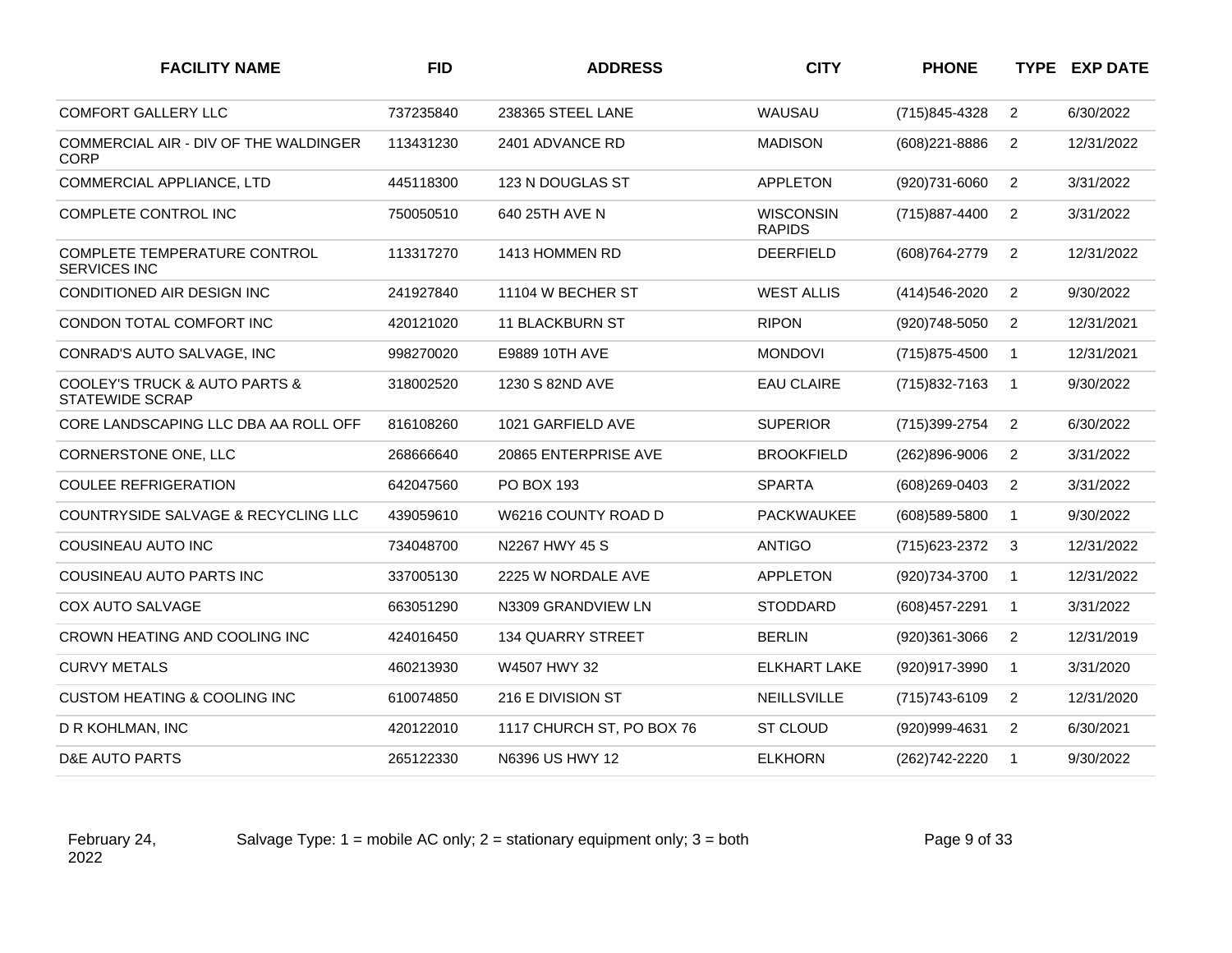| <b>FACILITY NAME</b>                                                   | <b>FID</b> | <b>ADDRESS</b>            | <b>CITY</b>                       | <b>PHONE</b>   |                | <b>TYPE EXP DATE</b> |
|------------------------------------------------------------------------|------------|---------------------------|-----------------------------------|----------------|----------------|----------------------|
| <b>COMFORT GALLERY LLC</b>                                             | 737235840  | 238365 STEEL LANE         | WAUSAU                            | (715)845-4328  | $\overline{2}$ | 6/30/2022            |
| COMMERCIAL AIR - DIV OF THE WALDINGER<br><b>CORP</b>                   | 113431230  | 2401 ADVANCE RD           | <b>MADISON</b>                    | (608) 221-8886 | 2              | 12/31/2022           |
| COMMERCIAL APPLIANCE, LTD                                              | 445118300  | 123 N DOUGLAS ST          | <b>APPLETON</b>                   | (920)731-6060  | $\overline{2}$ | 3/31/2022            |
| COMPLETE CONTROL INC                                                   | 750050510  | 640 25TH AVE N            | <b>WISCONSIN</b><br><b>RAPIDS</b> | (715) 887-4400 | 2              | 3/31/2022            |
| COMPLETE TEMPERATURE CONTROL<br><b>SERVICES INC</b>                    | 113317270  | 1413 HOMMEN RD            | <b>DEERFIELD</b>                  | (608) 764-2779 | 2              | 12/31/2022           |
| CONDITIONED AIR DESIGN INC                                             | 241927840  | 11104 W BECHER ST         | <b>WEST ALLIS</b>                 | (414) 546-2020 | $\overline{2}$ | 9/30/2022            |
| CONDON TOTAL COMFORT INC                                               | 420121020  | 11 BLACKBURN ST           | <b>RIPON</b>                      | (920)748-5050  | $\overline{2}$ | 12/31/2021           |
| CONRAD'S AUTO SALVAGE, INC                                             | 998270020  | E9889 10TH AVE            | <b>MONDOVI</b>                    | (715)875-4500  | $\mathbf{1}$   | 12/31/2021           |
| <b>COOLEY'S TRUCK &amp; AUTO PARTS &amp;</b><br><b>STATEWIDE SCRAP</b> | 318002520  | 1230 S 82ND AVE           | <b>EAU CLAIRE</b>                 | (715) 832-7163 | $\mathbf{1}$   | 9/30/2022            |
| CORE LANDSCAPING LLC DBA AA ROLL OFF                                   | 816108260  | 1021 GARFIELD AVE         | <b>SUPERIOR</b>                   | (715)399-2754  | $\overline{2}$ | 6/30/2022            |
| CORNERSTONE ONE, LLC                                                   | 268666640  | 20865 ENTERPRISE AVE      | <b>BROOKFIELD</b>                 | (262)896-9006  | $\overline{2}$ | 3/31/2022            |
| <b>COULEE REFRIGERATION</b>                                            | 642047560  | <b>PO BOX 193</b>         | <b>SPARTA</b>                     | (608)269-0403  | 2              | 3/31/2022            |
| COUNTRYSIDE SALVAGE & RECYCLING LLC                                    | 439059610  | W6216 COUNTY ROAD D       | <b>PACKWAUKEE</b>                 | (608) 589-5800 | $\mathbf{1}$   | 9/30/2022            |
| COUSINEAU AUTO INC                                                     | 734048700  | N2267 HWY 45 S            | <b>ANTIGO</b>                     | (715) 623-2372 | 3              | 12/31/2022           |
| COUSINEAU AUTO PARTS INC                                               | 337005130  | 2225 W NORDALE AVE        | <b>APPLETON</b>                   | (920)734-3700  | $\mathbf{1}$   | 12/31/2022           |
| <b>COX AUTO SALVAGE</b>                                                | 663051290  | N3309 GRANDVIEW LN        | <b>STODDARD</b>                   | (608) 457-2291 | $\mathbf{1}$   | 3/31/2022            |
| CROWN HEATING AND COOLING INC                                          | 424016450  | <b>134 QUARRY STREET</b>  | <b>BERLIN</b>                     | (920)361-3066  | $\overline{c}$ | 12/31/2019           |
| <b>CURVY METALS</b>                                                    | 460213930  | W4507 HWY 32              | <b>ELKHART LAKE</b>               | (920)917-3990  | $\mathbf{1}$   | 3/31/2020            |
| <b>CUSTOM HEATING &amp; COOLING INC</b>                                | 610074850  | 216 E DIVISION ST         | <b>NEILLSVILLE</b>                | (715) 743-6109 | $\overline{2}$ | 12/31/2020           |
| D R KOHLMAN, INC                                                       | 420122010  | 1117 CHURCH ST, PO BOX 76 | ST CLOUD                          | (920)999-4631  | $\overline{c}$ | 6/30/2021            |
| D&E AUTO PARTS                                                         | 265122330  | N6396 US HWY 12           | <b>ELKHORN</b>                    | (262) 742-2220 | $\overline{1}$ | 9/30/2022            |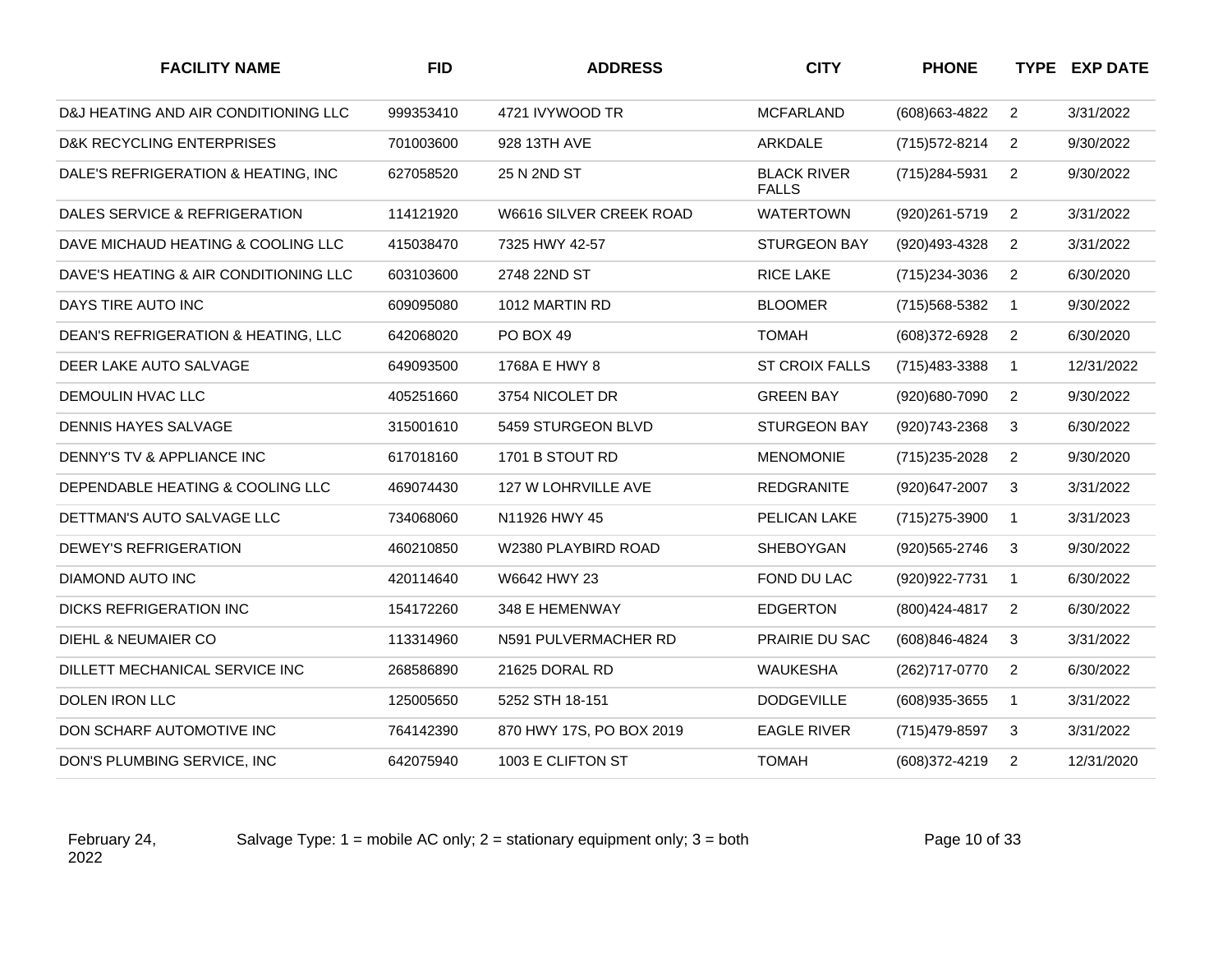| <b>FACILITY NAME</b>                  | <b>FID</b> | <b>ADDRESS</b>           | <b>CITY</b>                        | <b>PHONE</b>   |                | <b>TYPE EXP DATE</b> |
|---------------------------------------|------------|--------------------------|------------------------------------|----------------|----------------|----------------------|
| D&J HEATING AND AIR CONDITIONING LLC  | 999353410  | 4721 IVYWOOD TR          | <b>MCFARLAND</b>                   | (608) 663-4822 | 2              | 3/31/2022            |
| D&K RECYCLING ENTERPRISES             | 701003600  | 928 13TH AVE             | ARKDALE                            | (715) 572-8214 | $\overline{2}$ | 9/30/2022            |
| DALE'S REFRIGERATION & HEATING, INC   | 627058520  | 25 N 2ND ST              | <b>BLACK RIVER</b><br><b>FALLS</b> | (715) 284-5931 | $\overline{2}$ | 9/30/2022            |
| DALES SERVICE & REFRIGERATION         | 114121920  | W6616 SILVER CREEK ROAD  | <b>WATERTOWN</b>                   | (920) 261-5719 | $\overline{2}$ | 3/31/2022            |
| DAVE MICHAUD HEATING & COOLING LLC    | 415038470  | 7325 HWY 42-57           | <b>STURGEON BAY</b>                | (920)493-4328  | $\overline{2}$ | 3/31/2022            |
| DAVE'S HEATING & AIR CONDITIONING LLC | 603103600  | 2748 22ND ST             | <b>RICE LAKE</b>                   | (715) 234-3036 | $\overline{2}$ | 6/30/2020            |
| DAYS TIRE AUTO INC                    | 609095080  | 1012 MARTIN RD           | <b>BLOOMER</b>                     | (715) 568-5382 | $\mathbf{1}$   | 9/30/2022            |
| DEAN'S REFRIGERATION & HEATING, LLC   | 642068020  | PO BOX 49                | <b>TOMAH</b>                       | (608)372-6928  | $\overline{2}$ | 6/30/2020            |
| DEER LAKE AUTO SALVAGE                | 649093500  | 1768A E HWY 8            | <b>ST CROIX FALLS</b>              | (715) 483-3388 | $\mathbf{1}$   | 12/31/2022           |
| DEMOULIN HVAC LLC                     | 405251660  | 3754 NICOLET DR          | <b>GREEN BAY</b>                   | (920)680-7090  | $\overline{2}$ | 9/30/2022            |
| <b>DENNIS HAYES SALVAGE</b>           | 315001610  | 5459 STURGEON BLVD       | <b>STURGEON BAY</b>                | (920) 743-2368 | 3              | 6/30/2022            |
| DENNY'S TV & APPLIANCE INC            | 617018160  | 1701 B STOUT RD          | <b>MENOMONIE</b>                   | (715) 235-2028 | $\overline{2}$ | 9/30/2020            |
| DEPENDABLE HEATING & COOLING LLC      | 469074430  | 127 W LOHRVILLE AVE      | <b>REDGRANITE</b>                  | (920)647-2007  | 3              | 3/31/2022            |
| DETTMAN'S AUTO SALVAGE LLC            | 734068060  | N11926 HWY 45            | PELICAN LAKE                       | (715) 275-3900 | $\mathbf{1}$   | 3/31/2023            |
| DEWEY'S REFRIGERATION                 | 460210850  | W2380 PLAYBIRD ROAD      | SHEBOYGAN                          | (920) 565-2746 | 3              | 9/30/2022            |
| DIAMOND AUTO INC                      | 420114640  | W6642 HWY 23             | FOND DU LAC                        | (920) 922-7731 | $\mathbf{1}$   | 6/30/2022            |
| DICKS REFRIGERATION INC               | 154172260  | 348 E HEMENWAY           | <b>EDGERTON</b>                    | (800) 424-4817 | $\overline{2}$ | 6/30/2022            |
| DIEHL & NEUMAIER CO                   | 113314960  | N591 PULVERMACHER RD     | PRAIRIE DU SAC                     | (608)846-4824  | 3              | 3/31/2022            |
| DILLETT MECHANICAL SERVICE INC        | 268586890  | 21625 DORAL RD           | <b>WAUKESHA</b>                    | (262)717-0770  | $\overline{2}$ | 6/30/2022            |
| DOLEN IRON LLC                        | 125005650  | 5252 STH 18-151          | <b>DODGEVILLE</b>                  | (608) 935-3655 | $\mathbf{1}$   | 3/31/2022            |
| DON SCHARF AUTOMOTIVE INC             | 764142390  | 870 HWY 17S, PO BOX 2019 | <b>EAGLE RIVER</b>                 | (715) 479-8597 | 3              | 3/31/2022            |
| DON'S PLUMBING SERVICE, INC           | 642075940  | 1003 E CLIFTON ST        | <b>TOMAH</b>                       | (608) 372-4219 | 2              | 12/31/2020           |
|                                       |            |                          |                                    |                |                |                      |

Salvage Type:  $1 =$  mobile AC only;  $2 =$  stationary equipment only;  $3 =$  both Page 10 of 33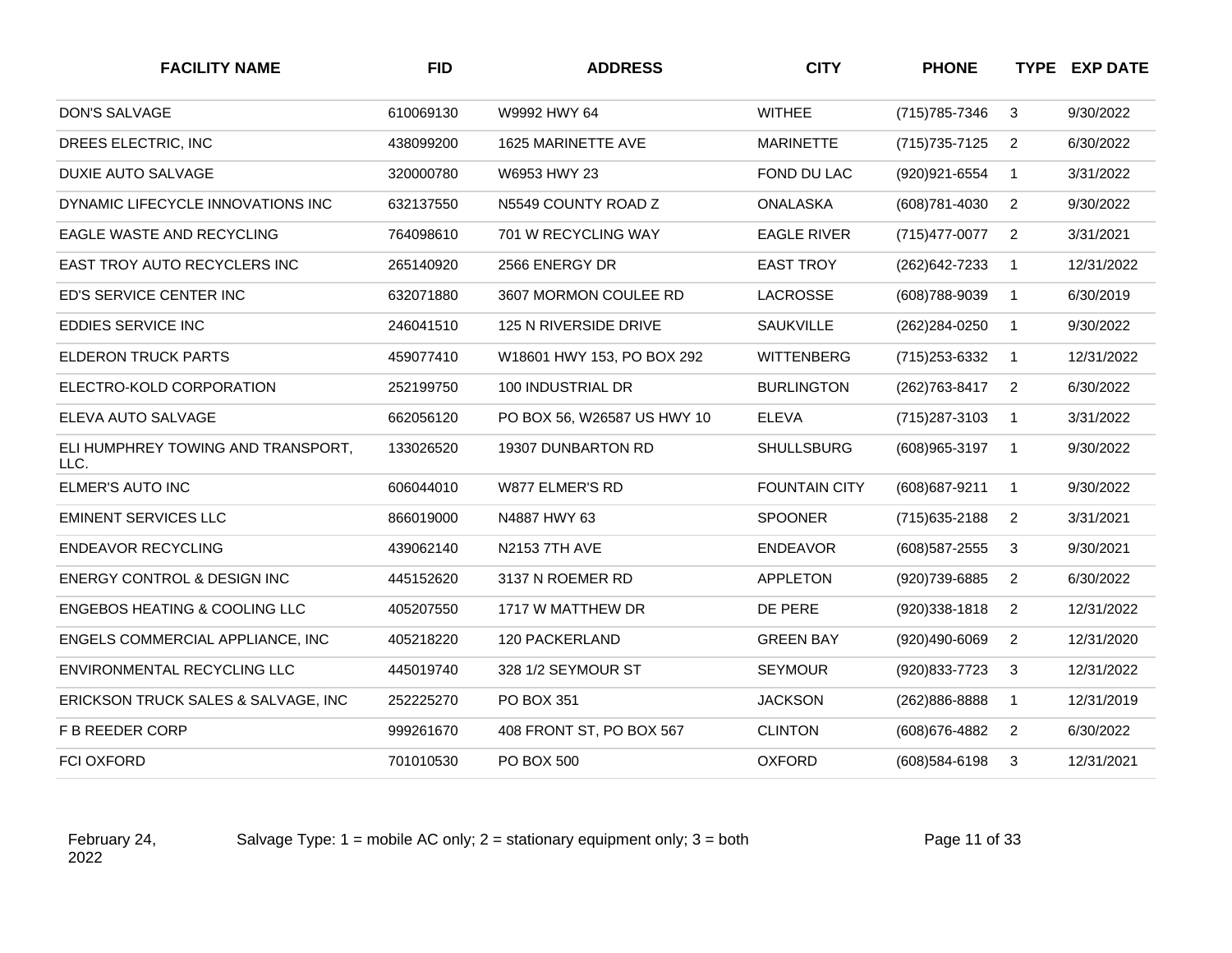| <b>FACILITY NAME</b>                       | <b>FID</b> | <b>ADDRESS</b>               | <b>CITY</b>          | <b>PHONE</b>      |                | <b>TYPE EXP DATE</b> |
|--------------------------------------------|------------|------------------------------|----------------------|-------------------|----------------|----------------------|
| <b>DON'S SALVAGE</b>                       | 610069130  | W9992 HWY 64                 | <b>WITHEE</b>        | (715) 785-7346    | 3              | 9/30/2022            |
| DREES ELECTRIC, INC                        | 438099200  | 1625 MARINETTE AVE           | <b>MARINETTE</b>     | (715) 735-7125    | $\overline{2}$ | 6/30/2022            |
| <b>DUXIE AUTO SALVAGE</b>                  | 320000780  | W6953 HWY 23                 | FOND DU LAC          | (920) 921-6554    | $\mathbf{1}$   | 3/31/2022            |
| DYNAMIC LIFECYCLE INNOVATIONS INC          | 632137550  | N5549 COUNTY ROAD Z          | <b>ONALASKA</b>      | (608) 781-4030    | 2              | 9/30/2022            |
| EAGLE WASTE AND RECYCLING                  | 764098610  | 701 W RECYCLING WAY          | <b>EAGLE RIVER</b>   | (715) 477-0077    | $\overline{2}$ | 3/31/2021            |
| EAST TROY AUTO RECYCLERS INC               | 265140920  | 2566 ENERGY DR               | <b>EAST TROY</b>     | (262) 642-7233    | $\overline{1}$ | 12/31/2022           |
| ED'S SERVICE CENTER INC                    | 632071880  | 3607 MORMON COULEE RD        | <b>LACROSSE</b>      | (608) 788-9039    | $\overline{1}$ | 6/30/2019            |
| EDDIES SERVICE INC                         | 246041510  | <b>125 N RIVERSIDE DRIVE</b> | <b>SAUKVILLE</b>     | (262) 284-0250    | $\overline{1}$ | 9/30/2022            |
| ELDERON TRUCK PARTS                        | 459077410  | W18601 HWY 153, PO BOX 292   | <b>WITTENBERG</b>    | (715) 253-6332    | $\overline{1}$ | 12/31/2022           |
| ELECTRO-KOLD CORPORATION                   | 252199750  | 100 INDUSTRIAL DR            | <b>BURLINGTON</b>    | (262) 763-8417    | $\overline{2}$ | 6/30/2022            |
| ELEVA AUTO SALVAGE                         | 662056120  | PO BOX 56, W26587 US HWY 10  | <b>ELEVA</b>         | (715) 287-3103    | $\mathbf{1}$   | 3/31/2022            |
| ELI HUMPHREY TOWING AND TRANSPORT,<br>LLC. | 133026520  | 19307 DUNBARTON RD           | <b>SHULLSBURG</b>    | (608) 965-3197    | $\overline{1}$ | 9/30/2022            |
| ELMER'S AUTO INC                           | 606044010  | W877 ELMER'S RD              | <b>FOUNTAIN CITY</b> | (608) 687-9211    | $\overline{1}$ | 9/30/2022            |
| <b>EMINENT SERVICES LLC</b>                | 866019000  | N4887 HWY 63                 | <b>SPOONER</b>       | (715) 635-2188    | $\overline{2}$ | 3/31/2021            |
| <b>ENDEAVOR RECYCLING</b>                  | 439062140  | <b>N2153 7TH AVE</b>         | <b>ENDEAVOR</b>      | (608) 587-2555    | 3              | 9/30/2021            |
| ENERGY CONTROL & DESIGN INC                | 445152620  | 3137 N ROEMER RD             | <b>APPLETON</b>      | (920)739-6885     | $\overline{2}$ | 6/30/2022            |
| <b>ENGEBOS HEATING &amp; COOLING LLC</b>   | 405207550  | 1717 W MATTHEW DR            | DE PERE              | $(920)338 - 1818$ | $\overline{2}$ | 12/31/2022           |
| ENGELS COMMERCIAL APPLIANCE, INC           | 405218220  | 120 PACKERLAND               | <b>GREEN BAY</b>     | (920)490-6069     | $\overline{2}$ | 12/31/2020           |
| ENVIRONMENTAL RECYCLING LLC                | 445019740  | 328 1/2 SEYMOUR ST           | <b>SEYMOUR</b>       | (920) 833-7723    | 3              | 12/31/2022           |
| ERICKSON TRUCK SALES & SALVAGE, INC        | 252225270  | PO BOX 351                   | <b>JACKSON</b>       | (262)886-8888     | $\overline{1}$ | 12/31/2019           |
| F B REEDER CORP                            | 999261670  | 408 FRONT ST, PO BOX 567     | <b>CLINTON</b>       | (608) 676-4882    | $\overline{2}$ | 6/30/2022            |
| <b>FCI OXFORD</b>                          | 701010530  | PO BOX 500                   | <b>OXFORD</b>        | (608) 584-6198    | 3              | 12/31/2021           |

Salvage Type:  $1 =$  mobile AC only;  $2 =$  stationary equipment only;  $3 =$  both Page 11 of 33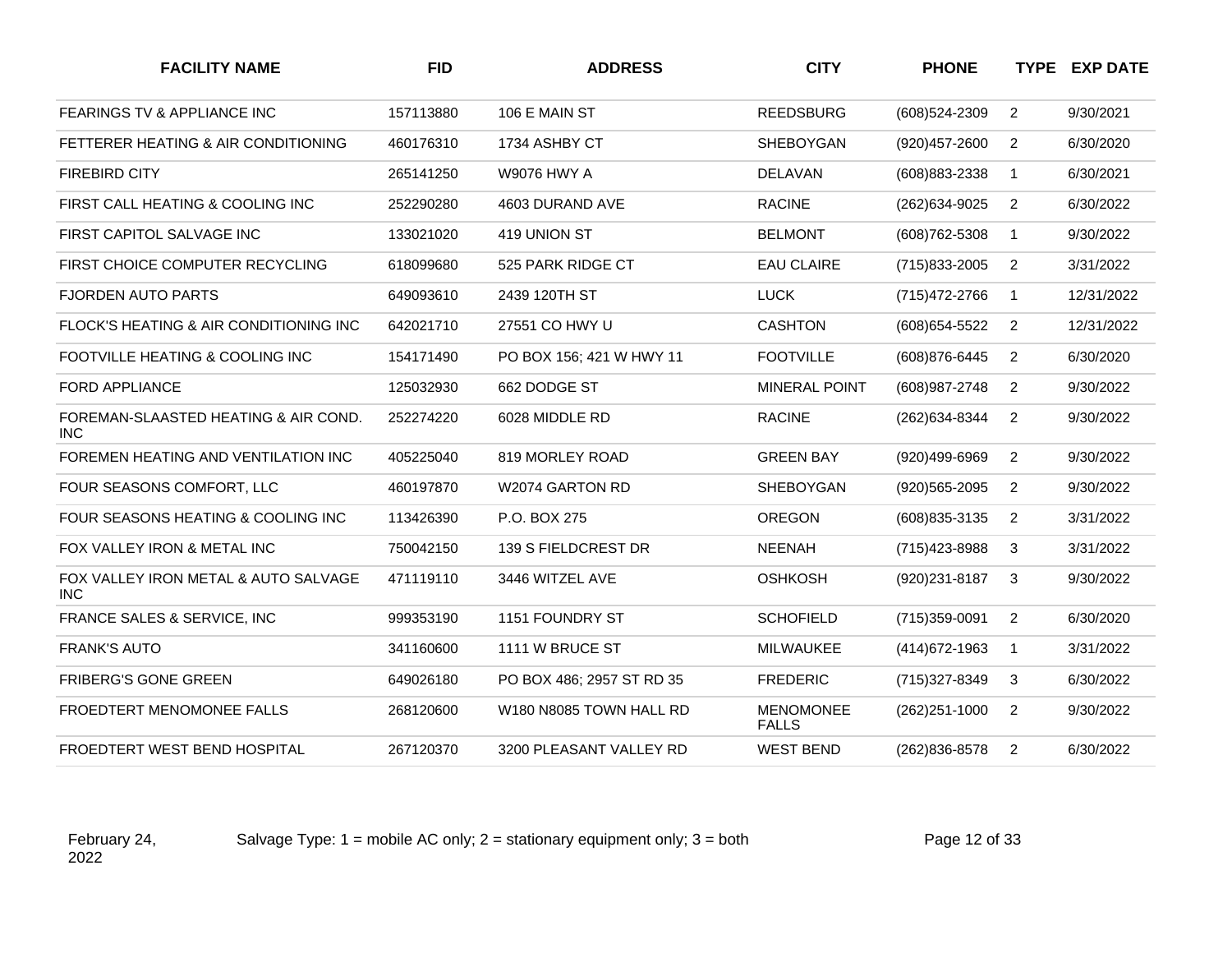| <b>FACILITY NAME</b>                               | <b>FID</b> | <b>ADDRESS</b>            | <b>CITY</b>                      | <b>PHONE</b>   |                | <b>TYPE EXP DATE</b> |
|----------------------------------------------------|------------|---------------------------|----------------------------------|----------------|----------------|----------------------|
| <b>FEARINGS TV &amp; APPLIANCE INC</b>             | 157113880  | 106 E MAIN ST             | <b>REEDSBURG</b>                 | (608)524-2309  | $\overline{2}$ | 9/30/2021            |
| FETTERER HEATING & AIR CONDITIONING                | 460176310  | 1734 ASHBY CT             | SHEBOYGAN                        | (920) 457-2600 | $\overline{2}$ | 6/30/2020            |
| <b>FIREBIRD CITY</b>                               | 265141250  | <b>W9076 HWY A</b>        | <b>DELAVAN</b>                   | (608) 883-2338 | $\mathbf{1}$   | 6/30/2021            |
| FIRST CALL HEATING & COOLING INC                   | 252290280  | 4603 DURAND AVE           | <b>RACINE</b>                    | (262)634-9025  | $\overline{2}$ | 6/30/2022            |
| FIRST CAPITOL SALVAGE INC                          | 133021020  | 419 UNION ST              | <b>BELMONT</b>                   | (608) 762-5308 | $\mathbf{1}$   | 9/30/2022            |
| FIRST CHOICE COMPUTER RECYCLING                    | 618099680  | 525 PARK RIDGE CT         | <b>EAU CLAIRE</b>                | (715) 833-2005 | $\overline{2}$ | 3/31/2022            |
| <b>FJORDEN AUTO PARTS</b>                          | 649093610  | 2439 120TH ST             | <b>LUCK</b>                      | (715) 472-2766 | $\mathbf{1}$   | 12/31/2022           |
| FLOCK'S HEATING & AIR CONDITIONING INC             | 642021710  | 27551 CO HWY U            | <b>CASHTON</b>                   | (608) 654-5522 | $\overline{2}$ | 12/31/2022           |
| FOOTVILLE HEATING & COOLING INC                    | 154171490  | PO BOX 156; 421 W HWY 11  | <b>FOOTVILLE</b>                 | (608) 876-6445 | 2              | 6/30/2020            |
| <b>FORD APPLIANCE</b>                              | 125032930  | 662 DODGE ST              | <b>MINERAL POINT</b>             | (608) 987-2748 | 2              | 9/30/2022            |
| FOREMAN-SLAASTED HEATING & AIR COND.<br><b>INC</b> | 252274220  | 6028 MIDDLE RD            | <b>RACINE</b>                    | (262) 634-8344 | 2              | 9/30/2022            |
| FOREMEN HEATING AND VENTILATION INC                | 405225040  | 819 MORLEY ROAD           | <b>GREEN BAY</b>                 | (920)499-6969  | $\overline{2}$ | 9/30/2022            |
| FOUR SEASONS COMFORT, LLC                          | 460197870  | W2074 GARTON RD           | SHEBOYGAN                        | (920) 565-2095 | $\overline{2}$ | 9/30/2022            |
| FOUR SEASONS HEATING & COOLING INC                 | 113426390  | P.O. BOX 275              | OREGON                           | (608) 835-3135 | $\overline{2}$ | 3/31/2022            |
| FOX VALLEY IRON & METAL INC                        | 750042150  | 139 S FIELDCREST DR       | <b>NEENAH</b>                    | (715) 423-8988 | 3              | 3/31/2022            |
| FOX VALLEY IRON METAL & AUTO SALVAGE<br><b>INC</b> | 471119110  | 3446 WITZEL AVE           | <b>OSHKOSH</b>                   | (920)231-8187  | 3              | 9/30/2022            |
| FRANCE SALES & SERVICE, INC                        | 999353190  | 1151 FOUNDRY ST           | <b>SCHOFIELD</b>                 | (715)359-0091  | $\overline{2}$ | 6/30/2020            |
| <b>FRANK'S AUTO</b>                                | 341160600  | 1111 W BRUCE ST           | MILWAUKEE                        | (414) 672-1963 | $\mathbf{1}$   | 3/31/2022            |
| FRIBERG'S GONE GREEN                               | 649026180  | PO BOX 486; 2957 ST RD 35 | <b>FREDERIC</b>                  | (715) 327-8349 | 3              | 6/30/2022            |
| FROEDTERT MENOMONEE FALLS                          | 268120600  | W180 N8085 TOWN HALL RD   | <b>MENOMONEE</b><br><b>FALLS</b> | (262) 251-1000 | $\overline{2}$ | 9/30/2022            |
| FROEDTERT WEST BEND HOSPITAL                       | 267120370  | 3200 PLEASANT VALLEY RD   | <b>WEST BEND</b>                 | (262) 836-8578 | $\overline{2}$ | 6/30/2022            |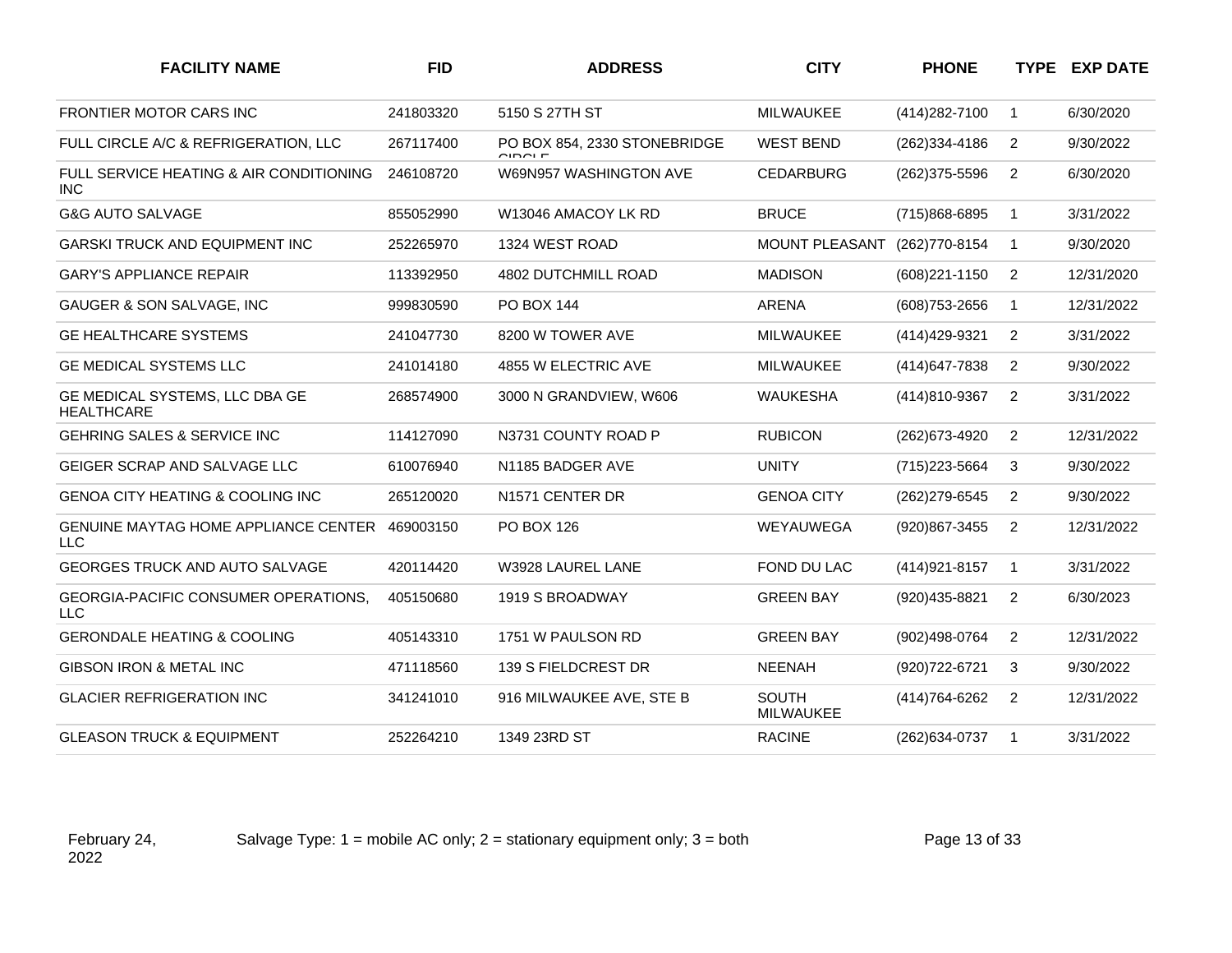| <b>FACILITY NAME</b>                                      | <b>FID</b> | <b>ADDRESS</b>                          | <b>CITY</b>                      | <b>PHONE</b>      |                | TYPE EXP DATE |
|-----------------------------------------------------------|------------|-----------------------------------------|----------------------------------|-------------------|----------------|---------------|
| <b>FRONTIER MOTOR CARS INC</b>                            | 241803320  | 5150 S 27TH ST                          | <b>MILWAUKEE</b>                 | (414) 282-7100    | $\mathbf{1}$   | 6/30/2020     |
| FULL CIRCLE A/C & REFRIGERATION, LLC                      | 267117400  | PO BOX 854, 2330 STONEBRIDGE<br>ח ומחומ | <b>WEST BEND</b>                 | (262) 334-4186    | 2              | 9/30/2022     |
| FULL SERVICE HEATING & AIR CONDITIONING<br><b>INC</b>     | 246108720  | W69N957 WASHINGTON AVE                  | <b>CEDARBURG</b>                 | (262) 375-5596    | $\overline{2}$ | 6/30/2020     |
| <b>G&amp;G AUTO SALVAGE</b>                               | 855052990  | W13046 AMACOY LK RD                     | <b>BRUCE</b>                     | (715)868-6895     | $\mathbf{1}$   | 3/31/2022     |
| <b>GARSKI TRUCK AND EQUIPMENT INC</b>                     | 252265970  | 1324 WEST ROAD                          | <b>MOUNT PLEASANT</b>            | (262)770-8154     | 1              | 9/30/2020     |
| <b>GARY'S APPLIANCE REPAIR</b>                            | 113392950  | 4802 DUTCHMILL ROAD                     | <b>MADISON</b>                   | $(608)221 - 1150$ | 2              | 12/31/2020    |
| GAUGER & SON SALVAGE, INC                                 | 999830590  | PO BOX 144                              | ARENA                            | (608) 753-2656    | $\mathbf{1}$   | 12/31/2022    |
| <b>GE HEALTHCARE SYSTEMS</b>                              | 241047730  | 8200 W TOWER AVE                        | <b>MILWAUKEE</b>                 | (414) 429-9321    | 2              | 3/31/2022     |
| <b>GE MEDICAL SYSTEMS LLC</b>                             | 241014180  | 4855 W ELECTRIC AVE                     | <b>MILWAUKEE</b>                 | (414) 647-7838    | $\overline{2}$ | 9/30/2022     |
| GE MEDICAL SYSTEMS, LLC DBA GE<br><b>HEALTHCARE</b>       | 268574900  | 3000 N GRANDVIEW, W606                  | <b>WAUKESHA</b>                  | (414)810-9367     | $\overline{2}$ | 3/31/2022     |
| <b>GEHRING SALES &amp; SERVICE INC</b>                    | 114127090  | N3731 COUNTY ROAD P                     | <b>RUBICON</b>                   | (262) 673-4920    | $\overline{2}$ | 12/31/2022    |
| GEIGER SCRAP AND SALVAGE LLC                              | 610076940  | N1185 BADGER AVE                        | <b>UNITY</b>                     | (715) 223-5664    | 3              | 9/30/2022     |
| GENOA CITY HEATING & COOLING INC                          | 265120020  | N1571 CENTER DR                         | <b>GENOA CITY</b>                | (262) 279-6545    | 2              | 9/30/2022     |
| <b>GENUINE MAYTAG HOME APPLIANCE CENTER</b><br><b>LLC</b> | 469003150  | <b>PO BOX 126</b>                       | WEYAUWEGA                        | (920)867-3455     | 2              | 12/31/2022    |
| <b>GEORGES TRUCK AND AUTO SALVAGE</b>                     | 420114420  | W3928 LAUREL LANE                       | FOND DU LAC                      | $(414)921 - 8157$ | $\mathbf{1}$   | 3/31/2022     |
| <b>GEORGIA-PACIFIC CONSUMER OPERATIONS,</b><br><b>LLC</b> | 405150680  | 1919 S BROADWAY                         | <b>GREEN BAY</b>                 | (920)435-8821     | 2              | 6/30/2023     |
| <b>GERONDALE HEATING &amp; COOLING</b>                    | 405143310  | 1751 W PAULSON RD                       | <b>GREEN BAY</b>                 | (902)498-0764     | 2              | 12/31/2022    |
| GIBSON IRON & METAL INC                                   | 471118560  | 139 S FIELDCREST DR                     | <b>NEENAH</b>                    | (920) 722-6721    | 3              | 9/30/2022     |
| <b>GLACIER REFRIGERATION INC</b>                          | 341241010  | 916 MILWAUKEE AVE, STE B                | <b>SOUTH</b><br><b>MILWAUKEE</b> | (414) 764-6262    | $\overline{2}$ | 12/31/2022    |
| <b>GLEASON TRUCK &amp; EQUIPMENT</b>                      | 252264210  | 1349 23RD ST                            | <b>RACINE</b>                    | (262) 634-0737    | -1             | 3/31/2022     |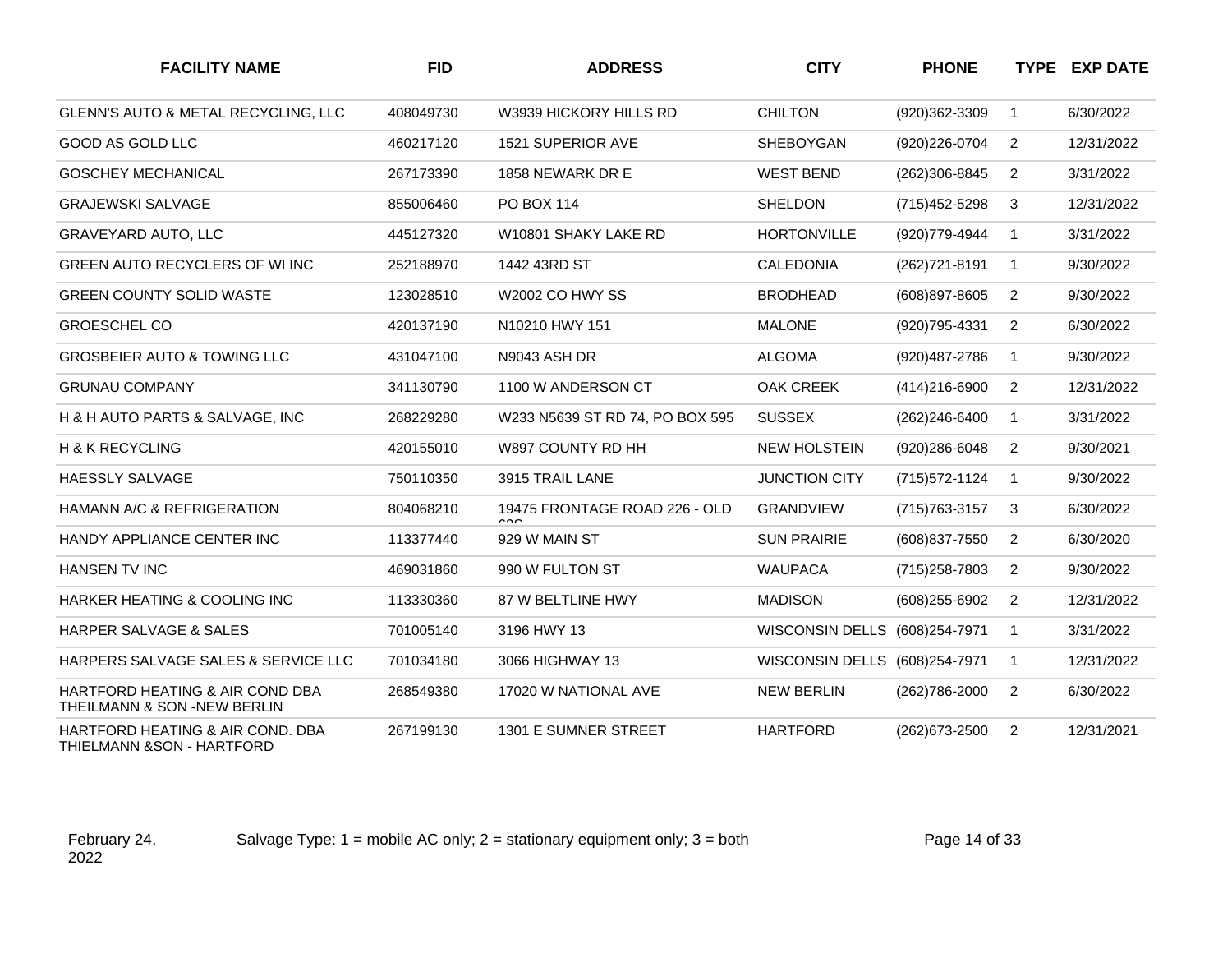| <b>FACILITY NAME</b>                                                      | <b>FID</b> | <b>ADDRESS</b>                       | <b>CITY</b>                   | <b>PHONE</b>      |                | <b>TYPE EXP DATE</b> |
|---------------------------------------------------------------------------|------------|--------------------------------------|-------------------------------|-------------------|----------------|----------------------|
| GLENN'S AUTO & METAL RECYCLING, LLC                                       | 408049730  | W3939 HICKORY HILLS RD               | <b>CHILTON</b>                | (920)362-3309     | $\mathbf{1}$   | 6/30/2022            |
| GOOD AS GOLD LLC                                                          | 460217120  | 1521 SUPERIOR AVE                    | <b>SHEBOYGAN</b>              | (920) 226-0704    | $\overline{2}$ | 12/31/2022           |
| <b>GOSCHEY MECHANICAL</b>                                                 | 267173390  | 1858 NEWARK DR E                     | <b>WEST BEND</b>              | (262)306-8845     | 2              | 3/31/2022            |
| <b>GRAJEWSKI SALVAGE</b>                                                  | 855006460  | PO BOX 114                           | <b>SHELDON</b>                | (715) 452-5298    | 3              | 12/31/2022           |
| <b>GRAVEYARD AUTO, LLC</b>                                                | 445127320  | W10801 SHAKY LAKE RD                 | <b>HORTONVILLE</b>            | (920) 779-4944    | $\mathbf{1}$   | 3/31/2022            |
| GREEN AUTO RECYCLERS OF WI INC                                            | 252188970  | 1442 43RD ST                         | <b>CALEDONIA</b>              | (262) 721-8191    | $\mathbf{1}$   | 9/30/2022            |
| <b>GREEN COUNTY SOLID WASTE</b>                                           | 123028510  | <b>W2002 CO HWY SS</b>               | <b>BRODHEAD</b>               | (608) 897-8605    | $\overline{2}$ | 9/30/2022            |
| <b>GROESCHEL CO</b>                                                       | 420137190  | N10210 HWY 151                       | <b>MALONE</b>                 | (920) 795-4331    | $\overline{2}$ | 6/30/2022            |
| <b>GROSBEIER AUTO &amp; TOWING LLC</b>                                    | 431047100  | N9043 ASH DR                         | <b>ALGOMA</b>                 | (920) 487-2786    | $\mathbf{1}$   | 9/30/2022            |
| <b>GRUNAU COMPANY</b>                                                     | 341130790  | 1100 W ANDERSON CT                   | <b>OAK CREEK</b>              | $(414)216 - 6900$ | $\overline{2}$ | 12/31/2022           |
| H & H AUTO PARTS & SALVAGE, INC                                           | 268229280  | W233 N5639 ST RD 74, PO BOX 595      | <b>SUSSEX</b>                 | $(262)246 - 6400$ | $\mathbf 1$    | 3/31/2022            |
| H & K RECYCLING                                                           | 420155010  | W897 COUNTY RD HH                    | <b>NEW HOLSTEIN</b>           | (920)286-6048     | $\overline{2}$ | 9/30/2021            |
| <b>HAESSLY SALVAGE</b>                                                    | 750110350  | 3915 TRAIL LANE                      | <b>JUNCTION CITY</b>          | (715) 572-1124    | $\mathbf{1}$   | 9/30/2022            |
| HAMANN A/C & REFRIGERATION                                                | 804068210  | 19475 FRONTAGE ROAD 226 - OLD<br>000 | <b>GRANDVIEW</b>              | (715) 763-3157    | 3              | 6/30/2022            |
| HANDY APPLIANCE CENTER INC                                                | 113377440  | 929 W MAIN ST                        | <b>SUN PRAIRIE</b>            | (608) 837-7550    | $\overline{2}$ | 6/30/2020            |
| HANSEN TV INC                                                             | 469031860  | 990 W FULTON ST                      | <b>WAUPACA</b>                | (715) 258-7803    | $\overline{2}$ | 9/30/2022            |
| HARKER HEATING & COOLING INC                                              | 113330360  | 87 W BELTLINE HWY                    | <b>MADISON</b>                | (608) 255-6902    | $\overline{2}$ | 12/31/2022           |
| HARPER SALVAGE & SALES                                                    | 701005140  | 3196 HWY 13                          | WISCONSIN DELLS (608)254-7971 |                   | $\mathbf{1}$   | 3/31/2022            |
| HARPERS SALVAGE SALES & SERVICE LLC                                       | 701034180  | 3066 HIGHWAY 13                      | <b>WISCONSIN DELLS</b>        | (608)254-7971     | $\mathbf{1}$   | 12/31/2022           |
| HARTFORD HEATING & AIR COND DBA<br>THEILMANN & SON -NEW BERLIN            | 268549380  | 17020 W NATIONAL AVE                 | <b>NEW BERLIN</b>             | (262) 786-2000    | $\overline{2}$ | 6/30/2022            |
| HARTFORD HEATING & AIR COND. DBA<br><b>THIELMANN &amp; SON - HARTFORD</b> | 267199130  | 1301 E SUMNER STREET                 | <b>HARTFORD</b>               | (262) 673-2500    | 2              | 12/31/2021           |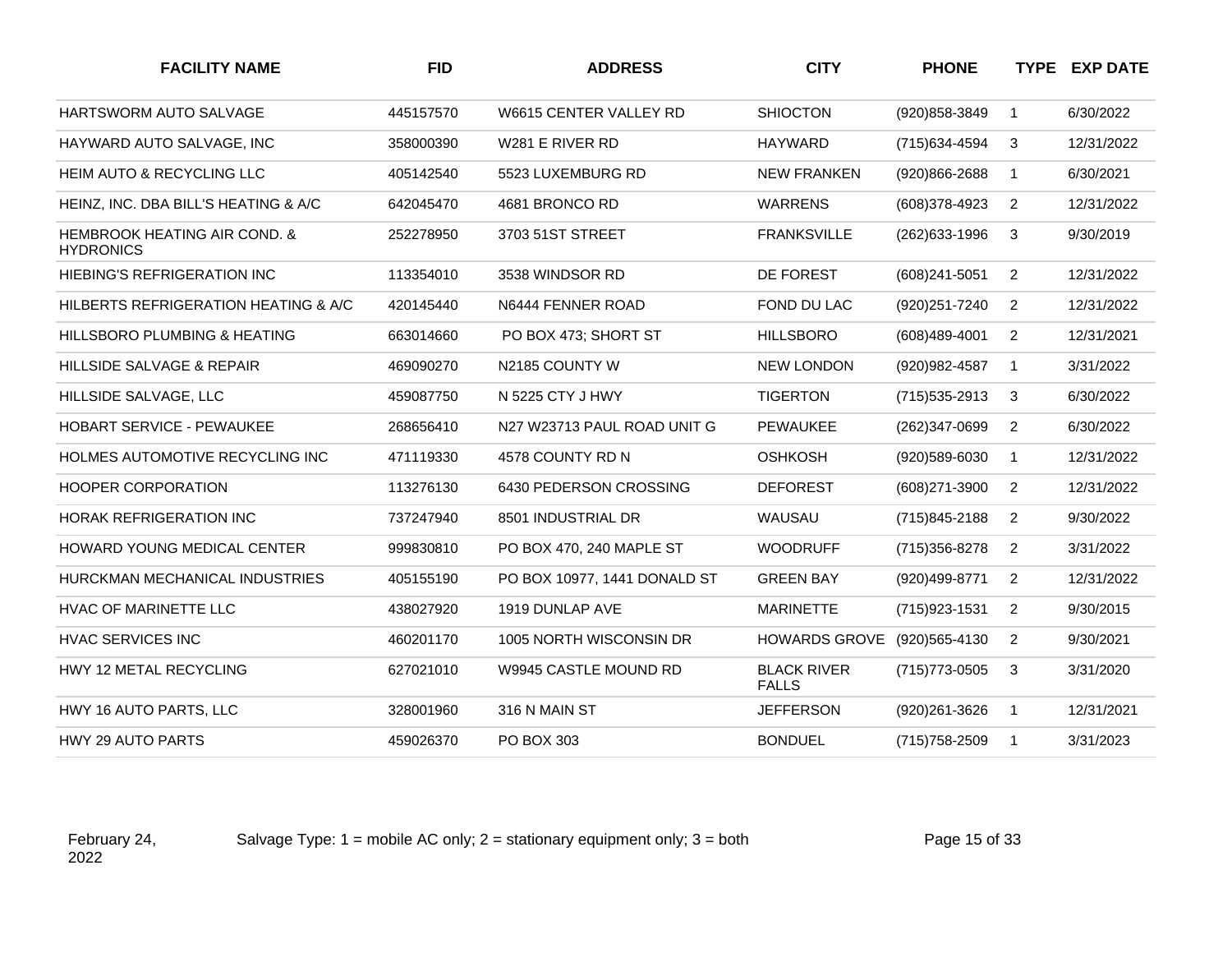| <b>FACILITY NAME</b>                                        | <b>FID</b> | <b>ADDRESS</b>               | <b>CITY</b>                        | <b>PHONE</b>      |                | TYPE EXP DATE |
|-------------------------------------------------------------|------------|------------------------------|------------------------------------|-------------------|----------------|---------------|
| <b>HARTSWORM AUTO SALVAGE</b>                               | 445157570  | W6615 CENTER VALLEY RD       | <b>SHIOCTON</b>                    | (920) 858-3849    | $\mathbf 1$    | 6/30/2022     |
| HAYWARD AUTO SALVAGE, INC                                   | 358000390  | W281 E RIVER RD              | <b>HAYWARD</b>                     | (715) 634-4594    | 3              | 12/31/2022    |
| HEIM AUTO & RECYCLING LLC                                   | 405142540  | 5523 LUXEMBURG RD            | <b>NEW FRANKEN</b>                 | (920)866-2688     | 1              | 6/30/2021     |
| HEINZ, INC. DBA BILL'S HEATING & A/C                        | 642045470  | 4681 BRONCO RD               | <b>WARRENS</b>                     | (608)378-4923     | $\overline{2}$ | 12/31/2022    |
| <b>HEMBROOK HEATING AIR COND. &amp;</b><br><b>HYDRONICS</b> | 252278950  | 3703 51ST STREET             | <b>FRANKSVILLE</b>                 | (262) 633-1996    | 3              | 9/30/2019     |
| <b>HIEBING'S REFRIGERATION INC</b>                          | 113354010  | 3538 WINDSOR RD              | DE FOREST                          | (608)241-5051     | 2              | 12/31/2022    |
| HILBERTS REFRIGERATION HEATING & A/C                        | 420145440  | N6444 FENNER ROAD            | FOND DU LAC                        | (920) 251-7240    | 2              | 12/31/2022    |
| HILLSBORO PLUMBING & HEATING                                | 663014660  | PO BOX 473; SHORT ST         | <b>HILLSBORO</b>                   | (608)489-4001     | $\overline{2}$ | 12/31/2021    |
| <b>HILLSIDE SALVAGE &amp; REPAIR</b>                        | 469090270  | N2185 COUNTY W               | <b>NEW LONDON</b>                  | (920) 982-4587    | $\mathbf{1}$   | 3/31/2022     |
| HILLSIDE SALVAGE, LLC                                       | 459087750  | N 5225 CTY J HWY             | <b>TIGERTON</b>                    | (715) 535-2913    | 3              | 6/30/2022     |
| <b>HOBART SERVICE - PEWAUKEE</b>                            | 268656410  | N27 W23713 PAUL ROAD UNIT G  | <b>PEWAUKEE</b>                    | (262)347-0699     | 2              | 6/30/2022     |
| HOLMES AUTOMOTIVE RECYCLING INC                             | 471119330  | 4578 COUNTY RD N             | <b>OSHKOSH</b>                     | (920)589-6030     | $\mathbf{1}$   | 12/31/2022    |
| <b>HOOPER CORPORATION</b>                                   | 113276130  | 6430 PEDERSON CROSSING       | <b>DEFOREST</b>                    | $(608)271 - 3900$ | 2              | 12/31/2022    |
| <b>HORAK REFRIGERATION INC</b>                              | 737247940  | 8501 INDUSTRIAL DR           | WAUSAU                             | (715)845-2188     | $\overline{2}$ | 9/30/2022     |
| <b>HOWARD YOUNG MEDICAL CENTER</b>                          | 999830810  | PO BOX 470, 240 MAPLE ST     | <b>WOODRUFF</b>                    | (715) 356-8278    | $\overline{2}$ | 3/31/2022     |
| HURCKMAN MECHANICAL INDUSTRIES                              | 405155190  | PO BOX 10977, 1441 DONALD ST | <b>GREEN BAY</b>                   | (920)499-8771     | $\overline{2}$ | 12/31/2022    |
| HVAC OF MARINETTE LLC                                       | 438027920  | 1919 DUNLAP AVE              | <b>MARINETTE</b>                   | (715) 923-1531    | $\overline{2}$ | 9/30/2015     |
| <b>HVAC SERVICES INC</b>                                    | 460201170  | 1005 NORTH WISCONSIN DR      | <b>HOWARDS GROVE</b>               | (920) 565-4130    | $\overline{2}$ | 9/30/2021     |
| HWY 12 METAL RECYCLING                                      | 627021010  | W9945 CASTLE MOUND RD        | <b>BLACK RIVER</b><br><b>FALLS</b> | (715) 773-0505    | 3              | 3/31/2020     |
| HWY 16 AUTO PARTS, LLC                                      | 328001960  | 316 N MAIN ST                | <b>JEFFERSON</b>                   | (920)261-3626     | $\mathbf{1}$   | 12/31/2021    |
| HWY 29 AUTO PARTS                                           | 459026370  | PO BOX 303                   | <b>BONDUEL</b>                     | (715) 758-2509    | $\mathbf{1}$   | 3/31/2023     |

Salvage Type:  $1 =$  mobile AC only;  $2 =$  stationary equipment only;  $3 =$  both Page 15 of 33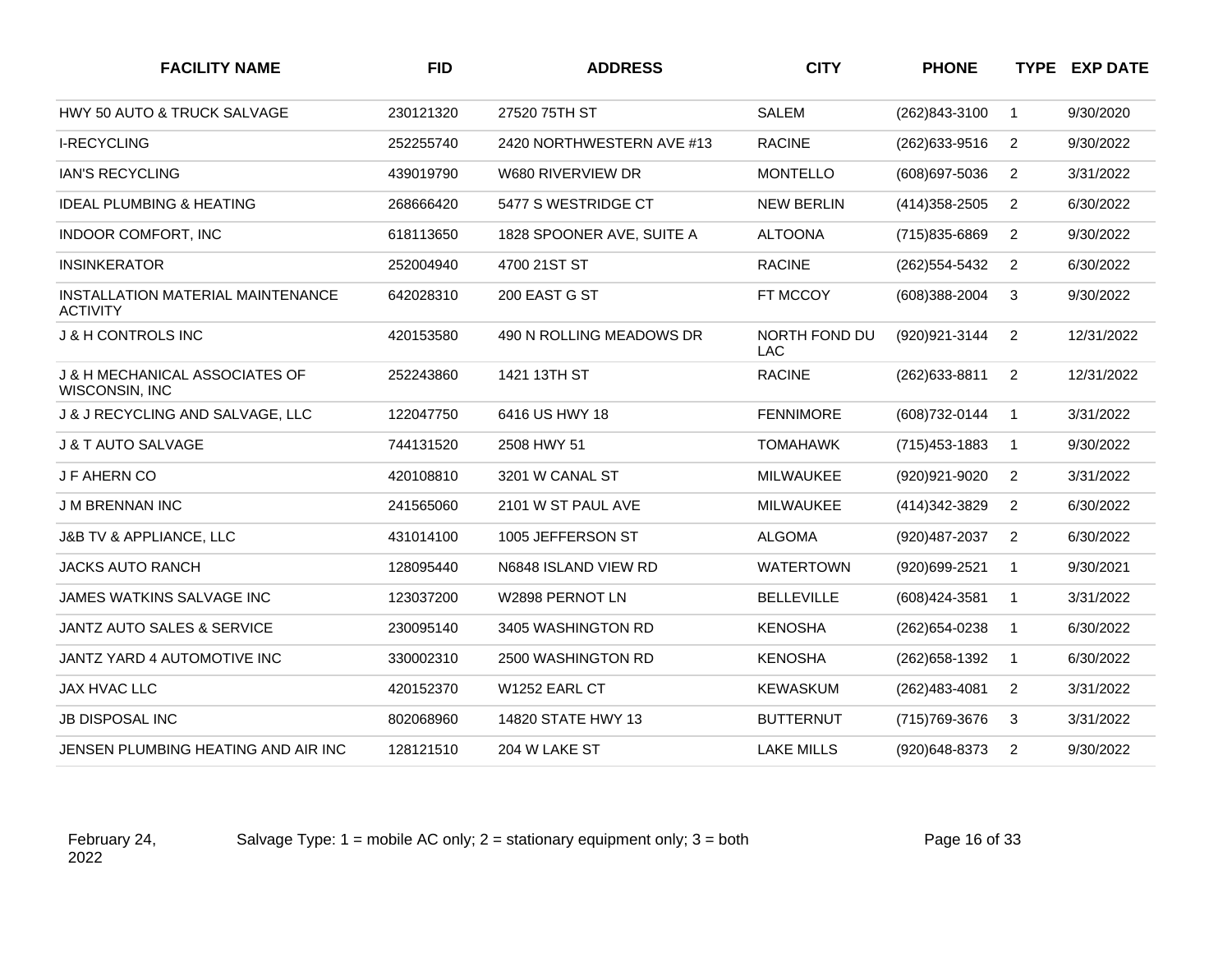| <b>FACILITY NAME</b>                                 | <b>FID</b> | <b>ADDRESS</b>            | <b>CITY</b>                 | <b>PHONE</b>      |                | <b>TYPE EXP DATE</b> |
|------------------------------------------------------|------------|---------------------------|-----------------------------|-------------------|----------------|----------------------|
| <b>HWY 50 AUTO &amp; TRUCK SALVAGE</b>               | 230121320  | 27520 75TH ST             | <b>SALEM</b>                | (262)843-3100     | $\mathbf{1}$   | 9/30/2020            |
| <b>I-RECYCLING</b>                                   | 252255740  | 2420 NORTHWESTERN AVE #13 | <b>RACINE</b>               | (262) 633-9516    | $\overline{2}$ | 9/30/2022            |
| <b>IAN'S RECYCLING</b>                               | 439019790  | W680 RIVERVIEW DR         | <b>MONTELLO</b>             | (608) 697-5036    | $\overline{2}$ | 3/31/2022            |
| <b>IDEAL PLUMBING &amp; HEATING</b>                  | 268666420  | 5477 S WESTRIDGE CT       | <b>NEW BERLIN</b>           | (414) 358-2505    | $\overline{2}$ | 6/30/2022            |
| <b>INDOOR COMFORT, INC</b>                           | 618113650  | 1828 SPOONER AVE, SUITE A | <b>ALTOONA</b>              | (715)835-6869     | 2              | 9/30/2022            |
| <b>INSINKERATOR</b>                                  | 252004940  | 4700 21ST ST              | <b>RACINE</b>               | (262) 554-5432    | 2              | 6/30/2022            |
| INSTALLATION MATERIAL MAINTENANCE<br><b>ACTIVITY</b> | 642028310  | 200 EAST G ST             | FT MCCOY                    | (608)388-2004     | 3              | 9/30/2022            |
| <b>J &amp; H CONTROLS INC</b>                        | 420153580  | 490 N ROLLING MEADOWS DR  | NORTH FOND DU<br><b>LAC</b> | (920) 921-3144    | $\overline{2}$ | 12/31/2022           |
| J & H MECHANICAL ASSOCIATES OF<br>WISCONSIN, INC     | 252243860  | 1421 13TH ST              | <b>RACINE</b>               | (262) 633-8811    | $\overline{2}$ | 12/31/2022           |
| J & J RECYCLING AND SALVAGE, LLC                     | 122047750  | 6416 US HWY 18            | <b>FENNIMORE</b>            | (608) 732-0144    | $\mathbf{1}$   | 3/31/2022            |
| <b>J &amp; T AUTO SALVAGE</b>                        | 744131520  | 2508 HWY 51               | <b>TOMAHAWK</b>             | $(715)453 - 1883$ | $\mathbf{1}$   | 9/30/2022            |
| <b>J F AHERN CO</b>                                  | 420108810  | 3201 W CANAL ST           | <b>MILWAUKEE</b>            | (920) 921-9020    | $\overline{2}$ | 3/31/2022            |
| <b>J M BRENNAN INC</b>                               | 241565060  | 2101 W ST PAUL AVE        | MILWAUKEE                   | (414) 342-3829    | $\overline{2}$ | 6/30/2022            |
| J&B TV & APPLIANCE, LLC                              | 431014100  | 1005 JEFFERSON ST         | <b>ALGOMA</b>               | (920) 487-2037    | $\overline{2}$ | 6/30/2022            |
| <b>JACKS AUTO RANCH</b>                              | 128095440  | N6848 ISLAND VIEW RD      | <b>WATERTOWN</b>            | (920)699-2521     | $\mathbf{1}$   | 9/30/2021            |
| <b>JAMES WATKINS SALVAGE INC</b>                     | 123037200  | W2898 PERNOT LN           | <b>BELLEVILLE</b>           | $(608)424 - 3581$ | $\mathbf{1}$   | 3/31/2022            |
| <b>JANTZ AUTO SALES &amp; SERVICE</b>                | 230095140  | 3405 WASHINGTON RD        | <b>KENOSHA</b>              | (262) 654-0238    | $\mathbf{1}$   | 6/30/2022            |
| JANTZ YARD 4 AUTOMOTIVE INC                          | 330002310  | 2500 WASHINGTON RD        | <b>KENOSHA</b>              | (262) 658-1392    | $\mathbf{1}$   | 6/30/2022            |
| JAX HVAC LLC                                         | 420152370  | W1252 EARL CT             | <b>KEWASKUM</b>             | (262)483-4081     | $\overline{2}$ | 3/31/2022            |
| <b>JB DISPOSAL INC</b>                               | 802068960  | 14820 STATE HWY 13        | <b>BUTTERNUT</b>            | (715) 769-3676    | 3              | 3/31/2022            |
| JENSEN PLUMBING HEATING AND AIR INC                  | 128121510  | 204 W LAKE ST             | <b>LAKE MILLS</b>           | (920)648-8373     | 2              | 9/30/2022            |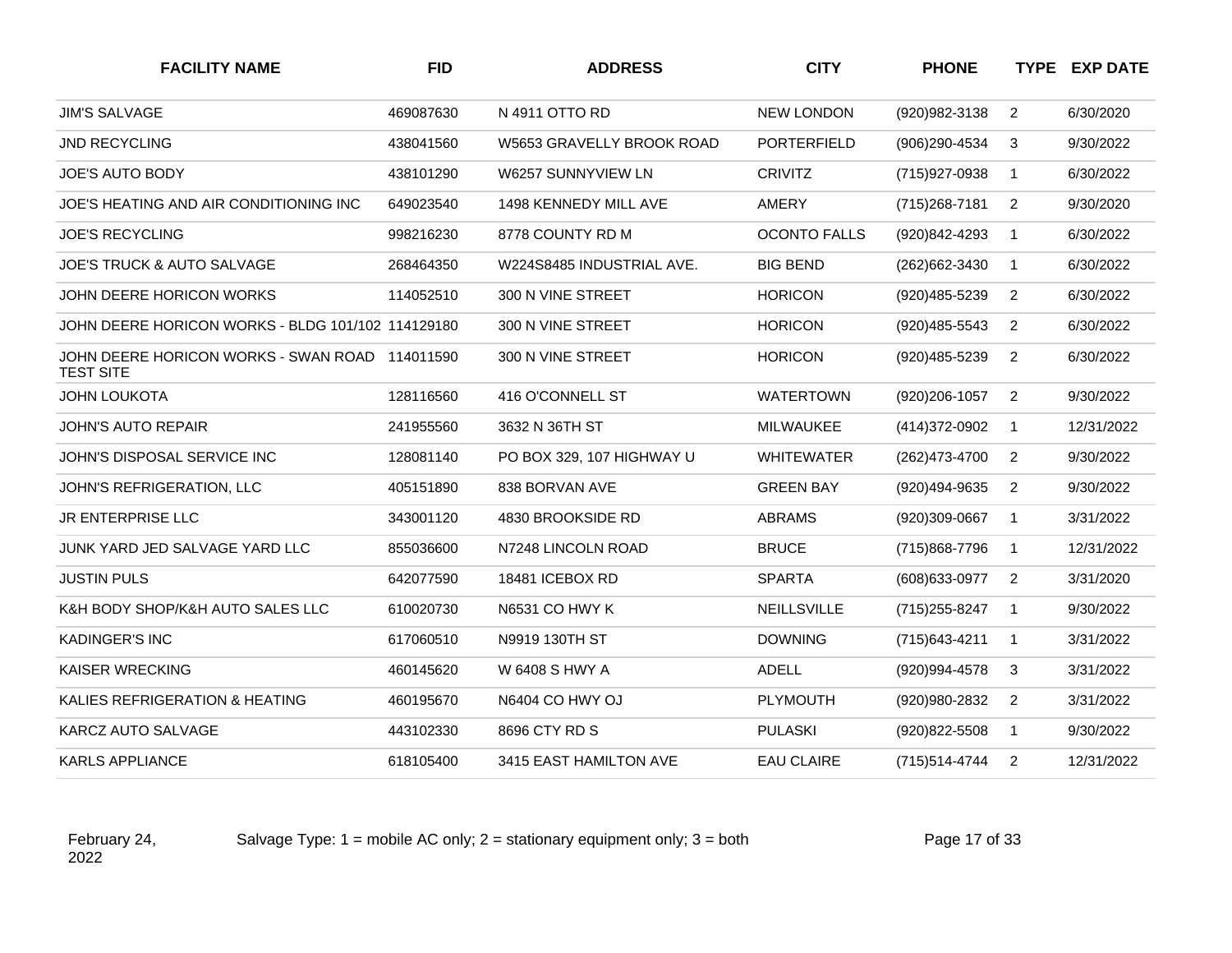| <b>FACILITY NAME</b>                                               | <b>FID</b> | <b>ADDRESS</b>            | <b>CITY</b>         | <b>PHONE</b>   |                | <b>TYPE EXP DATE</b> |
|--------------------------------------------------------------------|------------|---------------------------|---------------------|----------------|----------------|----------------------|
| <b>JIM'S SALVAGE</b>                                               | 469087630  | N 4911 OTTO RD            | <b>NEW LONDON</b>   | (920) 982-3138 | $\overline{2}$ | 6/30/2020            |
| <b>JND RECYCLING</b>                                               | 438041560  | W5653 GRAVELLY BROOK ROAD | <b>PORTERFIELD</b>  | (906)290-4534  | 3              | 9/30/2022            |
| <b>JOE'S AUTO BODY</b>                                             | 438101290  | W6257 SUNNYVIEW LN        | <b>CRIVITZ</b>      | (715) 927-0938 | $\mathbf{1}$   | 6/30/2022            |
| JOE'S HEATING AND AIR CONDITIONING INC                             | 649023540  | 1498 KENNEDY MILL AVE     | AMERY               | (715) 268-7181 | $\overline{2}$ | 9/30/2020            |
| <b>JOE'S RECYCLING</b>                                             | 998216230  | 8778 COUNTY RD M          | <b>OCONTO FALLS</b> | (920)842-4293  | $\mathbf{1}$   | 6/30/2022            |
| <b>JOE'S TRUCK &amp; AUTO SALVAGE</b>                              | 268464350  | W224S8485 INDUSTRIAL AVE. | <b>BIG BEND</b>     | (262) 662-3430 | $\mathbf{1}$   | 6/30/2022            |
| JOHN DEERE HORICON WORKS                                           | 114052510  | 300 N VINE STREET         | <b>HORICON</b>      | (920)485-5239  | 2              | 6/30/2022            |
| JOHN DEERE HORICON WORKS - BLDG 101/102 114129180                  |            | 300 N VINE STREET         | <b>HORICON</b>      | (920) 485-5543 | $\overline{2}$ | 6/30/2022            |
| JOHN DEERE HORICON WORKS - SWAN ROAD 114011590<br><b>TEST SITE</b> |            | 300 N VINE STREET         | <b>HORICON</b>      | (920)485-5239  | $\overline{2}$ | 6/30/2022            |
| <b>JOHN LOUKOTA</b>                                                | 128116560  | 416 O'CONNELL ST          | <b>WATERTOWN</b>    | (920)206-1057  | $\overline{2}$ | 9/30/2022            |
| JOHN'S AUTO REPAIR                                                 | 241955560  | 3632 N 36TH ST            | <b>MILWAUKEE</b>    | (414) 372-0902 | $\mathbf{1}$   | 12/31/2022           |
| JOHN'S DISPOSAL SERVICE INC                                        | 128081140  | PO BOX 329, 107 HIGHWAY U | <b>WHITEWATER</b>   | (262)473-4700  | $\overline{2}$ | 9/30/2022            |
| JOHN'S REFRIGERATION, LLC                                          | 405151890  | 838 BORVAN AVE            | <b>GREEN BAY</b>    | (920)494-9635  | 2              | 9/30/2022            |
| JR ENTERPRISE LLC                                                  | 343001120  | 4830 BROOKSIDE RD         | ABRAMS              | (920)309-0667  | 1              | 3/31/2022            |
| JUNK YARD JED SALVAGE YARD LLC                                     | 855036600  | N7248 LINCOLN ROAD        | <b>BRUCE</b>        | (715)868-7796  | $\mathbf{1}$   | 12/31/2022           |
| <b>JUSTIN PULS</b>                                                 | 642077590  | 18481 ICEBOX RD           | <b>SPARTA</b>       | (608) 633-0977 | 2              | 3/31/2020            |
| K&H BODY SHOP/K&H AUTO SALES LLC                                   | 610020730  | N6531 CO HWY K            | NEILLSVILLE         | (715) 255-8247 | $\mathbf{1}$   | 9/30/2022            |
| <b>KADINGER'S INC</b>                                              | 617060510  | N9919 130TH ST            | <b>DOWNING</b>      | (715) 643-4211 | $\mathbf{1}$   | 3/31/2022            |
| <b>KAISER WRECKING</b>                                             | 460145620  | W 6408 S HWY A            | ADELL               | (920)994-4578  | 3              | 3/31/2022            |
| KALIES REFRIGERATION & HEATING                                     | 460195670  | N6404 CO HWY OJ           | <b>PLYMOUTH</b>     | (920)980-2832  | 2              | 3/31/2022            |
| KARCZ AUTO SALVAGE                                                 | 443102330  | 8696 CTY RD S             | <b>PULASKI</b>      | (920) 822-5508 | 1              | 9/30/2022            |
| <b>KARLS APPLIANCE</b>                                             | 618105400  | 3415 EAST HAMILTON AVE    | <b>EAU CLAIRE</b>   | (715) 514-4744 | $\overline{2}$ | 12/31/2022           |

Salvage Type:  $1 =$  mobile AC only;  $2 =$  stationary equipment only;  $3 =$  both Page 17 of 33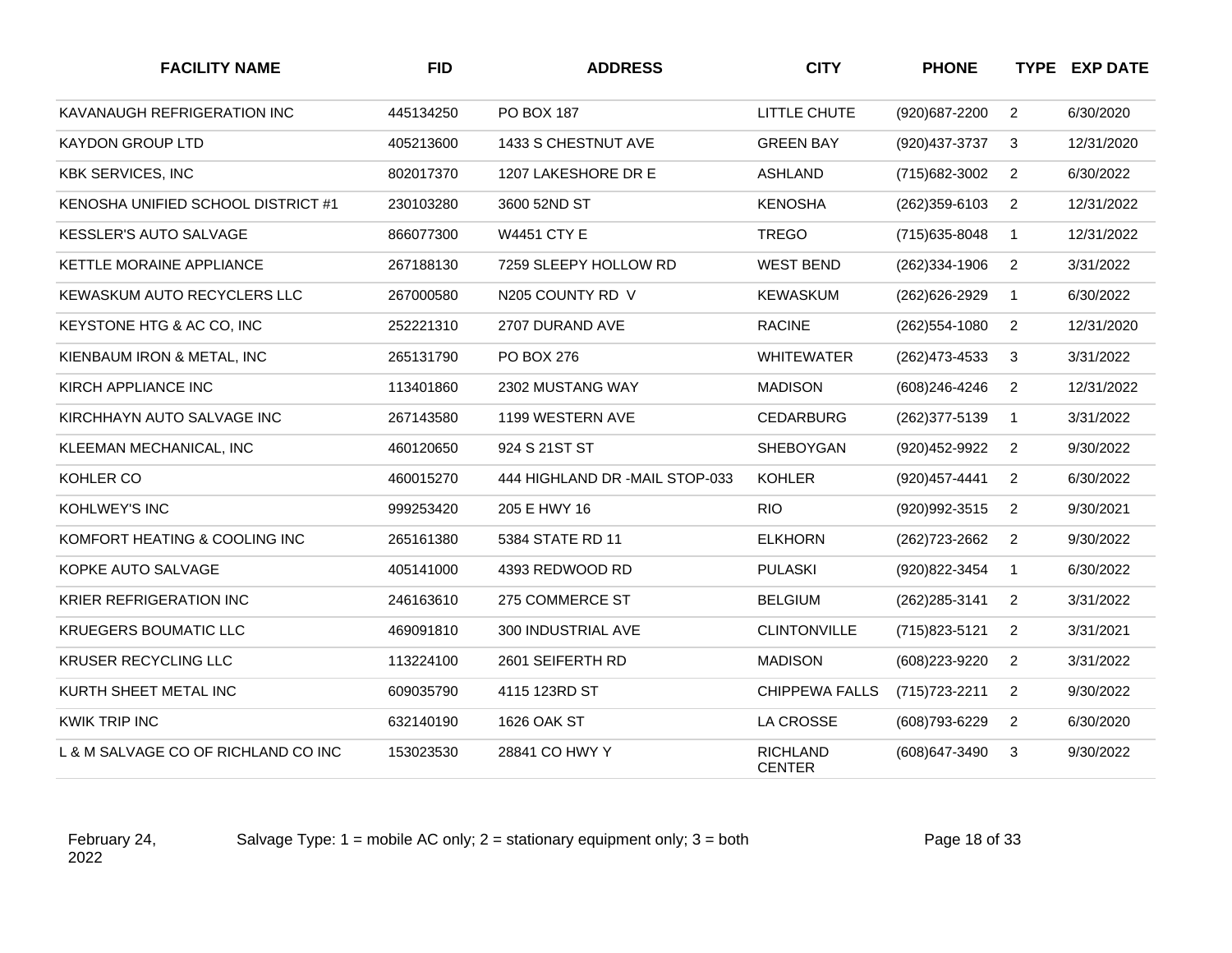| <b>FACILITY NAME</b>                | <b>FID</b> | <b>ADDRESS</b>                 | <b>CITY</b>                      | <b>PHONE</b>     |                | <b>TYPE EXP DATE</b> |
|-------------------------------------|------------|--------------------------------|----------------------------------|------------------|----------------|----------------------|
| KAVANAUGH REFRIGERATION INC         | 445134250  | PO BOX 187                     | LITTLE CHUTE                     | (920)687-2200    | $\overline{2}$ | 6/30/2020            |
| <b>KAYDON GROUP LTD</b>             | 405213600  | 1433 S CHESTNUT AVE            | <b>GREEN BAY</b>                 | (920) 437-3737   | 3              | 12/31/2020           |
| <b>KBK SERVICES, INC</b>            | 802017370  | 1207 LAKESHORE DR E            | <b>ASHLAND</b>                   | (715) 682-3002   | $\overline{2}$ | 6/30/2022            |
| KENOSHA UNIFIED SCHOOL DISTRICT #1  | 230103280  | 3600 52ND ST                   | <b>KENOSHA</b>                   | $(262)359-6103$  | $\overline{2}$ | 12/31/2022           |
| <b>KESSLER'S AUTO SALVAGE</b>       | 866077300  | <b>W4451 CTY E</b>             | <b>TREGO</b>                     | (715) 635-8048   | $\mathbf{1}$   | 12/31/2022           |
| KETTLE MORAINE APPLIANCE            | 267188130  | 7259 SLEEPY HOLLOW RD          | <b>WEST BEND</b>                 | (262)334-1906    | $\overline{2}$ | 3/31/2022            |
| <b>KEWASKUM AUTO RECYCLERS LLC</b>  | 267000580  | N205 COUNTY RD V               | <b>KEWASKUM</b>                  | (262) 626-2929   | $\mathbf{1}$   | 6/30/2022            |
| KEYSTONE HTG & AC CO, INC           | 252221310  | 2707 DURAND AVE                | <b>RACINE</b>                    | $(262)$ 554-1080 | $\overline{2}$ | 12/31/2020           |
| KIENBAUM IRON & METAL, INC          | 265131790  | PO BOX 276                     | <b>WHITEWATER</b>                | (262) 473-4533   | 3              | 3/31/2022            |
| KIRCH APPLIANCE INC                 | 113401860  | 2302 MUSTANG WAY               | <b>MADISON</b>                   | (608)246-4246    | $\overline{2}$ | 12/31/2022           |
| KIRCHHAYN AUTO SALVAGE INC          | 267143580  | 1199 WESTERN AVE               | <b>CEDARBURG</b>                 | (262) 377-5139   | $\mathbf{1}$   | 3/31/2022            |
| KLEEMAN MECHANICAL, INC             | 460120650  | 924 S 21ST ST                  | SHEBOYGAN                        | (920) 452-9922   | $\overline{2}$ | 9/30/2022            |
| KOHLER CO                           | 460015270  | 444 HIGHLAND DR -MAIL STOP-033 | <b>KOHLER</b>                    | (920) 457-4441   | $\overline{2}$ | 6/30/2022            |
| KOHLWEY'S INC                       | 999253420  | 205 E HWY 16                   | <b>RIO</b>                       | (920) 992-3515   | $\overline{2}$ | 9/30/2021            |
| KOMFORT HEATING & COOLING INC       | 265161380  | 5384 STATE RD 11               | <b>ELKHORN</b>                   | (262) 723-2662   | $\overline{2}$ | 9/30/2022            |
| KOPKE AUTO SALVAGE                  | 405141000  | 4393 REDWOOD RD                | <b>PULASKI</b>                   | (920) 822-3454   | $\mathbf{1}$   | 6/30/2022            |
| KRIER REFRIGERATION INC             | 246163610  | 275 COMMERCE ST                | <b>BELGIUM</b>                   | (262) 285-3141   | $\overline{2}$ | 3/31/2022            |
| <b>KRUEGERS BOUMATIC LLC</b>        | 469091810  | 300 INDUSTRIAL AVE             | <b>CLINTONVILLE</b>              | (715) 823-5121   | $\overline{2}$ | 3/31/2021            |
| <b>KRUSER RECYCLING LLC</b>         | 113224100  | 2601 SEIFERTH RD               | <b>MADISON</b>                   | (608)223-9220    | $\overline{2}$ | 3/31/2022            |
| KURTH SHEET METAL INC               | 609035790  | 4115 123RD ST                  | <b>CHIPPEWA FALLS</b>            | (715) 723-2211   | $\overline{2}$ | 9/30/2022            |
| <b>KWIK TRIP INC</b>                | 632140190  | 1626 OAK ST                    | LA CROSSE                        | (608) 793-6229   | $\overline{2}$ | 6/30/2020            |
| L & M SALVAGE CO OF RICHLAND CO INC | 153023530  | 28841 CO HWY Y                 | <b>RICHLAND</b><br><b>CENTER</b> | (608) 647-3490   | 3              | 9/30/2022            |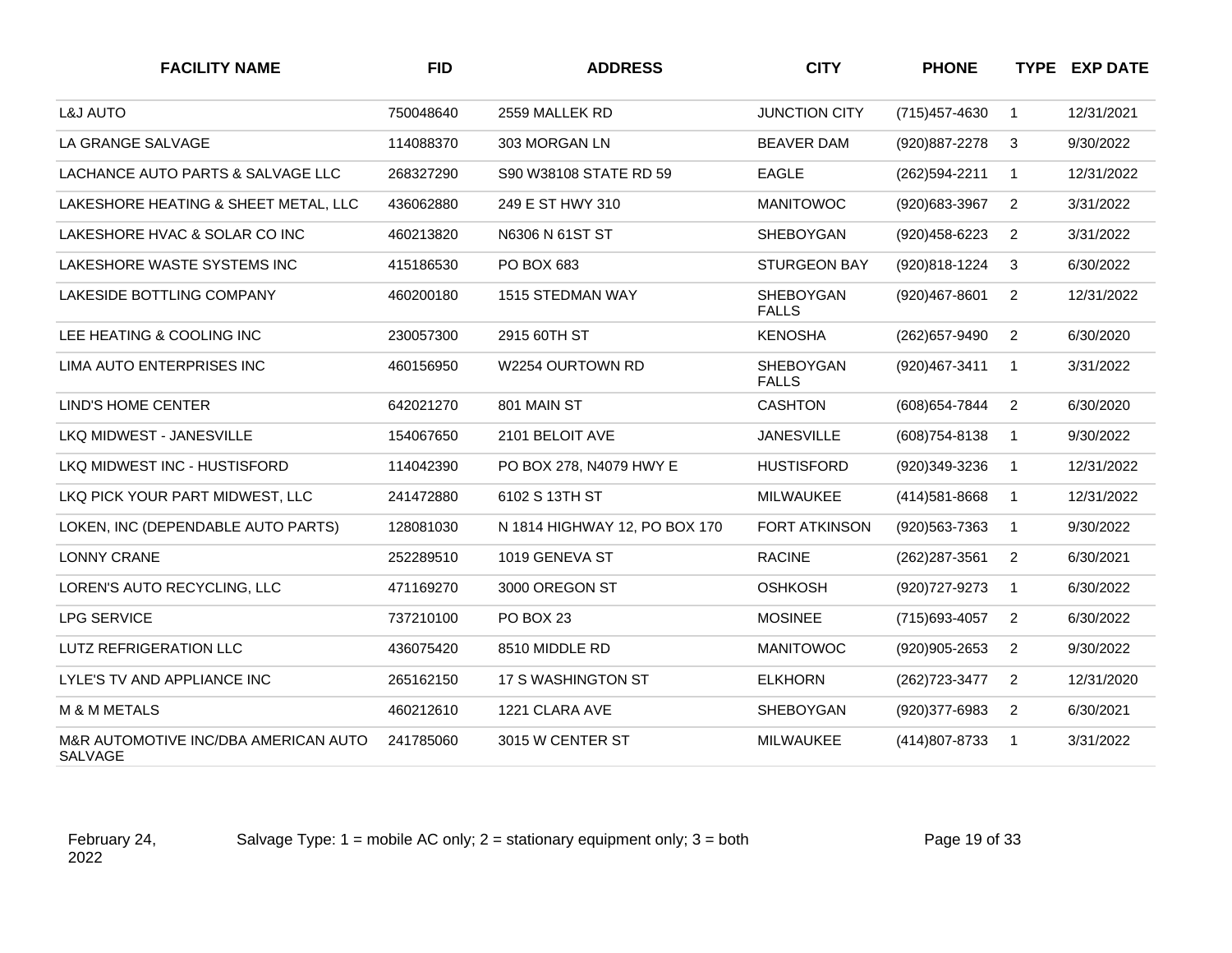| <b>FACILITY NAME</b>                            | <b>FID</b> | <b>ADDRESS</b>                | <b>CITY</b>                      | <b>PHONE</b>      |                | <b>TYPE EXP DATE</b> |
|-------------------------------------------------|------------|-------------------------------|----------------------------------|-------------------|----------------|----------------------|
| <b>L&amp;J AUTO</b>                             | 750048640  | 2559 MALLEK RD                | <b>JUNCTION CITY</b>             | (715) 457-4630    | $\mathbf{1}$   | 12/31/2021           |
| LA GRANGE SALVAGE                               | 114088370  | 303 MORGAN LN                 | <b>BEAVER DAM</b>                | (920) 887-2278    | 3              | 9/30/2022            |
| LACHANCE AUTO PARTS & SALVAGE LLC               | 268327290  | S90 W38108 STATE RD 59        | <b>EAGLE</b>                     | (262)594-2211     | $\mathbf{1}$   | 12/31/2022           |
| LAKESHORE HEATING & SHEET METAL, LLC            | 436062880  | 249 E ST HWY 310              | <b>MANITOWOC</b>                 | (920) 683-3967    | $\overline{2}$ | 3/31/2022            |
| LAKESHORE HVAC & SOLAR CO INC                   | 460213820  | N6306 N 61ST ST               | <b>SHEBOYGAN</b>                 | (920) 458-6223    | 2              | 3/31/2022            |
| LAKESHORE WASTE SYSTEMS INC                     | 415186530  | PO BOX 683                    | <b>STURGEON BAY</b>              | (920)818-1224     | 3              | 6/30/2022            |
| LAKESIDE BOTTLING COMPANY                       | 460200180  | 1515 STEDMAN WAY              | SHEBOYGAN<br><b>FALLS</b>        | (920)467-8601     | $\overline{2}$ | 12/31/2022           |
| LEE HEATING & COOLING INC                       | 230057300  | 2915 60TH ST                  | <b>KENOSHA</b>                   | (262) 657-9490    | $\overline{2}$ | 6/30/2020            |
| LIMA AUTO ENTERPRISES INC                       | 460156950  | W2254 OURTOWN RD              | <b>SHEBOYGAN</b><br><b>FALLS</b> | (920)467-3411     | $\mathbf{1}$   | 3/31/2022            |
| <b>LIND'S HOME CENTER</b>                       | 642021270  | 801 MAIN ST                   | <b>CASHTON</b>                   | (608) 654-7844    | $\overline{2}$ | 6/30/2020            |
| LKQ MIDWEST - JANESVILLE                        | 154067650  | 2101 BELOIT AVE               | <b>JANESVILLE</b>                | (608) 754-8138    | $\mathbf{1}$   | 9/30/2022            |
| LKQ MIDWEST INC - HUSTISFORD                    | 114042390  | PO BOX 278, N4079 HWY E       | <b>HUSTISFORD</b>                | (920)349-3236     | $\mathbf{1}$   | 12/31/2022           |
| LKQ PICK YOUR PART MIDWEST. LLC                 | 241472880  | 6102 S 13TH ST                | <b>MILWAUKEE</b>                 | $(414)581 - 8668$ | $\mathbf{1}$   | 12/31/2022           |
| LOKEN, INC (DEPENDABLE AUTO PARTS)              | 128081030  | N 1814 HIGHWAY 12, PO BOX 170 | <b>FORT ATKINSON</b>             | (920) 563-7363    | $\mathbf{1}$   | 9/30/2022            |
| <b>LONNY CRANE</b>                              | 252289510  | 1019 GENEVA ST                | <b>RACINE</b>                    | (262) 287-3561    | $\overline{c}$ | 6/30/2021            |
| LOREN'S AUTO RECYCLING, LLC                     | 471169270  | 3000 OREGON ST                | <b>OSHKOSH</b>                   | (920) 727-9273    | $\mathbf{1}$   | 6/30/2022            |
| <b>LPG SERVICE</b>                              | 737210100  | <b>PO BOX 23</b>              | <b>MOSINEE</b>                   | (715) 693-4057    | 2              | 6/30/2022            |
| <b>LUTZ REFRIGERATION LLC</b>                   | 436075420  | 8510 MIDDLE RD                | <b>MANITOWOC</b>                 | (920)905-2653     | $\overline{2}$ | 9/30/2022            |
| LYLE'S TV AND APPLIANCE INC                     | 265162150  | 17 S WASHINGTON ST            | <b>ELKHORN</b>                   | (262) 723-3477    | $\overline{2}$ | 12/31/2020           |
| M & M METALS                                    | 460212610  | 1221 CLARA AVE                | <b>SHEBOYGAN</b>                 | (920)377-6983     | 2              | 6/30/2021            |
| M&R AUTOMOTIVE INC/DBA AMERICAN AUTO<br>SALVAGE | 241785060  | 3015 W CENTER ST              | <b>MILWAUKEE</b>                 | (414) 807-8733    | $\mathbf{1}$   | 3/31/2022            |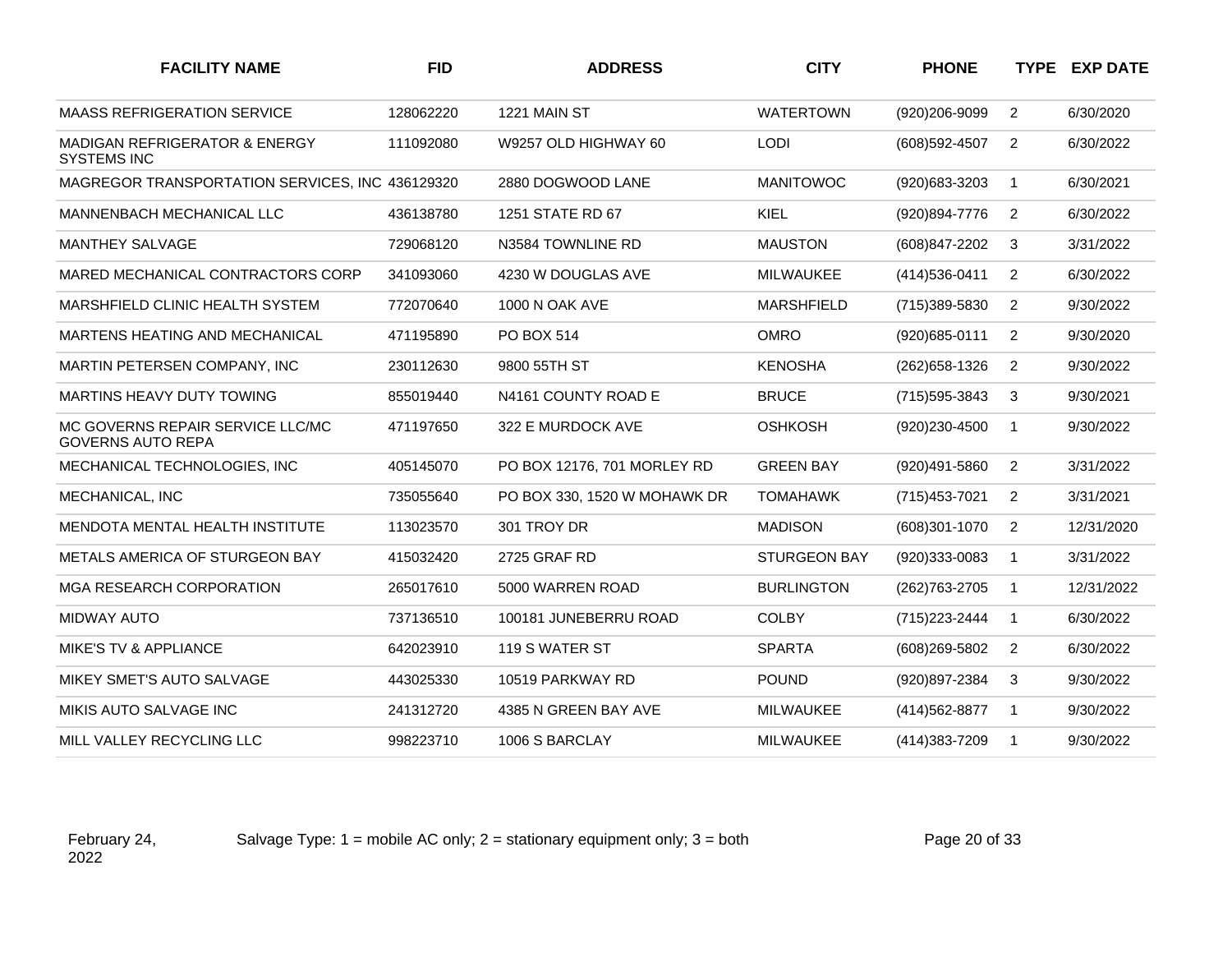| <b>FACILITY NAME</b>                                           | <b>FID</b> | <b>ADDRESS</b>               | <b>CITY</b>         | <b>PHONE</b>   |                | <b>TYPE EXP DATE</b> |
|----------------------------------------------------------------|------------|------------------------------|---------------------|----------------|----------------|----------------------|
| <b>MAASS REFRIGERATION SERVICE</b>                             | 128062220  | 1221 MAIN ST                 | <b>WATERTOWN</b>    | (920)206-9099  | $\overline{2}$ | 6/30/2020            |
| <b>MADIGAN REFRIGERATOR &amp; ENERGY</b><br><b>SYSTEMS INC</b> | 111092080  | W9257 OLD HIGHWAY 60         | <b>LODI</b>         | (608) 592-4507 | 2              | 6/30/2022            |
| MAGREGOR TRANSPORTATION SERVICES, INC 436129320                |            | 2880 DOGWOOD LANE            | <b>MANITOWOC</b>    | (920)683-3203  | $\overline{1}$ | 6/30/2021            |
| MANNENBACH MECHANICAL LLC                                      | 436138780  | 1251 STATE RD 67             | <b>KIEL</b>         | (920)894-7776  | $\overline{2}$ | 6/30/2022            |
| <b>MANTHEY SALVAGE</b>                                         | 729068120  | N3584 TOWNLINE RD            | <b>MAUSTON</b>      | (608) 847-2202 | 3              | 3/31/2022            |
| MARED MECHANICAL CONTRACTORS CORP                              | 341093060  | 4230 W DOUGLAS AVE           | <b>MILWAUKEE</b>    | (414) 536-0411 | 2              | 6/30/2022            |
| MARSHFIELD CLINIC HEALTH SYSTEM                                | 772070640  | <b>1000 N OAK AVE</b>        | <b>MARSHFIELD</b>   | (715)389-5830  | 2              | 9/30/2022            |
| MARTENS HEATING AND MECHANICAL                                 | 471195890  | PO BOX 514                   | <b>OMRO</b>         | (920) 685-0111 | 2              | 9/30/2020            |
| MARTIN PETERSEN COMPANY, INC                                   | 230112630  | 9800 55TH ST                 | <b>KENOSHA</b>      | (262) 658-1326 | 2              | 9/30/2022            |
| MARTINS HEAVY DUTY TOWING                                      | 855019440  | N4161 COUNTY ROAD E          | <b>BRUCE</b>        | (715) 595-3843 | 3              | 9/30/2021            |
| MC GOVERNS REPAIR SERVICE LLC/MC<br><b>GOVERNS AUTO REPA</b>   | 471197650  | 322 E MURDOCK AVE            | <b>OSHKOSH</b>      | (920)230-4500  | $\mathbf{1}$   | 9/30/2022            |
| MECHANICAL TECHNOLOGIES, INC                                   | 405145070  | PO BOX 12176, 701 MORLEY RD  | <b>GREEN BAY</b>    | (920)491-5860  | 2              | 3/31/2022            |
| MECHANICAL, INC                                                | 735055640  | PO BOX 330, 1520 W MOHAWK DR | <b>TOMAHAWK</b>     | (715) 453-7021 | $\overline{2}$ | 3/31/2021            |
| MENDOTA MENTAL HEALTH INSTITUTE                                | 113023570  | 301 TROY DR                  | <b>MADISON</b>      | (608)301-1070  | 2              | 12/31/2020           |
| METALS AMERICA OF STURGEON BAY                                 | 415032420  | 2725 GRAF RD                 | <b>STURGEON BAY</b> | (920)333-0083  | $\mathbf 1$    | 3/31/2022            |
| MGA RESEARCH CORPORATION                                       | 265017610  | 5000 WARREN ROAD             | <b>BURLINGTON</b>   | (262) 763-2705 | -1             | 12/31/2022           |
| <b>MIDWAY AUTO</b>                                             | 737136510  | 100181 JUNEBERRU ROAD        | <b>COLBY</b>        | (715) 223-2444 | $\mathbf{1}$   | 6/30/2022            |
| <b>MIKE'S TV &amp; APPLIANCE</b>                               | 642023910  | 119 S WATER ST               | <b>SPARTA</b>       | (608) 269-5802 | 2              | 6/30/2022            |
| MIKEY SMET'S AUTO SALVAGE                                      | 443025330  | 10519 PARKWAY RD             | <b>POUND</b>        | (920)897-2384  | 3              | 9/30/2022            |
| MIKIS AUTO SALVAGE INC                                         | 241312720  | 4385 N GREEN BAY AVE         | <b>MILWAUKEE</b>    | (414) 562-8877 | -1             | 9/30/2022            |
| MILL VALLEY RECYCLING LLC                                      | 998223710  | 1006 S BARCLAY               | <b>MILWAUKEE</b>    | (414) 383-7209 | $\overline{1}$ | 9/30/2022            |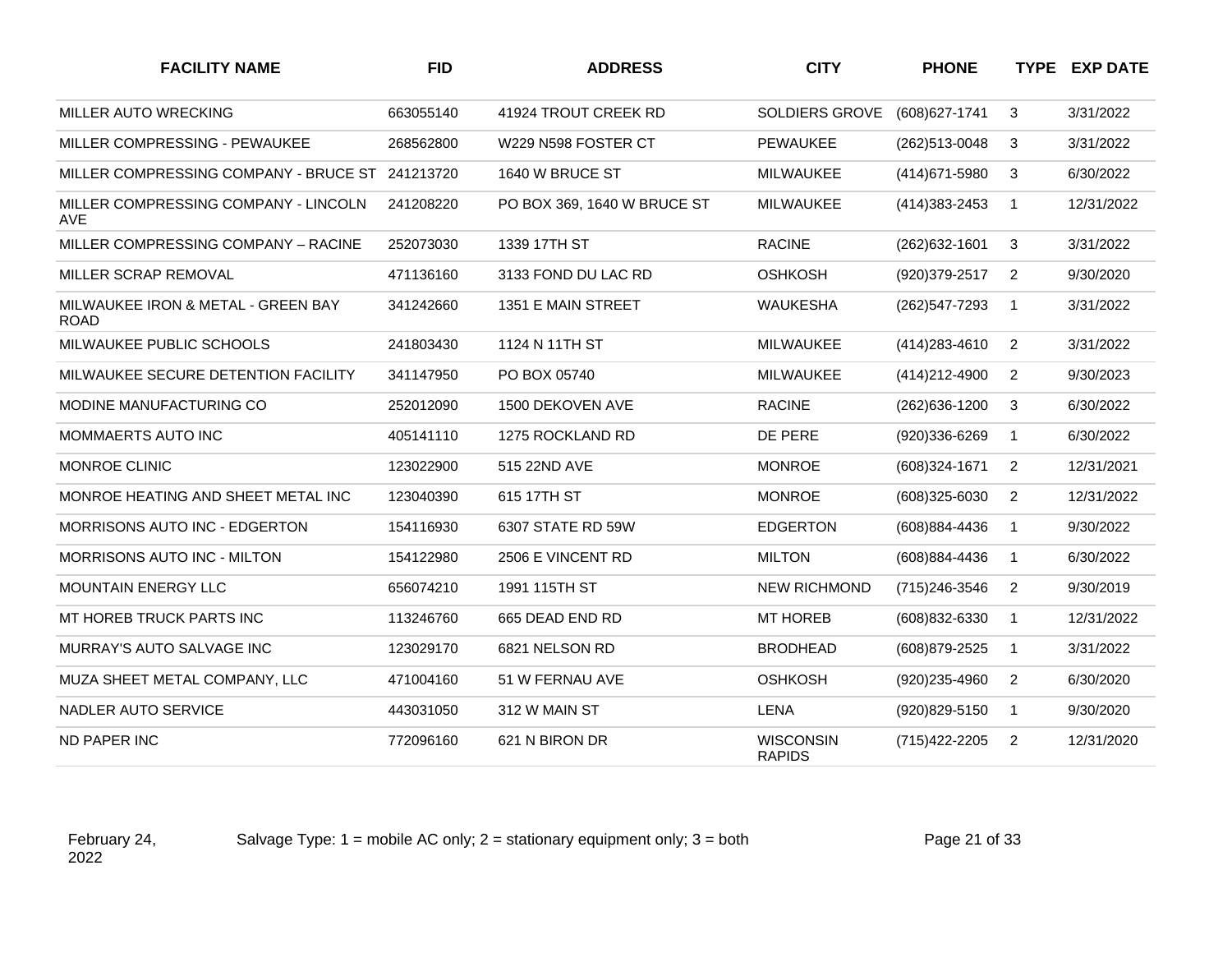| <b>FACILITY NAME</b>                              | <b>FID</b> | <b>ADDRESS</b>              | <b>CITY</b>                       | <b>PHONE</b>      |                | <b>TYPE EXP DATE</b> |
|---------------------------------------------------|------------|-----------------------------|-----------------------------------|-------------------|----------------|----------------------|
| MILLER AUTO WRECKING                              | 663055140  | 41924 TROUT CREEK RD        | SOLDIERS GROVE                    | (608) 627-1741    | 3              | 3/31/2022            |
| MILLER COMPRESSING - PEWAUKEE                     | 268562800  | W229 N598 FOSTER CT         | <b>PEWAUKEE</b>                   | (262)513-0048     | 3              | 3/31/2022            |
| MILLER COMPRESSING COMPANY - BRUCE ST             | 241213720  | 1640 W BRUCE ST             | MILWAUKEE                         | (414) 671-5980    | 3              | 6/30/2022            |
| MILLER COMPRESSING COMPANY - LINCOLN<br>AVE       | 241208220  | PO BOX 369, 1640 W BRUCE ST | <b>MILWAUKEE</b>                  | (414) 383-2453    | $\mathbf{1}$   | 12/31/2022           |
| MILLER COMPRESSING COMPANY - RACINE               | 252073030  | 1339 17TH ST                | <b>RACINE</b>                     | (262) 632-1601    | 3              | 3/31/2022            |
| MILLER SCRAP REMOVAL                              | 471136160  | 3133 FOND DU LAC RD         | <b>OSHKOSH</b>                    | (920)379-2517     | $\overline{2}$ | 9/30/2020            |
| MILWAUKEE IRON & METAL - GREEN BAY<br><b>ROAD</b> | 341242660  | 1351 E MAIN STREET          | <b>WAUKESHA</b>                   | (262) 547-7293    | $\mathbf{1}$   | 3/31/2022            |
| MILWAUKEE PUBLIC SCHOOLS                          | 241803430  | 1124 N 11TH ST              | <b>MILWAUKEE</b>                  | (414) 283-4610    | $\overline{2}$ | 3/31/2022            |
| MILWAUKEE SECURE DETENTION FACILITY               | 341147950  | PO BOX 05740                | <b>MILWAUKEE</b>                  | (414) 212-4900    | $\overline{2}$ | 9/30/2023            |
| MODINE MANUFACTURING CO                           | 252012090  | 1500 DEKOVEN AVE            | <b>RACINE</b>                     | (262) 636-1200    | 3              | 6/30/2022            |
| MOMMAERTS AUTO INC                                | 405141110  | 1275 ROCKLAND RD            | DE PERE                           | (920)336-6269     | $\mathbf{1}$   | 6/30/2022            |
| <b>MONROE CLINIC</b>                              | 123022900  | 515 22ND AVE                | <b>MONROE</b>                     | (608)324-1671     | 2              | 12/31/2021           |
| MONROE HEATING AND SHEET METAL INC                | 123040390  | 615 17TH ST                 | <b>MONROE</b>                     | $(608)325 - 6030$ | $\overline{2}$ | 12/31/2022           |
| MORRISONS AUTO INC - EDGERTON                     | 154116930  | 6307 STATE RD 59W           | <b>EDGERTON</b>                   | (608)884-4436     | $\mathbf{1}$   | 9/30/2022            |
| <b>MORRISONS AUTO INC - MILTON</b>                | 154122980  | 2506 E VINCENT RD           | <b>MILTON</b>                     | (608)884-4436     | $\mathbf{1}$   | 6/30/2022            |
| <b>MOUNTAIN ENERGY LLC</b>                        | 656074210  | 1991 115TH ST               | <b>NEW RICHMOND</b>               | (715) 246-3546    | $\overline{2}$ | 9/30/2019            |
| MT HOREB TRUCK PARTS INC                          | 113246760  | 665 DEAD END RD             | <b>MT HOREB</b>                   | (608)832-6330     | $\mathbf{1}$   | 12/31/2022           |
| MURRAY'S AUTO SALVAGE INC                         | 123029170  | 6821 NELSON RD              | <b>BRODHEAD</b>                   | (608) 879-2525    | $\mathbf{1}$   | 3/31/2022            |
| MUZA SHEET METAL COMPANY, LLC                     | 471004160  | 51 W FERNAU AVE             | <b>OSHKOSH</b>                    | (920)235-4960     | 2              | 6/30/2020            |
| NADLER AUTO SERVICE                               | 443031050  | 312 W MAIN ST               | <b>LENA</b>                       | (920)829-5150     | $\mathbf{1}$   | 9/30/2020            |
| <b>ND PAPER INC</b>                               | 772096160  | 621 N BIRON DR              | <b>WISCONSIN</b><br><b>RAPIDS</b> | (715) 422-2205    | $\overline{2}$ | 12/31/2020           |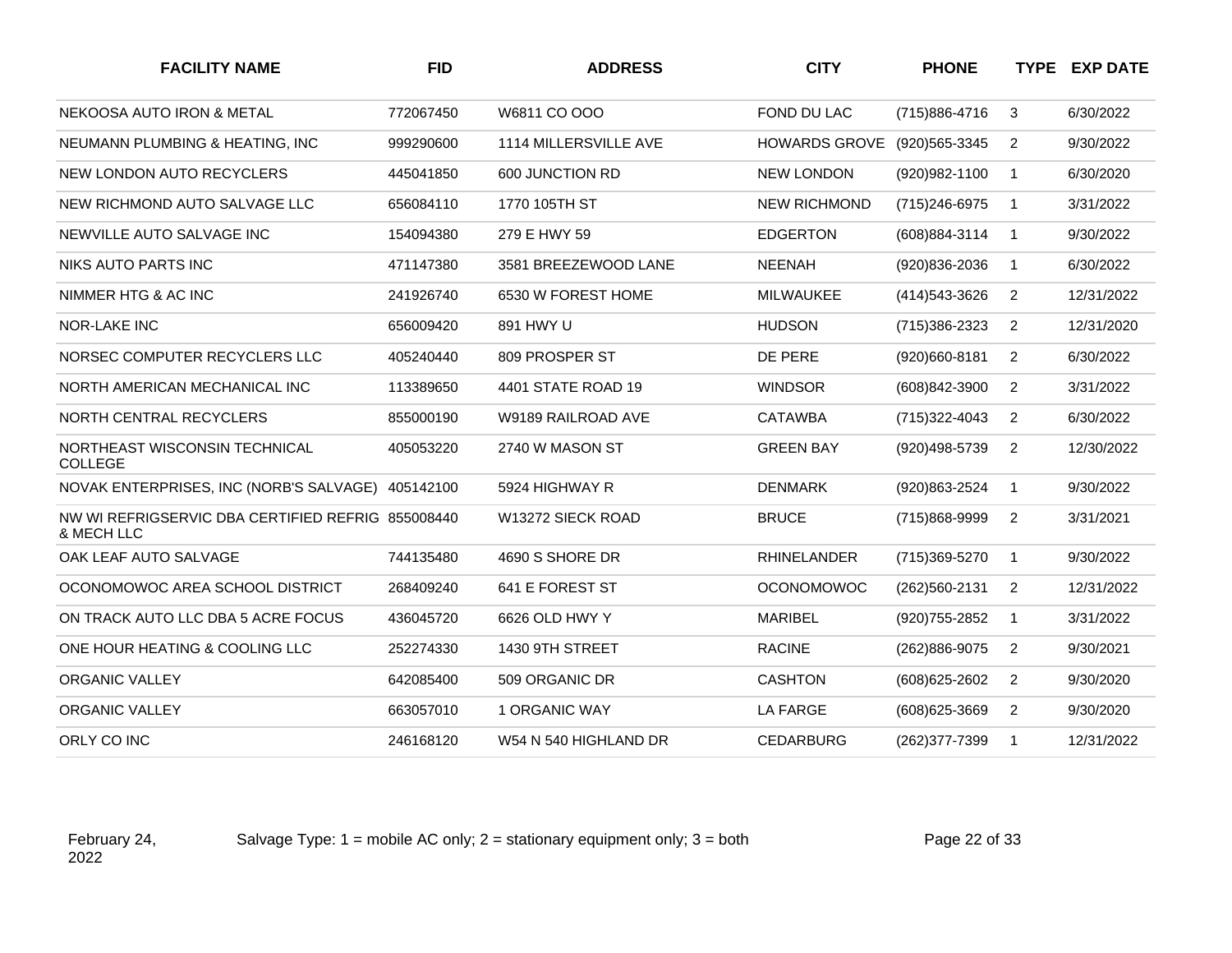| <b>FACILITY NAME</b>                                            | <b>FID</b> | <b>ADDRESS</b>               | <b>CITY</b>          | <b>PHONE</b>   |                | <b>TYPE EXP DATE</b> |
|-----------------------------------------------------------------|------------|------------------------------|----------------------|----------------|----------------|----------------------|
| NEKOOSA AUTO IRON & METAL                                       | 772067450  | W6811 CO OOO                 | FOND DU LAC          | (715) 886-4716 | 3              | 6/30/2022            |
| NEUMANN PLUMBING & HEATING, INC                                 | 999290600  | <b>1114 MILLERSVILLE AVE</b> | <b>HOWARDS GROVE</b> | (920) 565-3345 | 2              | 9/30/2022            |
| NEW LONDON AUTO RECYCLERS                                       | 445041850  | 600 JUNCTION RD              | <b>NEW LONDON</b>    | (920) 982-1100 | $\mathbf{1}$   | 6/30/2020            |
| NEW RICHMOND AUTO SALVAGE LLC                                   | 656084110  | 1770 105TH ST                | <b>NEW RICHMOND</b>  | (715) 246-6975 | $\mathbf 1$    | 3/31/2022            |
| NEWVILLE AUTO SALVAGE INC                                       | 154094380  | 279 E HWY 59                 | <b>EDGERTON</b>      | (608) 884-3114 | $\mathbf{1}$   | 9/30/2022            |
| NIKS AUTO PARTS INC                                             | 471147380  | 3581 BREEZEWOOD LANE         | <b>NEENAH</b>        | (920)836-2036  | $\mathbf{1}$   | 6/30/2022            |
| NIMMER HTG & AC INC                                             | 241926740  | 6530 W FOREST HOME           | <b>MILWAUKEE</b>     | (414) 543-3626 | $\overline{2}$ | 12/31/2022           |
| <b>NOR-LAKE INC</b>                                             | 656009420  | 891 HWY U                    | <b>HUDSON</b>        | (715)386-2323  | 2              | 12/31/2020           |
| NORSEC COMPUTER RECYCLERS LLC                                   | 405240440  | 809 PROSPER ST               | DE PERE              | (920)660-8181  | $\overline{2}$ | 6/30/2022            |
| NORTH AMERICAN MECHANICAL INC                                   | 113389650  | 4401 STATE ROAD 19           | <b>WINDSOR</b>       | (608)842-3900  | 2              | 3/31/2022            |
| NORTH CENTRAL RECYCLERS                                         | 855000190  | W9189 RAILROAD AVE           | <b>CATAWBA</b>       | (715) 322-4043 | 2              | 6/30/2022            |
| NORTHEAST WISCONSIN TECHNICAL<br><b>COLLEGE</b>                 | 405053220  | 2740 W MASON ST              | <b>GREEN BAY</b>     | (920)498-5739  | 2              | 12/30/2022           |
| NOVAK ENTERPRISES, INC (NORB'S SALVAGE)                         | 405142100  | 5924 HIGHWAY R               | <b>DENMARK</b>       | (920)863-2524  | $\mathbf{1}$   | 9/30/2022            |
| NW WI REFRIGSERVIC DBA CERTIFIED REFRIG 855008440<br>& MECH LLC |            | W13272 SIECK ROAD            | <b>BRUCE</b>         | (715)868-9999  | $\overline{2}$ | 3/31/2021            |
| OAK LEAF AUTO SALVAGE                                           | 744135480  | 4690 S SHORE DR              | <b>RHINELANDER</b>   | (715)369-5270  | $\mathbf{1}$   | 9/30/2022            |
| OCONOMOWOC AREA SCHOOL DISTRICT                                 | 268409240  | 641 E FOREST ST              | <b>OCONOMOWOC</b>    | (262) 560-2131 | $\overline{2}$ | 12/31/2022           |
| ON TRACK AUTO LLC DBA 5 ACRE FOCUS                              | 436045720  | 6626 OLD HWY Y               | <b>MARIBEL</b>       | (920) 755-2852 | $\mathbf{1}$   | 3/31/2022            |
| ONE HOUR HEATING & COOLING LLC                                  | 252274330  | 1430 9TH STREET              | <b>RACINE</b>        | (262)886-9075  | 2              | 9/30/2021            |
| <b>ORGANIC VALLEY</b>                                           | 642085400  | 509 ORGANIC DR               | <b>CASHTON</b>       | (608) 625-2602 | 2              | 9/30/2020            |
| <b>ORGANIC VALLEY</b>                                           | 663057010  | 1 ORGANIC WAY                | <b>LA FARGE</b>      | (608) 625-3669 | 2              | 9/30/2020            |
| ORLY CO INC                                                     | 246168120  | W54 N 540 HIGHLAND DR        | <b>CEDARBURG</b>     | (262) 377-7399 | $\mathbf{1}$   | 12/31/2022           |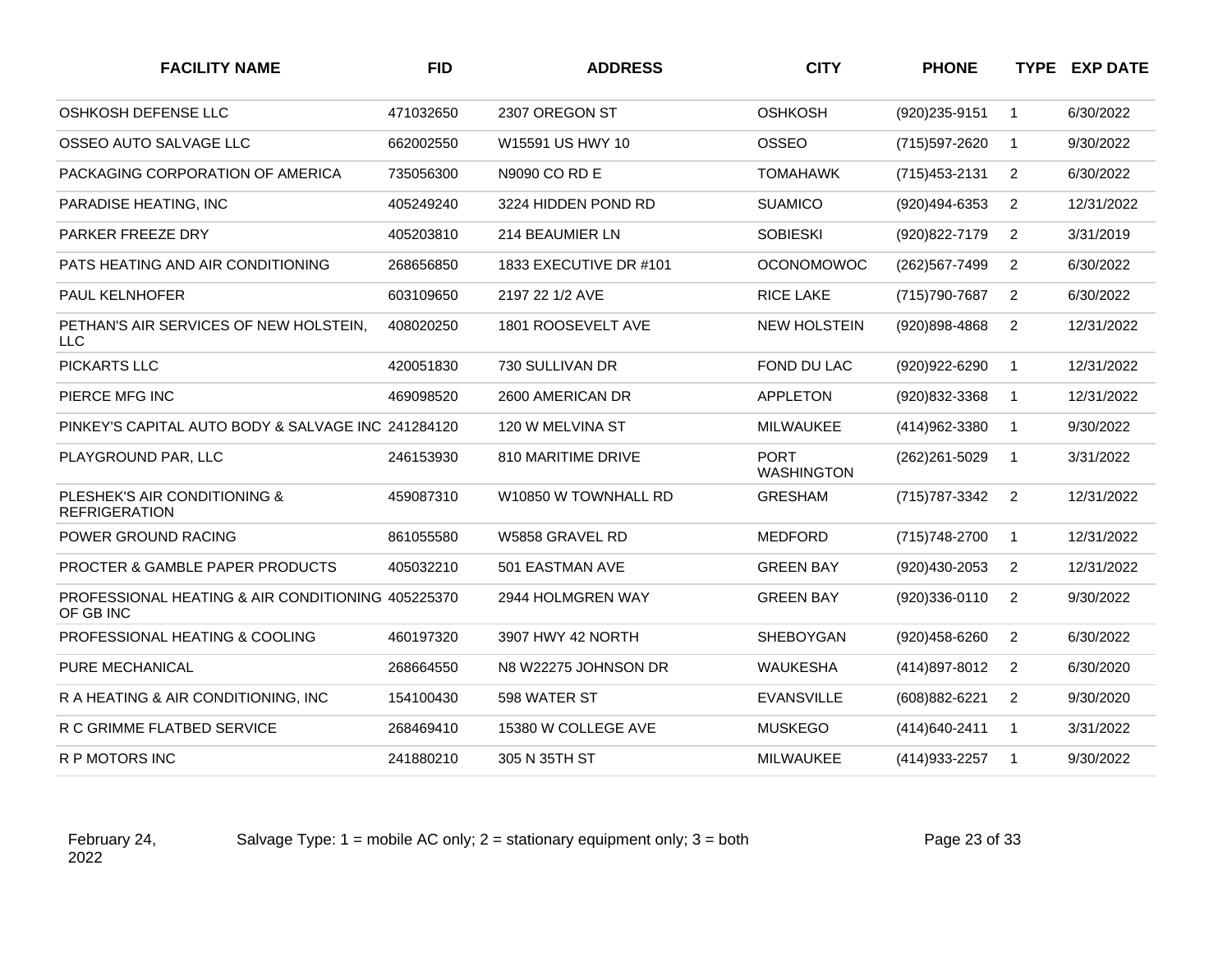| <b>FACILITY NAME</b>                                           | <b>FID</b> | <b>ADDRESS</b>         | <b>CITY</b>                      | <b>PHONE</b>   |                | <b>TYPE EXP DATE</b> |
|----------------------------------------------------------------|------------|------------------------|----------------------------------|----------------|----------------|----------------------|
| OSHKOSH DEFENSE LLC                                            | 471032650  | 2307 OREGON ST         | <b>OSHKOSH</b>                   | (920) 235-9151 | $\mathbf{1}$   | 6/30/2022            |
| OSSEO AUTO SALVAGE LLC                                         | 662002550  | W15591 US HWY 10       | OSSEO                            | (715) 597-2620 | $\mathbf{1}$   | 9/30/2022            |
| PACKAGING CORPORATION OF AMERICA                               | 735056300  | N9090 CO RD E          | <b>TOMAHAWK</b>                  | (715) 453-2131 | 2              | 6/30/2022            |
| PARADISE HEATING, INC                                          | 405249240  | 3224 HIDDEN POND RD    | <b>SUAMICO</b>                   | (920)494-6353  | 2              | 12/31/2022           |
| <b>PARKER FREEZE DRY</b>                                       | 405203810  | 214 BEAUMIER LN        | <b>SOBIESKI</b>                  | (920) 822-7179 | $\overline{c}$ | 3/31/2019            |
| PATS HEATING AND AIR CONDITIONING                              | 268656850  | 1833 EXECUTIVE DR #101 | <b>OCONOMOWOC</b>                | (262) 567-7499 | 2              | 6/30/2022            |
| <b>PAUL KELNHOFER</b>                                          | 603109650  | 2197 22 1/2 AVE        | RICE LAKE                        | (715) 790-7687 | 2              | 6/30/2022            |
| PETHAN'S AIR SERVICES OF NEW HOLSTEIN,<br><b>LLC</b>           | 408020250  | 1801 ROOSEVELT AVE     | <b>NEW HOLSTEIN</b>              | (920)898-4868  | $\overline{2}$ | 12/31/2022           |
| PICKARTS LLC                                                   | 420051830  | 730 SULLIVAN DR        | FOND DU LAC                      | (920) 922-6290 | $\mathbf{1}$   | 12/31/2022           |
| PIERCE MFG INC                                                 | 469098520  | 2600 AMERICAN DR       | <b>APPLETON</b>                  | (920)832-3368  | $\mathbf{1}$   | 12/31/2022           |
| PINKEY'S CAPITAL AUTO BODY & SALVAGE INC 241284120             |            | 120 W MELVINA ST       | <b>MILWAUKEE</b>                 | (414)962-3380  | $\mathbf{1}$   | 9/30/2022            |
| PLAYGROUND PAR, LLC                                            | 246153930  | 810 MARITIME DRIVE     | <b>PORT</b><br><b>WASHINGTON</b> | (262) 261-5029 | $\mathbf{1}$   | 3/31/2022            |
| PLESHEK'S AIR CONDITIONING &<br><b>REFRIGERATION</b>           | 459087310  | W10850 W TOWNHALL RD   | <b>GRESHAM</b>                   | (715) 787-3342 | 2              | 12/31/2022           |
| POWER GROUND RACING                                            | 861055580  | W5858 GRAVEL RD        | <b>MEDFORD</b>                   | (715) 748-2700 | $\overline{1}$ | 12/31/2022           |
| PROCTER & GAMBLE PAPER PRODUCTS                                | 405032210  | 501 EASTMAN AVE        | <b>GREEN BAY</b>                 | (920)430-2053  | $\overline{2}$ | 12/31/2022           |
| PROFESSIONAL HEATING & AIR CONDITIONING 405225370<br>OF GB INC |            | 2944 HOLMGREN WAY      | <b>GREEN BAY</b>                 | (920)336-0110  | $\overline{2}$ | 9/30/2022            |
| PROFESSIONAL HEATING & COOLING                                 | 460197320  | 3907 HWY 42 NORTH      | SHEBOYGAN                        | (920)458-6260  | $\overline{2}$ | 6/30/2022            |
| PURE MECHANICAL                                                | 268664550  | N8 W22275 JOHNSON DR   | <b>WAUKESHA</b>                  | (414) 897-8012 | 2              | 6/30/2020            |
| R A HEATING & AIR CONDITIONING. INC.                           | 154100430  | 598 WATER ST           | <b>EVANSVILLE</b>                | (608)882-6221  | 2              | 9/30/2020            |
| R C GRIMME FLATBED SERVICE                                     | 268469410  | 15380 W COLLEGE AVE    | <b>MUSKEGO</b>                   | (414) 640-2411 | $\mathbf{1}$   | 3/31/2022            |
| R P MOTORS INC                                                 | 241880210  | 305 N 35TH ST          | MILWAUKEE                        | (414) 933-2257 | $\overline{1}$ | 9/30/2022            |

Salvage Type:  $1 =$  mobile AC only;  $2 =$  stationary equipment only;  $3 =$  both Page 23 of 33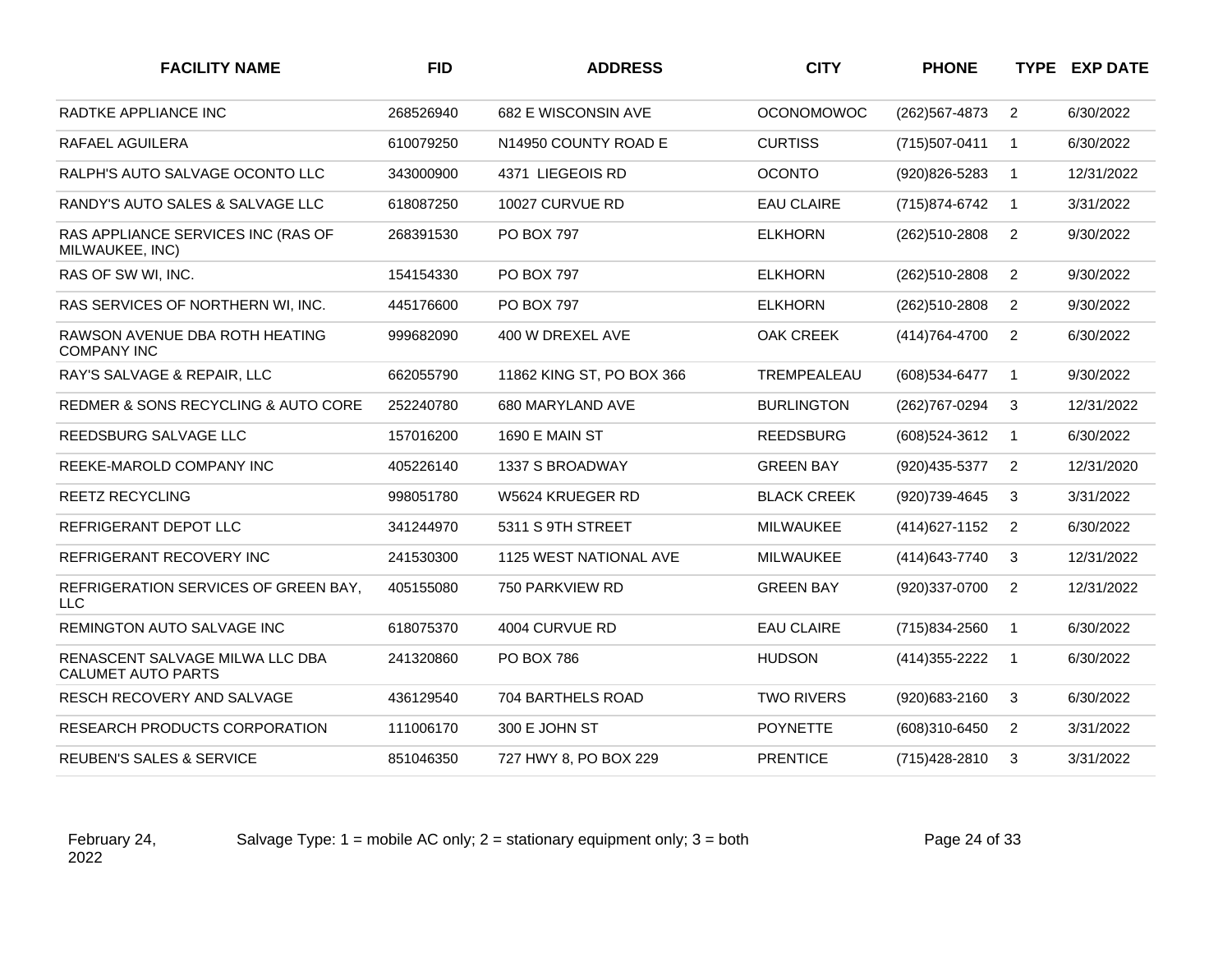| <b>FID</b> | <b>ADDRESS</b>                | <b>CITY</b>        | <b>PHONE</b>   |                | <b>TYPE EXP DATE</b> |
|------------|-------------------------------|--------------------|----------------|----------------|----------------------|
| 268526940  | 682 E WISCONSIN AVE           | <b>OCONOMOWOC</b>  | (262) 567-4873 | $\overline{2}$ | 6/30/2022            |
| 610079250  | N14950 COUNTY ROAD E          | <b>CURTISS</b>     | (715) 507-0411 | $\mathbf{1}$   | 6/30/2022            |
| 343000900  | 4371 LIEGEOIS RD              | <b>OCONTO</b>      | (920)826-5283  | $\mathbf{1}$   | 12/31/2022           |
| 618087250  | 10027 CURVUE RD               | <b>EAU CLAIRE</b>  | (715) 874-6742 | $\mathbf{1}$   | 3/31/2022            |
| 268391530  | <b>PO BOX 797</b>             | <b>ELKHORN</b>     | (262)510-2808  | $\overline{2}$ | 9/30/2022            |
| 154154330  | <b>PO BOX 797</b>             | <b>ELKHORN</b>     | (262)510-2808  | 2              | 9/30/2022            |
| 445176600  | <b>PO BOX 797</b>             | <b>ELKHORN</b>     | (262)510-2808  | $\overline{2}$ | 9/30/2022            |
| 999682090  | 400 W DREXEL AVE              | <b>OAK CREEK</b>   | (414) 764-4700 | 2              | 6/30/2022            |
| 662055790  | 11862 KING ST, PO BOX 366     | TREMPEALEAU        | (608) 534-6477 | $\mathbf{1}$   | 9/30/2022            |
| 252240780  | 680 MARYLAND AVE              | <b>BURLINGTON</b>  | (262) 767-0294 | 3              | 12/31/2022           |
| 157016200  | 1690 E MAIN ST                | <b>REEDSBURG</b>   | (608) 524-3612 | $\mathbf{1}$   | 6/30/2022            |
| 405226140  | 1337 S BROADWAY               | <b>GREEN BAY</b>   | (920) 435-5377 | $\overline{2}$ | 12/31/2020           |
| 998051780  | W5624 KRUEGER RD              | <b>BLACK CREEK</b> | (920)739-4645  | 3              | 3/31/2022            |
| 341244970  | 5311 S 9TH STREET             | MILWAUKEE          | (414) 627-1152 | $\overline{2}$ | 6/30/2022            |
| 241530300  | <b>1125 WEST NATIONAL AVE</b> | <b>MILWAUKEE</b>   | (414) 643-7740 | 3              | 12/31/2022           |
| 405155080  | 750 PARKVIEW RD               | <b>GREEN BAY</b>   | (920)337-0700  | 2              | 12/31/2022           |
| 618075370  | 4004 CURVUE RD                | <b>EAU CLAIRE</b>  | (715)834-2560  | $\mathbf{1}$   | 6/30/2022            |
| 241320860  | <b>PO BOX 786</b>             | <b>HUDSON</b>      | (414) 355-2222 | $\mathbf 1$    | 6/30/2022            |
| 436129540  | 704 BARTHELS ROAD             | <b>TWO RIVERS</b>  | (920) 683-2160 | 3              | 6/30/2022            |
| 111006170  | 300 E JOHN ST                 | <b>POYNETTE</b>    | (608)310-6450  | $\overline{2}$ | 3/31/2022            |
| 851046350  | 727 HWY 8, PO BOX 229         | <b>PRENTICE</b>    | (715) 428-2810 | 3              | 3/31/2022            |
|            |                               |                    |                |                |                      |

February 24, 2022

Salvage Type:  $1 =$  mobile AC only;  $2 =$  stationary equipment only;  $3 =$  both Page 24 of 33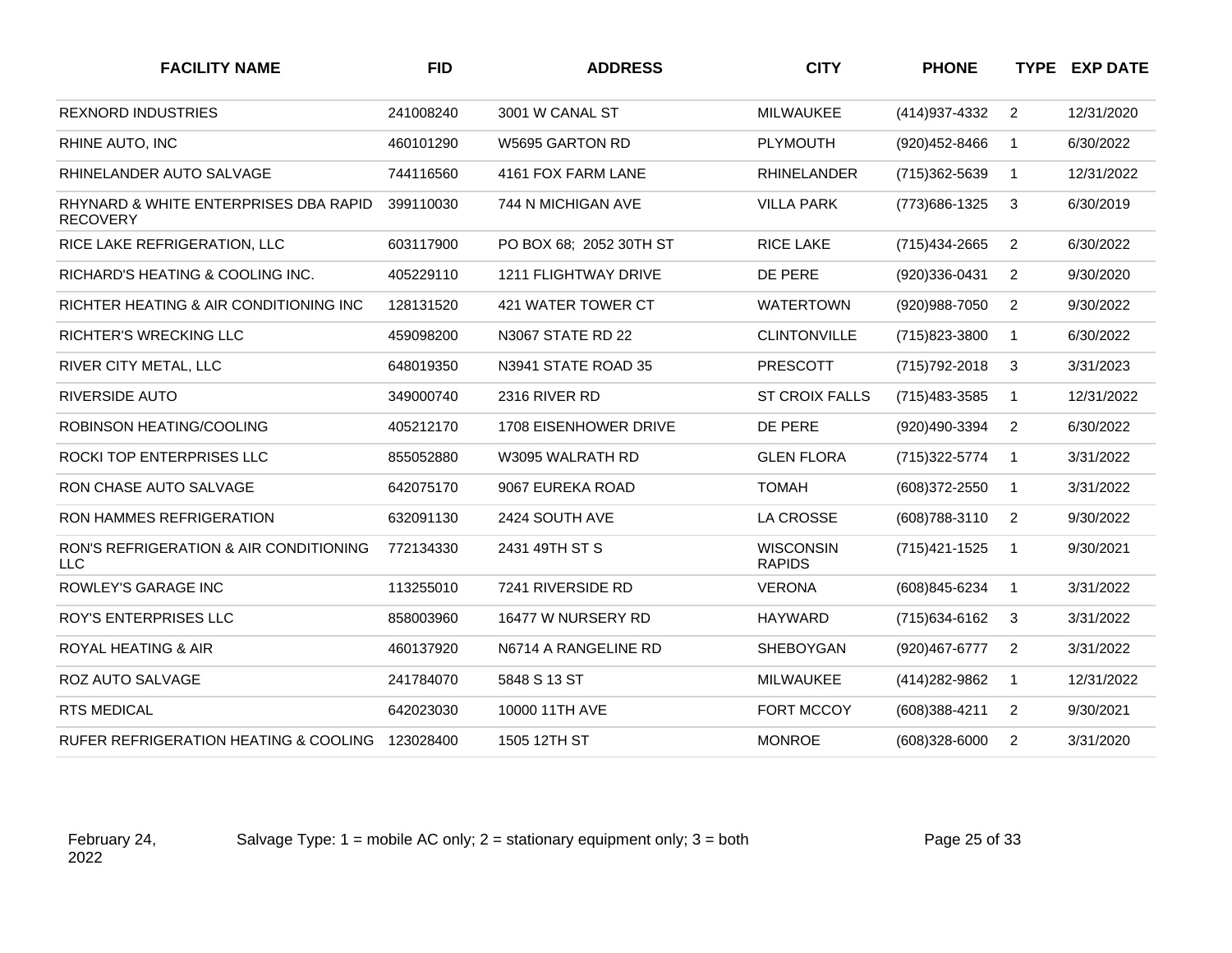| <b>FACILITY NAME</b>                                      | <b>FID</b> | <b>ADDRESS</b>              | <b>CITY</b>                       | <b>PHONE</b>      |                | <b>TYPE EXP DATE</b> |
|-----------------------------------------------------------|------------|-----------------------------|-----------------------------------|-------------------|----------------|----------------------|
| <b>REXNORD INDUSTRIES</b>                                 | 241008240  | 3001 W CANAL ST             | <b>MILWAUKEE</b>                  | (414) 937-4332    | 2              | 12/31/2020           |
| RHINE AUTO, INC                                           | 460101290  | W5695 GARTON RD             | <b>PLYMOUTH</b>                   | (920) 452-8466    | $\mathbf{1}$   | 6/30/2022            |
| RHINELANDER AUTO SALVAGE                                  | 744116560  | 4161 FOX FARM LANE          | <b>RHINELANDER</b>                | (715)362-5639     | $\mathbf 1$    | 12/31/2022           |
| RHYNARD & WHITE ENTERPRISES DBA RAPID<br><b>RECOVERY</b>  | 399110030  | 744 N MICHIGAN AVE          | <b>VILLA PARK</b>                 | (773) 686-1325    | 3              | 6/30/2019            |
| RICE LAKE REFRIGERATION, LLC                              | 603117900  | PO BOX 68; 2052 30TH ST     | <b>RICE LAKE</b>                  | (715) 434-2665    | 2              | 6/30/2022            |
| RICHARD'S HEATING & COOLING INC.                          | 405229110  | <b>1211 FLIGHTWAY DRIVE</b> | DE PERE                           | (920)336-0431     | 2              | 9/30/2020            |
| RICHTER HEATING & AIR CONDITIONING INC                    | 128131520  | 421 WATER TOWER CT          | <b>WATERTOWN</b>                  | (920) 988-7050    | 2              | 9/30/2022            |
| <b>RICHTER'S WRECKING LLC</b>                             | 459098200  | N3067 STATE RD 22           | <b>CLINTONVILLE</b>               | (715) 823-3800    | $\mathbf 1$    | 6/30/2022            |
| RIVER CITY METAL, LLC                                     | 648019350  | N3941 STATE ROAD 35         | <b>PRESCOTT</b>                   | (715) 792-2018    | 3              | 3/31/2023            |
| <b>RIVERSIDE AUTO</b>                                     | 349000740  | 2316 RIVER RD               | <b>ST CROIX FALLS</b>             | (715) 483-3585    | $\mathbf{1}$   | 12/31/2022           |
| ROBINSON HEATING/COOLING                                  | 405212170  | 1708 EISENHOWER DRIVE       | DE PERE                           | (920)490-3394     | $\overline{2}$ | 6/30/2022            |
| <b>ROCKI TOP ENTERPRISES LLC</b>                          | 855052880  | W3095 WALRATH RD            | <b>GLEN FLORA</b>                 | (715) 322-5774    | $\overline{1}$ | 3/31/2022            |
| RON CHASE AUTO SALVAGE                                    | 642075170  | 9067 EUREKA ROAD            | <b>TOMAH</b>                      | (608)372-2550     | $\mathbf{1}$   | 3/31/2022            |
| <b>RON HAMMES REFRIGERATION</b>                           | 632091130  | 2424 SOUTH AVE              | <b>LA CROSSE</b>                  | (608) 788-3110    | 2              | 9/30/2022            |
| <b>RON'S REFRIGERATION &amp; AIR CONDITIONING</b><br>LLC. | 772134330  | 2431 49TH ST S              | <b>WISCONSIN</b><br><b>RAPIDS</b> | (715) 421-1525    | $\overline{1}$ | 9/30/2021            |
| <b>ROWLEY'S GARAGE INC</b>                                | 113255010  | 7241 RIVERSIDE RD           | <b>VERONA</b>                     | (608)845-6234     | -1             | 3/31/2022            |
| <b>ROY'S ENTERPRISES LLC</b>                              | 858003960  | 16477 W NURSERY RD          | <b>HAYWARD</b>                    | (715) 634-6162    | 3              | 3/31/2022            |
| <b>ROYAL HEATING &amp; AIR</b>                            | 460137920  | N6714 A RANGELINE RD        | <b>SHEBOYGAN</b>                  | (920) 467-6777    | $\overline{2}$ | 3/31/2022            |
| <b>ROZ AUTO SALVAGE</b>                                   | 241784070  | 5848 S 13 ST                | <b>MILWAUKEE</b>                  | (414) 282-9862    | $\overline{1}$ | 12/31/2022           |
| <b>RTS MEDICAL</b>                                        | 642023030  | 10000 11TH AVE              | <b>FORT MCCOY</b>                 | (608)388-4211     | 2              | 9/30/2021            |
| <b>RUFER REFRIGERATION HEATING &amp; COOLING</b>          | 123028400  | 1505 12TH ST                | <b>MONROE</b>                     | $(608)328 - 6000$ | 2              | 3/31/2020            |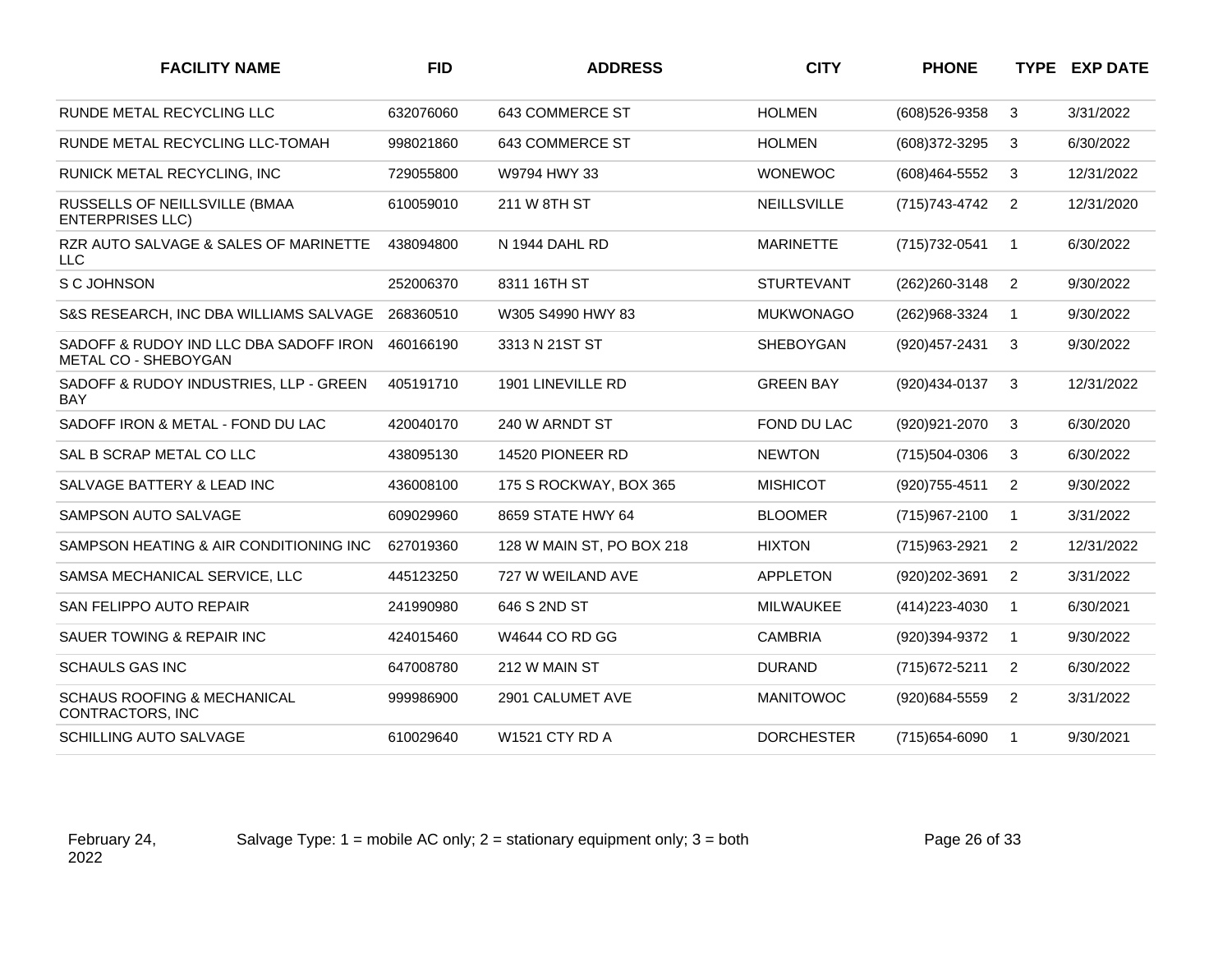| <b>FACILITY NAME</b>                                           | <b>FID</b> | <b>ADDRESS</b>            | <b>CITY</b>        | <b>PHONE</b>   |                | <b>TYPE EXP DATE</b> |
|----------------------------------------------------------------|------------|---------------------------|--------------------|----------------|----------------|----------------------|
| RUNDE METAL RECYCLING LLC                                      | 632076060  | 643 COMMERCE ST           | <b>HOLMEN</b>      | (608) 526-9358 | 3              | 3/31/2022            |
| RUNDE METAL RECYCLING LLC-TOMAH                                | 998021860  | 643 COMMERCE ST           | <b>HOLMEN</b>      | (608) 372-3295 | 3              | 6/30/2022            |
| RUNICK METAL RECYCLING, INC                                    | 729055800  | W9794 HWY 33              | <b>WONEWOC</b>     | (608)464-5552  | 3              | 12/31/2022           |
| RUSSELLS OF NEILLSVILLE (BMAA<br><b>ENTERPRISES LLC)</b>       | 610059010  | 211 W 8TH ST              | <b>NEILLSVILLE</b> | (715) 743-4742 | 2              | 12/31/2020           |
| RZR AUTO SALVAGE & SALES OF MARINETTE<br><b>LLC</b>            | 438094800  | N 1944 DAHL RD            | <b>MARINETTE</b>   | (715) 732-0541 | $\overline{1}$ | 6/30/2022            |
| S C JOHNSON                                                    | 252006370  | 8311 16TH ST              | <b>STURTEVANT</b>  | (262) 260-3148 | $\overline{2}$ | 9/30/2022            |
| S&S RESEARCH, INC DBA WILLIAMS SALVAGE                         | 268360510  | W305 S4990 HWY 83         | <b>MUKWONAGO</b>   | (262)968-3324  | -1             | 9/30/2022            |
| SADOFF & RUDOY IND LLC DBA SADOFF IRON<br>METAL CO - SHEBOYGAN | 460166190  | 3313 N 21ST ST            | SHEBOYGAN          | (920) 457-2431 | 3              | 9/30/2022            |
| SADOFF & RUDOY INDUSTRIES, LLP - GREEN<br>BAY                  | 405191710  | 1901 LINEVILLE RD         | <b>GREEN BAY</b>   | (920)434-0137  | 3              | 12/31/2022           |
| SADOFF IRON & METAL - FOND DU LAC                              | 420040170  | 240 W ARNDT ST            | FOND DU LAC        | (920) 921-2070 | 3              | 6/30/2020            |
| SAL B SCRAP METAL CO LLC                                       | 438095130  | 14520 PIONEER RD          | <b>NEWTON</b>      | (715)504-0306  | 3              | 6/30/2022            |
| SALVAGE BATTERY & LEAD INC                                     | 436008100  | 175 S ROCKWAY, BOX 365    | <b>MISHICOT</b>    | (920) 755-4511 | 2              | 9/30/2022            |
| SAMPSON AUTO SALVAGE                                           | 609029960  | 8659 STATE HWY 64         | <b>BLOOMER</b>     | (715)967-2100  | $\overline{1}$ | 3/31/2022            |
| SAMPSON HEATING & AIR CONDITIONING INC                         | 627019360  | 128 W MAIN ST, PO BOX 218 | <b>HIXTON</b>      | (715) 963-2921 | 2              | 12/31/2022           |
| SAMSA MECHANICAL SERVICE, LLC                                  | 445123250  | 727 W WEILAND AVE         | <b>APPLETON</b>    | (920)202-3691  | $\overline{2}$ | 3/31/2022            |
| SAN FELIPPO AUTO REPAIR                                        | 241990980  | 646 S 2ND ST              | <b>MILWAUKEE</b>   | (414) 223-4030 | $\overline{1}$ | 6/30/2021            |
| SAUER TOWING & REPAIR INC                                      | 424015460  | W4644 CO RD GG            | <b>CAMBRIA</b>     | (920)394-9372  | $\overline{1}$ | 9/30/2022            |
| <b>SCHAULS GAS INC</b>                                         | 647008780  | 212 W MAIN ST             | <b>DURAND</b>      | (715) 672-5211 | 2              | 6/30/2022            |
| <b>SCHAUS ROOFING &amp; MECHANICAL</b><br>CONTRACTORS, INC     | 999986900  | 2901 CALUMET AVE          | <b>MANITOWOC</b>   | (920)684-5559  | 2              | 3/31/2022            |
| SCHILLING AUTO SALVAGE                                         | 610029640  | <b>W1521 CTY RD A</b>     | <b>DORCHESTER</b>  | (715) 654-6090 | $\overline{1}$ | 9/30/2021            |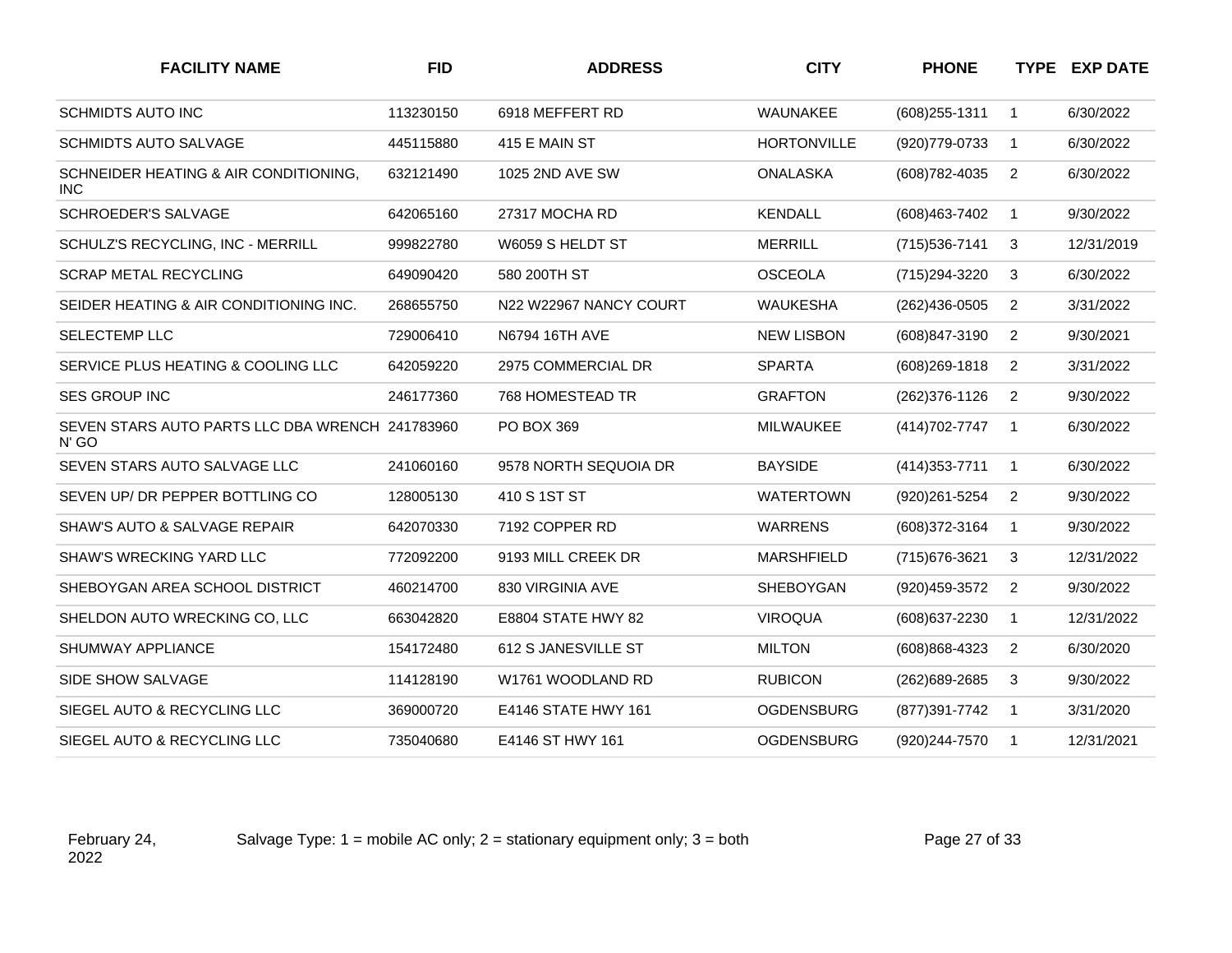| <b>FACILITY NAME</b>                                                | <b>FID</b> | <b>ADDRESS</b>         | <b>CITY</b>        | <b>PHONE</b>     |                | <b>TYPE EXP DATE</b> |
|---------------------------------------------------------------------|------------|------------------------|--------------------|------------------|----------------|----------------------|
| <b>SCHMIDTS AUTO INC</b>                                            | 113230150  | 6918 MEFFERT RD        | WAUNAKEE           | $(608)$ 255-1311 | $\mathbf{1}$   | 6/30/2022            |
| <b>SCHMIDTS AUTO SALVAGE</b>                                        | 445115880  | 415 E MAIN ST          | <b>HORTONVILLE</b> | (920) 779-0733   | $\mathbf{1}$   | 6/30/2022            |
| SCHNEIDER HEATING & AIR CONDITIONING.<br><b>INC</b>                 | 632121490  | 1025 2ND AVE SW        | <b>ONALASKA</b>    | (608) 782-4035   | 2              | 6/30/2022            |
| <b>SCHROEDER'S SALVAGE</b>                                          | 642065160  | 27317 MOCHA RD         | <b>KENDALL</b>     | (608)463-7402    | $\mathbf{1}$   | 9/30/2022            |
| SCHULZ'S RECYCLING, INC - MERRILL                                   | 999822780  | W6059 S HELDT ST       | <b>MERRILL</b>     | (715) 536-7141   | 3              | 12/31/2019           |
| <b>SCRAP METAL RECYCLING</b>                                        | 649090420  | 580 200TH ST           | <b>OSCEOLA</b>     | (715) 294-3220   | 3              | 6/30/2022            |
| SEIDER HEATING & AIR CONDITIONING INC.                              | 268655750  | N22 W22967 NANCY COURT | <b>WAUKESHA</b>    | $(262)436-0505$  | $\overline{2}$ | 3/31/2022            |
| <b>SELECTEMP LLC</b>                                                | 729006410  | N6794 16TH AVE         | <b>NEW LISBON</b>  | (608)847-3190    | $\overline{2}$ | 9/30/2021            |
| SERVICE PLUS HEATING & COOLING LLC                                  | 642059220  | 2975 COMMERCIAL DR     | <b>SPARTA</b>      | (608) 269-1818   | $\overline{2}$ | 3/31/2022            |
| <b>SES GROUP INC</b>                                                | 246177360  | 768 HOMESTEAD TR       | <b>GRAFTON</b>     | (262) 376-1126   | 2              | 9/30/2022            |
| SEVEN STARS AUTO PARTS LLC DBA WRENCH 241783960<br>N' <sub>GO</sub> |            | PO BOX 369             | MILWAUKEE          | (414) 702-7747   | $\mathbf{1}$   | 6/30/2022            |
| SEVEN STARS AUTO SALVAGE LLC                                        | 241060160  | 9578 NORTH SEQUOIA DR  | <b>BAYSIDE</b>     | (414) 353-7711   | $\mathbf{1}$   | 6/30/2022            |
| SEVEN UP/ DR PEPPER BOTTLING CO                                     | 128005130  | 410 S 1ST ST           | <b>WATERTOWN</b>   | (920) 261-5254   | $\overline{2}$ | 9/30/2022            |
| SHAW'S AUTO & SALVAGE REPAIR                                        | 642070330  | 7192 COPPER RD         | <b>WARRENS</b>     | (608)372-3164    | $\mathbf 1$    | 9/30/2022            |
| <b>SHAW'S WRECKING YARD LLC</b>                                     | 772092200  | 9193 MILL CREEK DR     | <b>MARSHFIELD</b>  | (715) 676-3621   | 3              | 12/31/2022           |
| SHEBOYGAN AREA SCHOOL DISTRICT                                      | 460214700  | 830 VIRGINIA AVE       | <b>SHEBOYGAN</b>   | (920) 459-3572   | $\overline{2}$ | 9/30/2022            |
| SHELDON AUTO WRECKING CO, LLC                                       | 663042820  | E8804 STATE HWY 82     | <b>VIROQUA</b>     | (608) 637-2230   | $\mathbf{1}$   | 12/31/2022           |
| SHUMWAY APPLIANCE                                                   | 154172480  | 612 S JANESVILLE ST    | <b>MILTON</b>      | (608)868-4323    | 2              | 6/30/2020            |
| SIDE SHOW SALVAGE                                                   | 114128190  | W1761 WOODLAND RD      | <b>RUBICON</b>     | (262) 689-2685   | 3              | 9/30/2022            |
| SIEGEL AUTO & RECYCLING LLC                                         | 369000720  | E4146 STATE HWY 161    | <b>OGDENSBURG</b>  | (877) 391-7742   | $\mathbf{1}$   | 3/31/2020            |
| SIEGEL AUTO & RECYCLING LLC                                         | 735040680  | E4146 ST HWY 161       | <b>OGDENSBURG</b>  | (920)244-7570    | $\overline{1}$ | 12/31/2021           |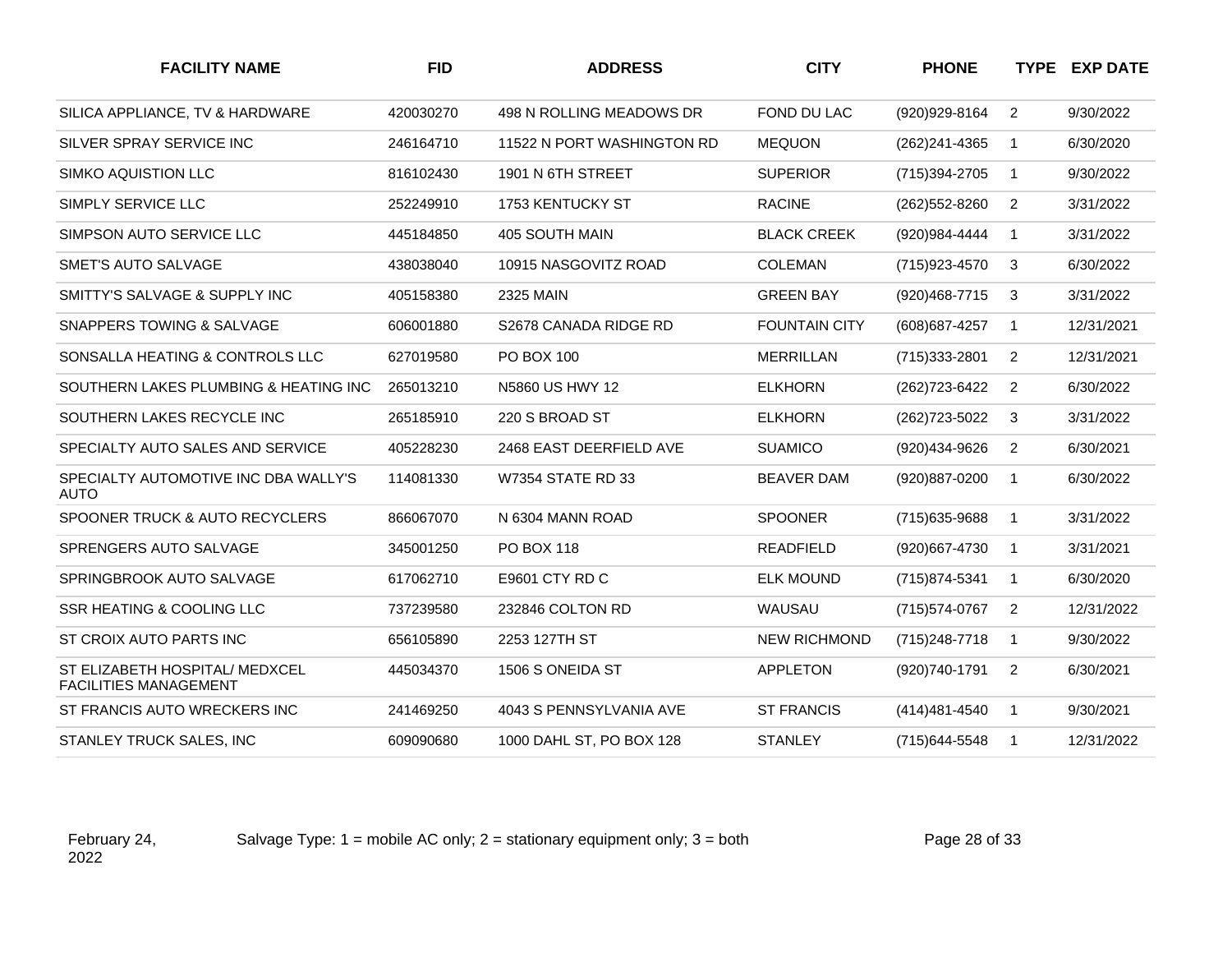| <b>FACILITY NAME</b>                                           | <b>FID</b> | <b>ADDRESS</b>             | <b>CITY</b>          | <b>PHONE</b>      |                | <b>TYPE EXP DATE</b> |
|----------------------------------------------------------------|------------|----------------------------|----------------------|-------------------|----------------|----------------------|
| SILICA APPLIANCE, TV & HARDWARE                                | 420030270  | 498 N ROLLING MEADOWS DR   | FOND DU LAC          | (920)929-8164     | $\overline{2}$ | 9/30/2022            |
| SILVER SPRAY SERVICE INC                                       | 246164710  | 11522 N PORT WASHINGTON RD | <b>MEQUON</b>        | (262) 241-4365    | $\mathbf{1}$   | 6/30/2020            |
| <b>SIMKO AQUISTION LLC</b>                                     | 816102430  | 1901 N 6TH STREET          | <b>SUPERIOR</b>      | (715)394-2705     | $\mathbf{1}$   | 9/30/2022            |
| SIMPLY SERVICE LLC                                             | 252249910  | 1753 KENTUCKY ST           | <b>RACINE</b>        | (262) 552-8260    | 2              | 3/31/2022            |
| SIMPSON AUTO SERVICE LLC                                       | 445184850  | 405 SOUTH MAIN             | <b>BLACK CREEK</b>   | (920)984-4444     | $\mathbf{1}$   | 3/31/2022            |
| <b>SMET'S AUTO SALVAGE</b>                                     | 438038040  | 10915 NASGOVITZ ROAD       | <b>COLEMAN</b>       | (715) 923-4570    | 3              | 6/30/2022            |
| SMITTY'S SALVAGE & SUPPLY INC                                  | 405158380  | <b>2325 MAIN</b>           | <b>GREEN BAY</b>     | (920) 468-7715    | 3              | 3/31/2022            |
| <b>SNAPPERS TOWING &amp; SALVAGE</b>                           | 606001880  | S2678 CANADA RIDGE RD      | <b>FOUNTAIN CITY</b> | (608) 687-4257    | $\mathbf{1}$   | 12/31/2021           |
| SONSALLA HEATING & CONTROLS LLC                                | 627019580  | PO BOX 100                 | <b>MERRILLAN</b>     | (715) 333-2801    | 2              | 12/31/2021           |
| SOUTHERN LAKES PLUMBING & HEATING INC                          | 265013210  | N5860 US HWY 12            | <b>ELKHORN</b>       | (262) 723-6422    | 2              | 6/30/2022            |
| SOUTHERN LAKES RECYCLE INC                                     | 265185910  | 220 S BROAD ST             | <b>ELKHORN</b>       | (262) 723-5022    | 3              | 3/31/2022            |
| SPECIALTY AUTO SALES AND SERVICE                               | 405228230  | 2468 EAST DEERFIELD AVE    | <b>SUAMICO</b>       | (920)434-9626     | $\overline{2}$ | 6/30/2021            |
| SPECIALTY AUTOMOTIVE INC DBA WALLY'S<br><b>AUTO</b>            | 114081330  | <b>W7354 STATE RD 33</b>   | <b>BEAVER DAM</b>    | (920) 887-0200    | $\mathbf{1}$   | 6/30/2022            |
| SPOONER TRUCK & AUTO RECYCLERS                                 | 866067070  | N 6304 MANN ROAD           | <b>SPOONER</b>       | (715) 635-9688    | $\mathbf{1}$   | 3/31/2022            |
| SPRENGERS AUTO SALVAGE                                         | 345001250  | <b>PO BOX 118</b>          | <b>READFIELD</b>     | (920)667-4730     | $\mathbf{1}$   | 3/31/2021            |
| SPRINGBROOK AUTO SALVAGE                                       | 617062710  | E9601 CTY RD C             | <b>ELK MOUND</b>     | (715) 874-5341    | $\mathbf{1}$   | 6/30/2020            |
| SSR HEATING & COOLING LLC                                      | 737239580  | 232846 COLTON RD           | WAUSAU               | (715) 574-0767    | $\overline{2}$ | 12/31/2022           |
| ST CROIX AUTO PARTS INC                                        | 656105890  | 2253 127TH ST              | <b>NEW RICHMOND</b>  | (715) 248-7718    | $\mathbf{1}$   | 9/30/2022            |
| ST ELIZABETH HOSPITAL/ MEDXCEL<br><b>FACILITIES MANAGEMENT</b> | 445034370  | 1506 S ONEIDA ST           | <b>APPLETON</b>      | (920)740-1791     | 2              | 6/30/2021            |
| ST FRANCIS AUTO WRECKERS INC                                   | 241469250  | 4043 S PENNSYLVANIA AVE    | <b>ST FRANCIS</b>    | $(414)481 - 4540$ | $\mathbf{1}$   | 9/30/2021            |
| STANLEY TRUCK SALES, INC                                       | 609090680  | 1000 DAHL ST, PO BOX 128   | <b>STANLEY</b>       | (715) 644-5548    | $\mathbf 1$    | 12/31/2022           |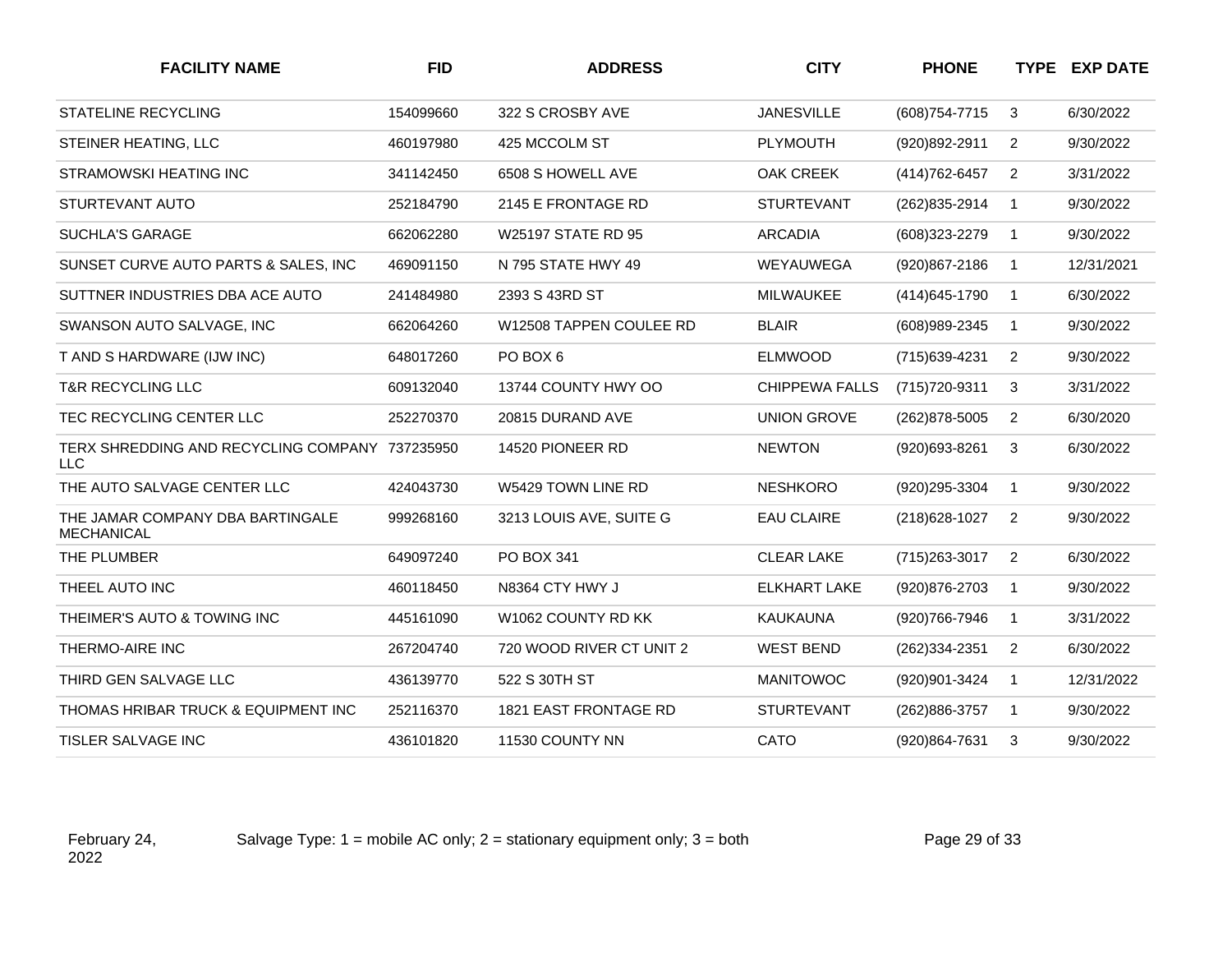| <b>FACILITY NAME</b>                                         | <b>FID</b> | <b>ADDRESS</b>               | <b>CITY</b>           | <b>PHONE</b>   |                | <b>TYPE EXP DATE</b> |
|--------------------------------------------------------------|------------|------------------------------|-----------------------|----------------|----------------|----------------------|
| <b>STATELINE RECYCLING</b>                                   | 154099660  | 322 S CROSBY AVE             | <b>JANESVILLE</b>     | (608) 754-7715 | 3              | 6/30/2022            |
| STEINER HEATING, LLC                                         | 460197980  | 425 MCCOLM ST                | <b>PLYMOUTH</b>       | (920)892-2911  | $\overline{2}$ | 9/30/2022            |
| STRAMOWSKI HEATING INC                                       | 341142450  | 6508 S HOWELL AVE            | OAK CREEK             | (414) 762-6457 | $\overline{2}$ | 3/31/2022            |
| STURTEVANT AUTO                                              | 252184790  | 2145 E FRONTAGE RD           | <b>STURTEVANT</b>     | (262) 835-2914 | $\mathbf{1}$   | 9/30/2022            |
| <b>SUCHLA'S GARAGE</b>                                       | 662062280  | W25197 STATE RD 95           | <b>ARCADIA</b>        | (608)323-2279  | $\mathbf{1}$   | 9/30/2022            |
| SUNSET CURVE AUTO PARTS & SALES, INC.                        | 469091150  | N 795 STATE HWY 49           | WEYAUWEGA             | (920)867-2186  | $\mathbf{1}$   | 12/31/2021           |
| SUTTNER INDUSTRIES DBA ACE AUTO                              | 241484980  | 2393 S 43RD ST               | <b>MILWAUKEE</b>      | (414) 645-1790 | $\mathbf{1}$   | 6/30/2022            |
| SWANSON AUTO SALVAGE, INC                                    | 662064260  | W12508 TAPPEN COULEE RD      | <b>BLAIR</b>          | (608) 989-2345 | $\mathbf{1}$   | 9/30/2022            |
| T AND S HARDWARE (IJW INC)                                   | 648017260  | PO BOX 6                     | <b>ELMWOOD</b>        | (715) 639-4231 | $\overline{2}$ | 9/30/2022            |
| <b>T&amp;R RECYCLING LLC</b>                                 | 609132040  | 13744 COUNTY HWY OO          | <b>CHIPPEWA FALLS</b> | (715) 720-9311 | 3              | 3/31/2022            |
| TEC RECYCLING CENTER LLC                                     | 252270370  | 20815 DURAND AVE             | <b>UNION GROVE</b>    | (262) 878-5005 | $\overline{2}$ | 6/30/2020            |
| TERX SHREDDING AND RECYCLING COMPANY 737235950<br><b>LLC</b> |            | 14520 PIONEER RD             | <b>NEWTON</b>         | (920)693-8261  | 3              | 6/30/2022            |
| THE AUTO SALVAGE CENTER LLC                                  | 424043730  | W5429 TOWN LINE RD           | <b>NESHKORO</b>       | (920)295-3304  | $\mathbf{1}$   | 9/30/2022            |
| THE JAMAR COMPANY DBA BARTINGALE<br><b>MECHANICAL</b>        | 999268160  | 3213 LOUIS AVE, SUITE G      | <b>EAU CLAIRE</b>     | (218) 628-1027 | $\overline{2}$ | 9/30/2022            |
| THE PLUMBER                                                  | 649097240  | PO BOX 341                   | <b>CLEAR LAKE</b>     | (715) 263-3017 | $\overline{2}$ | 6/30/2022            |
| THEEL AUTO INC                                               | 460118450  | N8364 CTY HWY J              | <b>ELKHART LAKE</b>   | (920) 876-2703 | $\mathbf{1}$   | 9/30/2022            |
| THEIMER'S AUTO & TOWING INC                                  | 445161090  | W1062 COUNTY RD KK           | <b>KAUKAUNA</b>       | (920)766-7946  | $\mathbf{1}$   | 3/31/2022            |
| THERMO-AIRE INC                                              | 267204740  | 720 WOOD RIVER CT UNIT 2     | <b>WEST BEND</b>      | (262)334-2351  | $\overline{2}$ | 6/30/2022            |
| THIRD GEN SALVAGE LLC                                        | 436139770  | 522 S 30TH ST                | <b>MANITOWOC</b>      | (920)901-3424  | $\mathbf{1}$   | 12/31/2022           |
| THOMAS HRIBAR TRUCK & EQUIPMENT INC                          | 252116370  | <b>1821 EAST FRONTAGE RD</b> | <b>STURTEVANT</b>     | (262)886-3757  | $\overline{1}$ | 9/30/2022            |
| <b>TISLER SALVAGE INC</b>                                    | 436101820  | 11530 COUNTY NN              | CATO                  | (920)864-7631  | 3              | 9/30/2022            |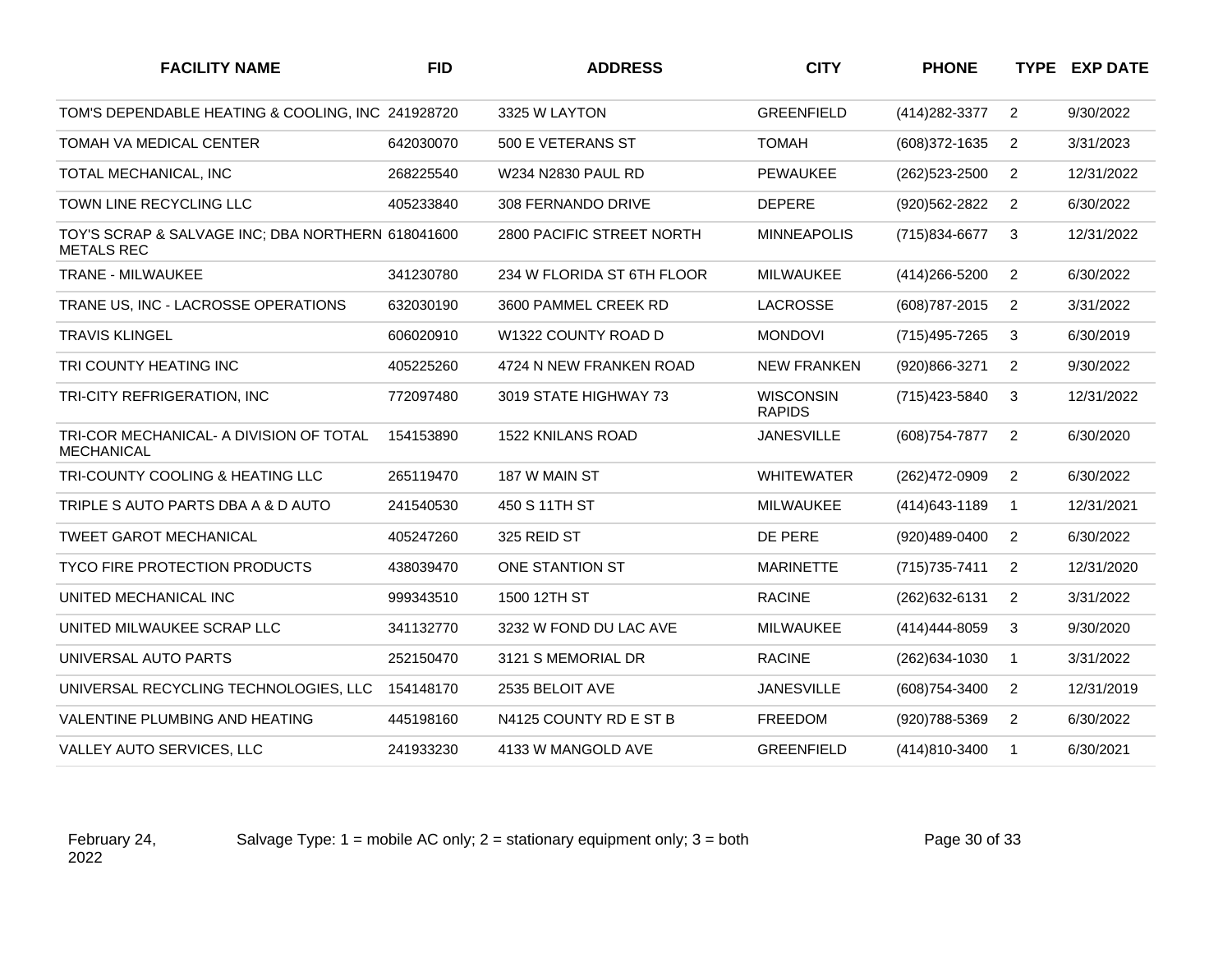| <b>FACILITY NAME</b>                                                   | <b>FID</b> | <b>ADDRESS</b>             | <b>CITY</b>                       | <b>PHONE</b>      |                | <b>TYPE EXP DATE</b> |
|------------------------------------------------------------------------|------------|----------------------------|-----------------------------------|-------------------|----------------|----------------------|
| TOM'S DEPENDABLE HEATING & COOLING, INC 241928720                      |            | 3325 W LAYTON              | <b>GREENFIELD</b>                 | (414) 282-3377    | $\overline{2}$ | 9/30/2022            |
| <b>TOMAH VA MEDICAL CENTER</b>                                         | 642030070  | 500 E VETERANS ST          | <b>TOMAH</b>                      | (608)372-1635     | $\overline{2}$ | 3/31/2023            |
| TOTAL MECHANICAL, INC                                                  | 268225540  | W234 N2830 PAUL RD         | <b>PEWAUKEE</b>                   | $(262)523 - 2500$ | 2              | 12/31/2022           |
| TOWN LINE RECYCLING LLC                                                | 405233840  | 308 FERNANDO DRIVE         | <b>DEPERE</b>                     | (920)562-2822     | $\overline{2}$ | 6/30/2022            |
| TOY'S SCRAP & SALVAGE INC; DBA NORTHERN 618041600<br><b>METALS REC</b> |            | 2800 PACIFIC STREET NORTH  | <b>MINNEAPOLIS</b>                | (715)834-6677     | 3              | 12/31/2022           |
| <b>TRANE - MILWAUKEE</b>                                               | 341230780  | 234 W FLORIDA ST 6TH FLOOR | MILWAUKEE                         | (414) 266-5200    | $\overline{2}$ | 6/30/2022            |
| TRANE US. INC - LACROSSE OPERATIONS                                    | 632030190  | 3600 PAMMEL CREEK RD       | LACROSSE                          | (608) 787-2015    | 2              | 3/31/2022            |
| <b>TRAVIS KLINGEL</b>                                                  | 606020910  | W1322 COUNTY ROAD D        | <b>MONDOVI</b>                    | (715) 495-7265    | 3              | 6/30/2019            |
| TRI COUNTY HEATING INC                                                 | 405225260  | 4724 N NEW FRANKEN ROAD    | <b>NEW FRANKEN</b>                | (920)866-3271     | $\overline{2}$ | 9/30/2022            |
| TRI-CITY REFRIGERATION, INC                                            | 772097480  | 3019 STATE HIGHWAY 73      | <b>WISCONSIN</b><br><b>RAPIDS</b> | (715) 423-5840    | 3              | 12/31/2022           |
| TRI-COR MECHANICAL- A DIVISION OF TOTAL<br><b>MECHANICAL</b>           | 154153890  | <b>1522 KNILANS ROAD</b>   | <b>JANESVILLE</b>                 | (608) 754-7877    | 2              | 6/30/2020            |
| TRI-COUNTY COOLING & HEATING LLC                                       | 265119470  | 187 W MAIN ST              | <b>WHITEWATER</b>                 | (262)472-0909     | $\overline{2}$ | 6/30/2022            |
| TRIPLE S AUTO PARTS DBA A & D AUTO                                     | 241540530  | 450 S 11TH ST              | MILWAUKEE                         | (414) 643-1189    | $\mathbf{1}$   | 12/31/2021           |
| <b>TWEET GAROT MECHANICAL</b>                                          | 405247260  | 325 REID ST                | DE PERE                           | (920)489-0400     | $\overline{2}$ | 6/30/2022            |
| <b>TYCO FIRE PROTECTION PRODUCTS</b>                                   | 438039470  | ONE STANTION ST            | <b>MARINETTE</b>                  | (715) 735-7411    | 2              | 12/31/2020           |
| UNITED MECHANICAL INC                                                  | 999343510  | 1500 12TH ST               | <b>RACINE</b>                     | (262) 632-6131    | $\overline{2}$ | 3/31/2022            |
| UNITED MILWAUKEE SCRAP LLC                                             | 341132770  | 3232 W FOND DU LAC AVE     | <b>MILWAUKEE</b>                  | (414) 444-8059    | 3              | 9/30/2020            |
| UNIVERSAL AUTO PARTS                                                   | 252150470  | 3121 S MEMORIAL DR         | <b>RACINE</b>                     | (262) 634-1030    | $\mathbf{1}$   | 3/31/2022            |
| UNIVERSAL RECYCLING TECHNOLOGIES, LLC                                  | 154148170  | 2535 BELOIT AVE            | <b>JANESVILLE</b>                 | (608) 754-3400    | $\overline{c}$ | 12/31/2019           |
| VALENTINE PLUMBING AND HEATING                                         | 445198160  | N4125 COUNTY RD E ST B     | <b>FREEDOM</b>                    | (920) 788-5369    | $\overline{2}$ | 6/30/2022            |
| VALLEY AUTO SERVICES, LLC                                              | 241933230  | 4133 W MANGOLD AVE         | <b>GREENFIELD</b>                 | (414)810-3400     | $\mathbf{1}$   | 6/30/2021            |

Salvage Type:  $1 =$  mobile AC only;  $2 =$  stationary equipment only;  $3 =$  both Page 30 of 33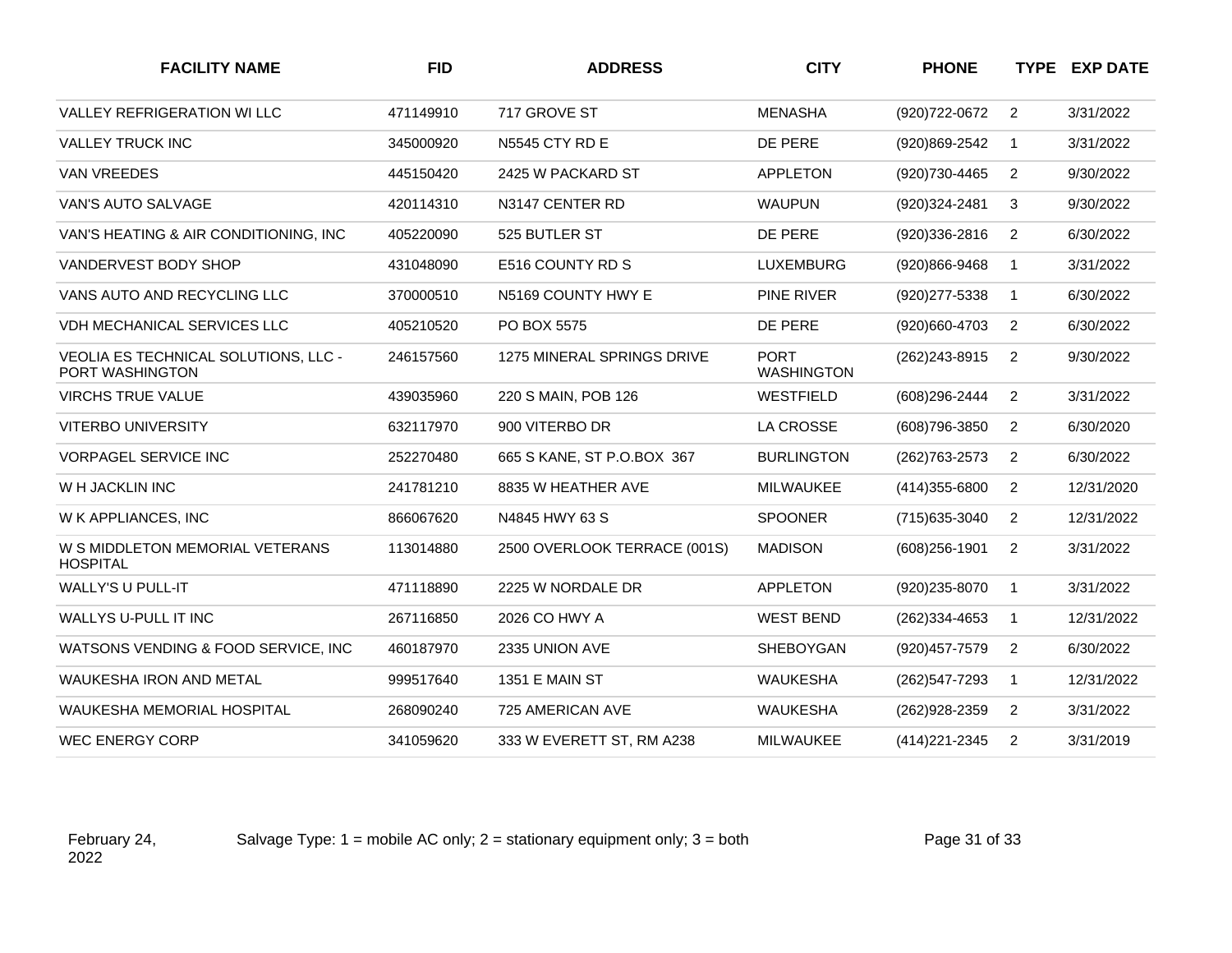| <b>FACILITY NAME</b>                                    | <b>FID</b> | <b>ADDRESS</b>               | <b>CITY</b>                      | <b>PHONE</b>      |                | <b>TYPE EXP DATE</b> |
|---------------------------------------------------------|------------|------------------------------|----------------------------------|-------------------|----------------|----------------------|
| <b>VALLEY REFRIGERATION WILLC</b>                       | 471149910  | 717 GROVE ST                 | <b>MENASHA</b>                   | (920) 722-0672    | 2              | 3/31/2022            |
| <b>VALLEY TRUCK INC</b>                                 | 345000920  | <b>N5545 CTY RD E</b>        | DE PERE                          | (920)869-2542     | $\mathbf{1}$   | 3/31/2022            |
| <b>VAN VREEDES</b>                                      | 445150420  | 2425 W PACKARD ST            | <b>APPLETON</b>                  | (920) 730-4465    | 2              | 9/30/2022            |
| <b>VAN'S AUTO SALVAGE</b>                               | 420114310  | N3147 CENTER RD              | <b>WAUPUN</b>                    | (920)324-2481     | 3              | 9/30/2022            |
| VAN'S HEATING & AIR CONDITIONING, INC                   | 405220090  | 525 BUTLER ST                | DE PERE                          | (920)336-2816     | 2              | 6/30/2022            |
| VANDERVEST BODY SHOP                                    | 431048090  | E516 COUNTY RD S             | <b>LUXEMBURG</b>                 | (920)866-9468     | 1              | 3/31/2022            |
| VANS AUTO AND RECYCLING LLC                             | 370000510  | N5169 COUNTY HWY E           | <b>PINE RIVER</b>                | (920) 277-5338    | $\mathbf 1$    | 6/30/2022            |
| <b>VDH MECHANICAL SERVICES LLC</b>                      | 405210520  | PO BOX 5575                  | DE PERE                          | (920)660-4703     | 2              | 6/30/2022            |
| VEOLIA ES TECHNICAL SOLUTIONS, LLC -<br>PORT WASHINGTON | 246157560  | 1275 MINERAL SPRINGS DRIVE   | <b>PORT</b><br><b>WASHINGTON</b> | (262) 243-8915    | 2              | 9/30/2022            |
| <b>VIRCHS TRUE VALUE</b>                                | 439035960  | 220 S MAIN, POB 126          | WESTFIELD                        | (608)296-2444     | 2              | 3/31/2022            |
| <b>VITERBO UNIVERSITY</b>                               | 632117970  | 900 VITERBO DR               | <b>LA CROSSE</b>                 | (608) 796-3850    | 2              | 6/30/2020            |
| <b>VORPAGEL SERVICE INC</b>                             | 252270480  | 665 S KANE, ST P.O.BOX 367   | <b>BURLINGTON</b>                | (262) 763-2573    | 2              | 6/30/2022            |
| W H JACKLIN INC                                         | 241781210  | 8835 W HEATHER AVE           | <b>MILWAUKEE</b>                 | $(414)355 - 6800$ | 2              | 12/31/2020           |
| W K APPLIANCES, INC                                     | 866067620  | N4845 HWY 63 S               | <b>SPOONER</b>                   | (715) 635-3040    | 2              | 12/31/2022           |
| W S MIDDLETON MEMORIAL VETERANS<br><b>HOSPITAL</b>      | 113014880  | 2500 OVERLOOK TERRACE (001S) | <b>MADISON</b>                   | $(608)256 - 1901$ | 2              | 3/31/2022            |
| <b>WALLY'S U PULL-IT</b>                                | 471118890  | 2225 W NORDALE DR            | <b>APPLETON</b>                  | (920)235-8070     | -1             | 3/31/2022            |
| WALLYS U-PULL IT INC                                    | 267116850  | 2026 CO HWY A                | <b>WEST BEND</b>                 | (262)334-4653     | $\overline{1}$ | 12/31/2022           |
| WATSONS VENDING & FOOD SERVICE, INC.                    | 460187970  | 2335 UNION AVE               | <b>SHEBOYGAN</b>                 | (920) 457-7579    | 2              | 6/30/2022            |
| <b>WAUKESHA IRON AND METAL</b>                          | 999517640  | 1351 E MAIN ST               | <b>WAUKESHA</b>                  | (262) 547-7293    | $\mathbf 1$    | 12/31/2022           |
| <b>WAUKESHA MEMORIAL HOSPITAL</b>                       | 268090240  | 725 AMERICAN AVE             | <b>WAUKESHA</b>                  | (262) 928-2359    | 2              | 3/31/2022            |
| <b>WEC ENERGY CORP</b>                                  | 341059620  | 333 W EVERETT ST, RM A238    | <b>MILWAUKEE</b>                 | (414) 221-2345    | 2              | 3/31/2019            |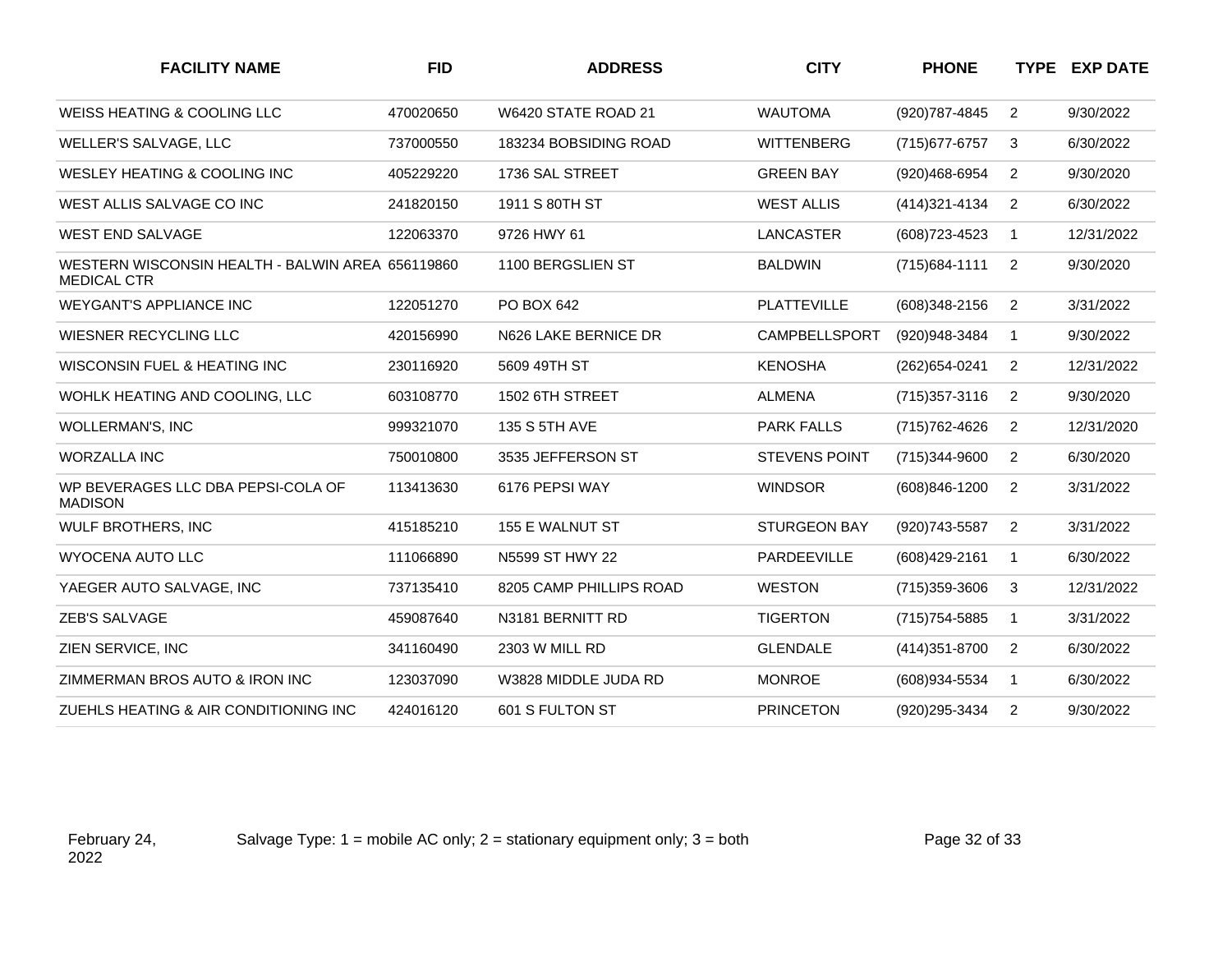| <b>FACILITY NAME</b>                                                   | <b>FID</b> | <b>ADDRESS</b>          | <b>CITY</b>          | <b>PHONE</b>      |                | <b>TYPE EXP DATE</b> |
|------------------------------------------------------------------------|------------|-------------------------|----------------------|-------------------|----------------|----------------------|
| WEISS HEATING & COOLING LLC                                            | 470020650  | W6420 STATE ROAD 21     | <b>WAUTOMA</b>       | (920) 787-4845    | $\overline{2}$ | 9/30/2022            |
| WELLER'S SALVAGE, LLC                                                  | 737000550  | 183234 BOBSIDING ROAD   | <b>WITTENBERG</b>    | (715) 677-6757    | 3              | 6/30/2022            |
| WESLEY HEATING & COOLING INC                                           | 405229220  | 1736 SAL STREET         | <b>GREEN BAY</b>     | (920)468-6954     | $\overline{2}$ | 9/30/2020            |
| WEST ALLIS SALVAGE CO INC                                              | 241820150  | 1911 S 80TH ST          | <b>WEST ALLIS</b>    | (414) 321-4134    | 2              | 6/30/2022            |
| <b>WEST END SALVAGE</b>                                                | 122063370  | 9726 HWY 61             | <b>LANCASTER</b>     | (608) 723-4523    | $\mathbf{1}$   | 12/31/2022           |
| WESTERN WISCONSIN HEALTH - BALWIN AREA 656119860<br><b>MEDICAL CTR</b> |            | 1100 BERGSLIEN ST       | <b>BALDWIN</b>       | $(715)684 - 1111$ | $\overline{2}$ | 9/30/2020            |
| <b>WEYGANT'S APPLIANCE INC</b>                                         | 122051270  | PO BOX 642              | <b>PLATTEVILLE</b>   | (608)348-2156     | $\overline{2}$ | 3/31/2022            |
| WIESNER RECYCLING LLC                                                  | 420156990  | N626 LAKE BERNICE DR    | <b>CAMPBELLSPORT</b> | (920)948-3484     | $\mathbf{1}$   | 9/30/2022            |
| WISCONSIN FUEL & HEATING INC                                           | 230116920  | 5609 49TH ST            | <b>KENOSHA</b>       | (262) 654-0241    | $\overline{2}$ | 12/31/2022           |
| WOHLK HEATING AND COOLING, LLC                                         | 603108770  | 1502 6TH STREET         | <b>ALMENA</b>        | $(715)357 - 3116$ | $\overline{2}$ | 9/30/2020            |
| WOLLERMAN'S, INC                                                       | 999321070  | 135 S 5TH AVE           | <b>PARK FALLS</b>    | (715) 762-4626    | $\overline{2}$ | 12/31/2020           |
| <b>WORZALLA INC</b>                                                    | 750010800  | 3535 JEFFERSON ST       | <b>STEVENS POINT</b> | (715)344-9600     | $\overline{2}$ | 6/30/2020            |
| WP BEVERAGES LLC DBA PEPSI-COLA OF<br><b>MADISON</b>                   | 113413630  | 6176 PEPSI WAY          | <b>WINDSOR</b>       | $(608)846 - 1200$ | $\overline{2}$ | 3/31/2022            |
| <b>WULF BROTHERS, INC</b>                                              | 415185210  | 155 E WALNUT ST         | <b>STURGEON BAY</b>  | (920) 743-5587    | $\overline{2}$ | 3/31/2022            |
| <b>WYOCENA AUTO LLC</b>                                                | 111066890  | N5599 ST HWY 22         | PARDEEVILLE          | (608) 429-2161    | $\mathbf{1}$   | 6/30/2022            |
| YAEGER AUTO SALVAGE, INC                                               | 737135410  | 8205 CAMP PHILLIPS ROAD | <b>WESTON</b>        | (715)359-3606     | 3              | 12/31/2022           |
| <b>ZEB'S SALVAGE</b>                                                   | 459087640  | N3181 BERNITT RD        | <b>TIGERTON</b>      | (715) 754-5885    | $\mathbf{1}$   | 3/31/2022            |
| ZIEN SERVICE, INC                                                      | 341160490  | 2303 W MILL RD          | <b>GLENDALE</b>      | (414) 351-8700    | 2              | 6/30/2022            |
| ZIMMERMAN BROS AUTO & IRON INC                                         | 123037090  | W3828 MIDDLE JUDA RD    | <b>MONROE</b>        | (608) 934-5534    | $\mathbf{1}$   | 6/30/2022            |
| ZUEHLS HEATING & AIR CONDITIONING INC                                  | 424016120  | 601 S FULTON ST         | <b>PRINCETON</b>     | (920)295-3434     | $\overline{2}$ | 9/30/2022            |